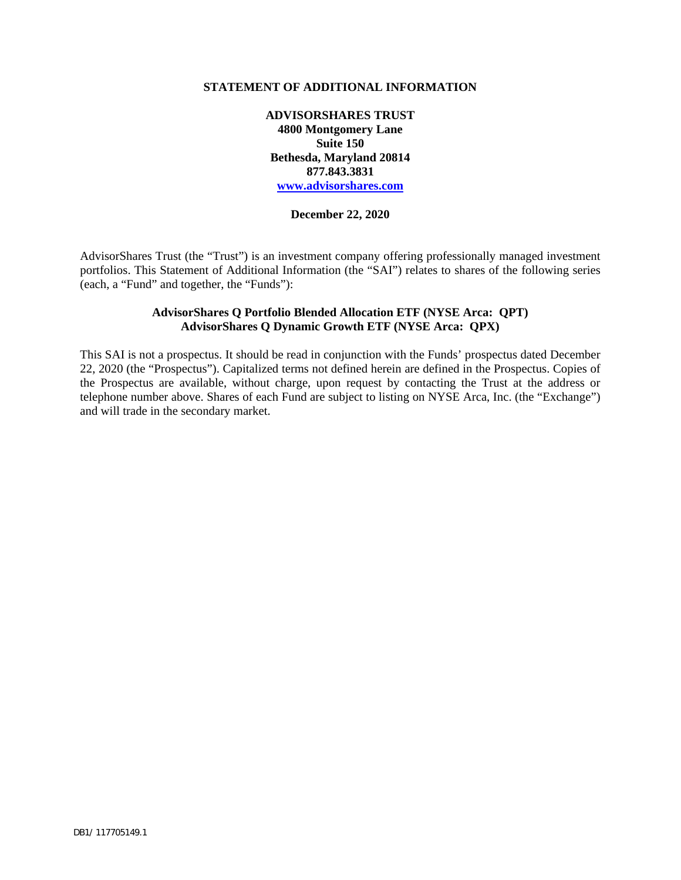#### **STATEMENT OF ADDITIONAL INFORMATION**

**ADVISORSHARES TRUST 4800 Montgomery Lane Suite 150 Bethesda, Maryland 20814 877.843.3831 www.advisorshares.com**

#### **December 22, 2020**

AdvisorShares Trust (the "Trust") is an investment company offering professionally managed investment portfolios. This Statement of Additional Information (the "SAI") relates to shares of the following series (each, a "Fund" and together, the "Funds"):

### **AdvisorShares Q Portfolio Blended Allocation ETF (NYSE Arca: QPT) AdvisorShares Q Dynamic Growth ETF (NYSE Arca: QPX)**

This SAI is not a prospectus. It should be read in conjunction with the Funds' prospectus dated December 22, 2020 (the "Prospectus"). Capitalized terms not defined herein are defined in the Prospectus. Copies of the Prospectus are available, without charge, upon request by contacting the Trust at the address or telephone number above. Shares of each Fund are subject to listing on NYSE Arca, Inc. (the "Exchange") and will trade in the secondary market.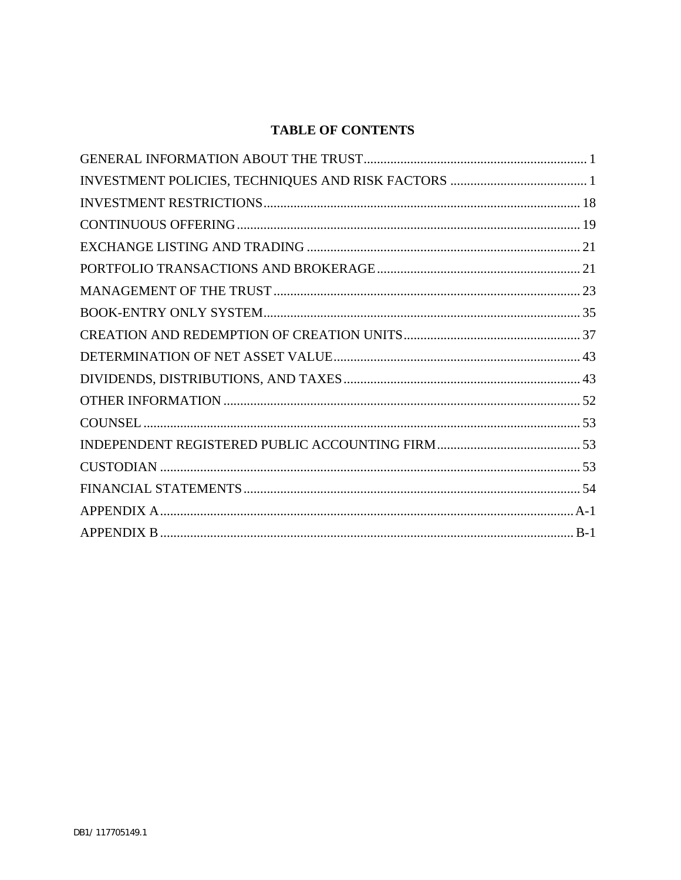# **TABLE OF CONTENTS**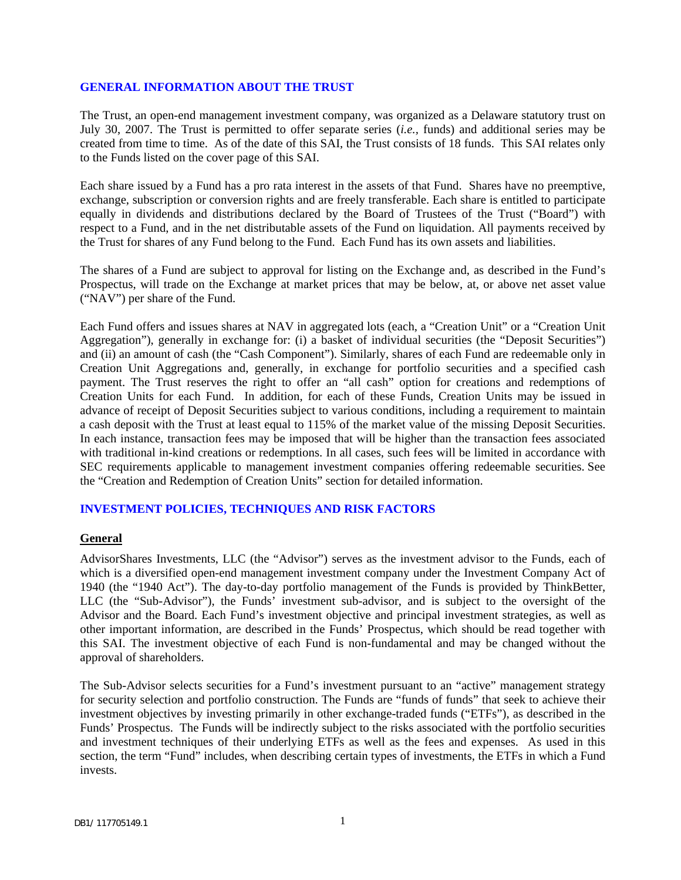#### <span id="page-2-0"></span>**GENERAL INFORMATION ABOUT THE TRUST**

The Trust, an open-end management investment company, was organized as a Delaware statutory trust on July 30, 2007. The Trust is permitted to offer separate series (*i.e.,* funds) and additional series may be created from time to time. As of the date of this SAI, the Trust consists of 18 funds. This SAI relates only to the Funds listed on the cover page of this SAI.

Each share issued by a Fund has a pro rata interest in the assets of that Fund. Shares have no preemptive, exchange, subscription or conversion rights and are freely transferable. Each share is entitled to participate equally in dividends and distributions declared by the Board of Trustees of the Trust ("Board") with respect to a Fund, and in the net distributable assets of the Fund on liquidation. All payments received by the Trust for shares of any Fund belong to the Fund. Each Fund has its own assets and liabilities.

The shares of a Fund are subject to approval for listing on the Exchange and, as described in the Fund's Prospectus, will trade on the Exchange at market prices that may be below, at, or above net asset value ("NAV") per share of the Fund.

Each Fund offers and issues shares at NAV in aggregated lots (each, a "Creation Unit" or a "Creation Unit Aggregation"), generally in exchange for: (i) a basket of individual securities (the "Deposit Securities") and (ii) an amount of cash (the "Cash Component"). Similarly, shares of each Fund are redeemable only in Creation Unit Aggregations and, generally, in exchange for portfolio securities and a specified cash payment. The Trust reserves the right to offer an "all cash" option for creations and redemptions of Creation Units for each Fund. In addition, for each of these Funds, Creation Units may be issued in advance of receipt of Deposit Securities subject to various conditions, including a requirement to maintain a cash deposit with the Trust at least equal to 115% of the market value of the missing Deposit Securities. In each instance, transaction fees may be imposed that will be higher than the transaction fees associated with traditional in-kind creations or redemptions. In all cases, such fees will be limited in accordance with SEC requirements applicable to management investment companies offering redeemable securities. See the "Creation and Redemption of Creation Units" section for detailed information.

### <span id="page-2-1"></span>**INVESTMENT POLICIES, TECHNIQUES AND RISK FACTORS**

#### **General**

AdvisorShares Investments, LLC (the "Advisor") serves as the investment advisor to the Funds, each of which is a diversified open-end management investment company under the Investment Company Act of 1940 (the "1940 Act"). The day-to-day portfolio management of the Funds is provided by ThinkBetter, LLC (the "Sub-Advisor"), the Funds' investment sub-advisor, and is subject to the oversight of the Advisor and the Board. Each Fund's investment objective and principal investment strategies, as well as other important information, are described in the Funds' Prospectus, which should be read together with this SAI. The investment objective of each Fund is non-fundamental and may be changed without the approval of shareholders.

The Sub-Advisor selects securities for a Fund's investment pursuant to an "active" management strategy for security selection and portfolio construction. The Funds are "funds of funds" that seek to achieve their investment objectives by investing primarily in other exchange-traded funds ("ETFs"), as described in the Funds' Prospectus. The Funds will be indirectly subject to the risks associated with the portfolio securities and investment techniques of their underlying ETFs as well as the fees and expenses. As used in this section, the term "Fund" includes, when describing certain types of investments, the ETFs in which a Fund invests.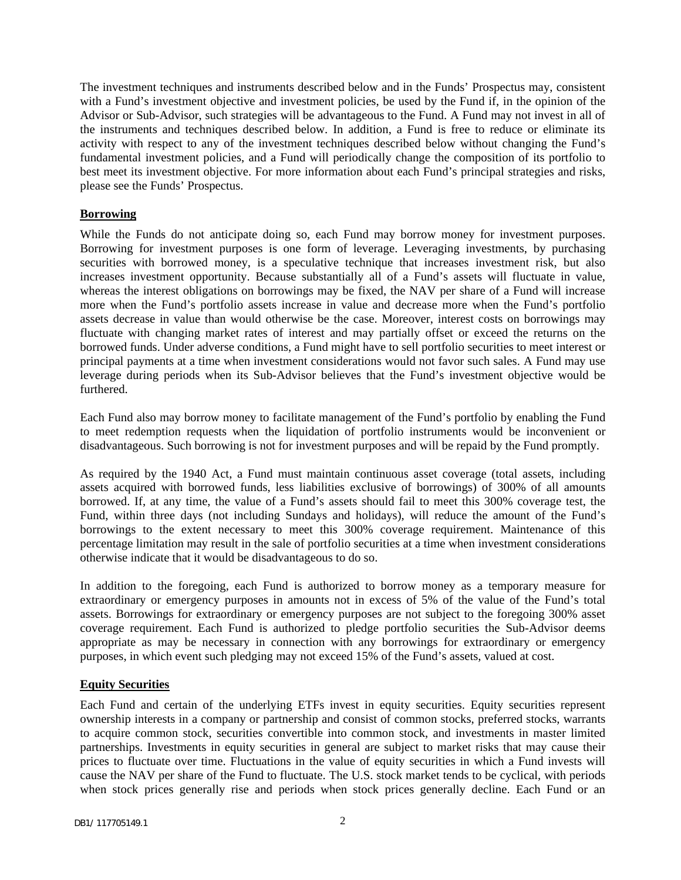The investment techniques and instruments described below and in the Funds' Prospectus may, consistent with a Fund's investment objective and investment policies, be used by the Fund if, in the opinion of the Advisor or Sub-Advisor, such strategies will be advantageous to the Fund. A Fund may not invest in all of the instruments and techniques described below. In addition, a Fund is free to reduce or eliminate its activity with respect to any of the investment techniques described below without changing the Fund's fundamental investment policies, and a Fund will periodically change the composition of its portfolio to best meet its investment objective. For more information about each Fund's principal strategies and risks, please see the Funds' Prospectus.

### **Borrowing**

While the Funds do not anticipate doing so, each Fund may borrow money for investment purposes. Borrowing for investment purposes is one form of leverage. Leveraging investments, by purchasing securities with borrowed money, is a speculative technique that increases investment risk, but also increases investment opportunity. Because substantially all of a Fund's assets will fluctuate in value, whereas the interest obligations on borrowings may be fixed, the NAV per share of a Fund will increase more when the Fund's portfolio assets increase in value and decrease more when the Fund's portfolio assets decrease in value than would otherwise be the case. Moreover, interest costs on borrowings may fluctuate with changing market rates of interest and may partially offset or exceed the returns on the borrowed funds. Under adverse conditions, a Fund might have to sell portfolio securities to meet interest or principal payments at a time when investment considerations would not favor such sales. A Fund may use leverage during periods when its Sub-Advisor believes that the Fund's investment objective would be furthered.

Each Fund also may borrow money to facilitate management of the Fund's portfolio by enabling the Fund to meet redemption requests when the liquidation of portfolio instruments would be inconvenient or disadvantageous. Such borrowing is not for investment purposes and will be repaid by the Fund promptly.

As required by the 1940 Act, a Fund must maintain continuous asset coverage (total assets, including assets acquired with borrowed funds, less liabilities exclusive of borrowings) of 300% of all amounts borrowed. If, at any time, the value of a Fund's assets should fail to meet this 300% coverage test, the Fund, within three days (not including Sundays and holidays), will reduce the amount of the Fund's borrowings to the extent necessary to meet this 300% coverage requirement. Maintenance of this percentage limitation may result in the sale of portfolio securities at a time when investment considerations otherwise indicate that it would be disadvantageous to do so.

In addition to the foregoing, each Fund is authorized to borrow money as a temporary measure for extraordinary or emergency purposes in amounts not in excess of 5% of the value of the Fund's total assets. Borrowings for extraordinary or emergency purposes are not subject to the foregoing 300% asset coverage requirement. Each Fund is authorized to pledge portfolio securities the Sub-Advisor deems appropriate as may be necessary in connection with any borrowings for extraordinary or emergency purposes, in which event such pledging may not exceed 15% of the Fund's assets, valued at cost.

### **Equity Securities**

Each Fund and certain of the underlying ETFs invest in equity securities. Equity securities represent ownership interests in a company or partnership and consist of common stocks, preferred stocks, warrants to acquire common stock, securities convertible into common stock, and investments in master limited partnerships. Investments in equity securities in general are subject to market risks that may cause their prices to fluctuate over time. Fluctuations in the value of equity securities in which a Fund invests will cause the NAV per share of the Fund to fluctuate. The U.S. stock market tends to be cyclical, with periods when stock prices generally rise and periods when stock prices generally decline. Each Fund or an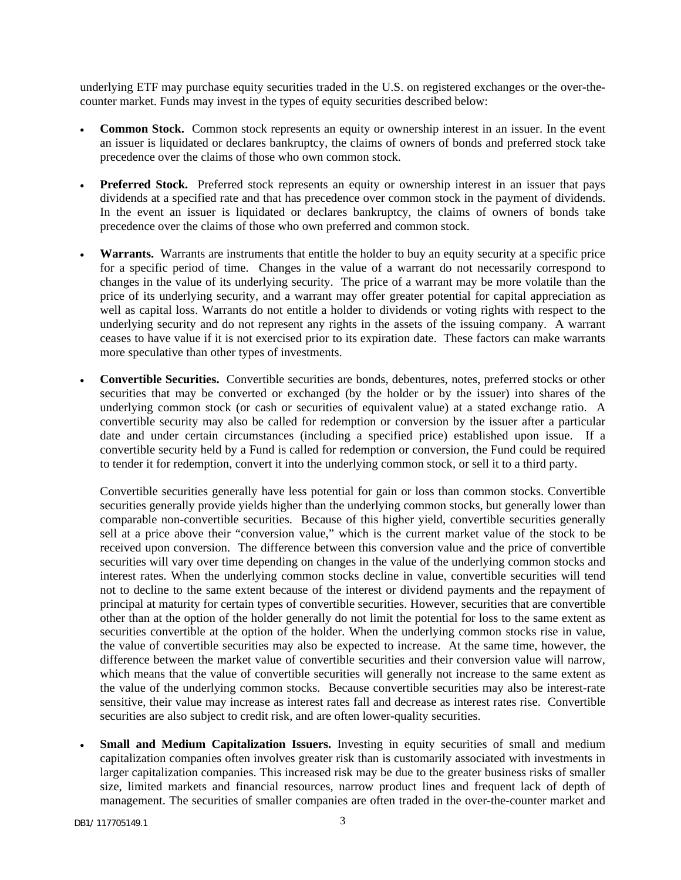underlying ETF may purchase equity securities traded in the U.S. on registered exchanges or the over-thecounter market. Funds may invest in the types of equity securities described below:

- **Common Stock.** Common stock represents an equity or ownership interest in an issuer. In the event an issuer is liquidated or declares bankruptcy, the claims of owners of bonds and preferred stock take precedence over the claims of those who own common stock.
- **Preferred Stock.** Preferred stock represents an equity or ownership interest in an issuer that pays dividends at a specified rate and that has precedence over common stock in the payment of dividends. In the event an issuer is liquidated or declares bankruptcy, the claims of owners of bonds take precedence over the claims of those who own preferred and common stock.
- **Warrants.** Warrants are instruments that entitle the holder to buy an equity security at a specific price for a specific period of time. Changes in the value of a warrant do not necessarily correspond to changes in the value of its underlying security. The price of a warrant may be more volatile than the price of its underlying security, and a warrant may offer greater potential for capital appreciation as well as capital loss. Warrants do not entitle a holder to dividends or voting rights with respect to the underlying security and do not represent any rights in the assets of the issuing company. A warrant ceases to have value if it is not exercised prior to its expiration date. These factors can make warrants more speculative than other types of investments.
- **Convertible Securities.** Convertible securities are bonds, debentures, notes, preferred stocks or other securities that may be converted or exchanged (by the holder or by the issuer) into shares of the underlying common stock (or cash or securities of equivalent value) at a stated exchange ratio. A convertible security may also be called for redemption or conversion by the issuer after a particular date and under certain circumstances (including a specified price) established upon issue. If a convertible security held by a Fund is called for redemption or conversion, the Fund could be required to tender it for redemption, convert it into the underlying common stock, or sell it to a third party.

Convertible securities generally have less potential for gain or loss than common stocks. Convertible securities generally provide yields higher than the underlying common stocks, but generally lower than comparable non-convertible securities. Because of this higher yield, convertible securities generally sell at a price above their "conversion value," which is the current market value of the stock to be received upon conversion. The difference between this conversion value and the price of convertible securities will vary over time depending on changes in the value of the underlying common stocks and interest rates. When the underlying common stocks decline in value, convertible securities will tend not to decline to the same extent because of the interest or dividend payments and the repayment of principal at maturity for certain types of convertible securities. However, securities that are convertible other than at the option of the holder generally do not limit the potential for loss to the same extent as securities convertible at the option of the holder. When the underlying common stocks rise in value, the value of convertible securities may also be expected to increase. At the same time, however, the difference between the market value of convertible securities and their conversion value will narrow, which means that the value of convertible securities will generally not increase to the same extent as the value of the underlying common stocks. Because convertible securities may also be interest-rate sensitive, their value may increase as interest rates fall and decrease as interest rates rise. Convertible securities are also subject to credit risk, and are often lower-quality securities.

**Small and Medium Capitalization Issuers.** Investing in equity securities of small and medium capitalization companies often involves greater risk than is customarily associated with investments in larger capitalization companies. This increased risk may be due to the greater business risks of smaller size, limited markets and financial resources, narrow product lines and frequent lack of depth of management. The securities of smaller companies are often traded in the over-the-counter market and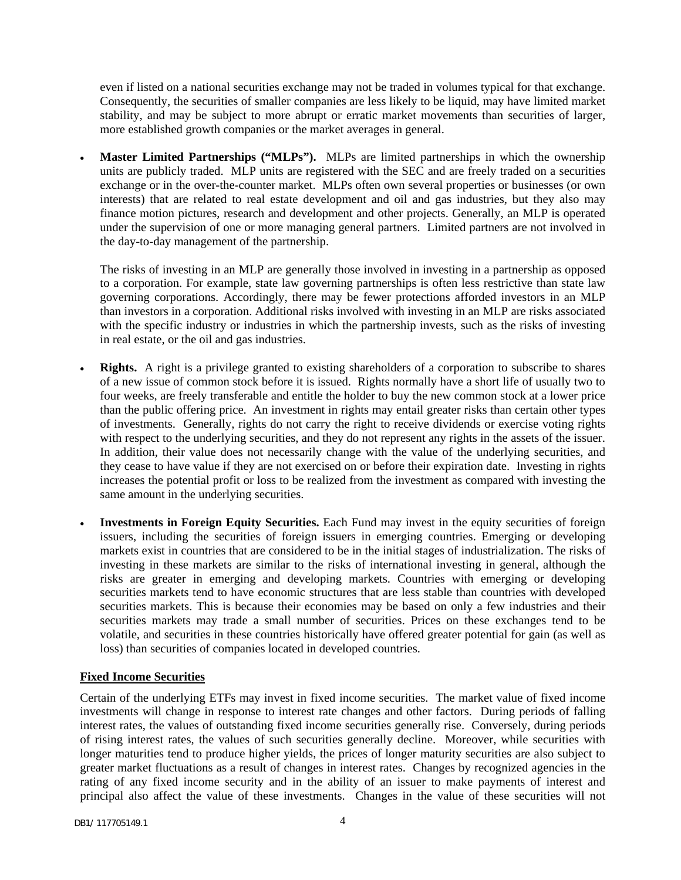even if listed on a national securities exchange may not be traded in volumes typical for that exchange. Consequently, the securities of smaller companies are less likely to be liquid, may have limited market stability, and may be subject to more abrupt or erratic market movements than securities of larger, more established growth companies or the market averages in general.

Master Limited Partnerships ("MLPs"). MLPs are limited partnerships in which the ownership units are publicly traded. MLP units are registered with the SEC and are freely traded on a securities exchange or in the over-the-counter market. MLPs often own several properties or businesses (or own interests) that are related to real estate development and oil and gas industries, but they also may finance motion pictures, research and development and other projects. Generally, an MLP is operated under the supervision of one or more managing general partners. Limited partners are not involved in the day-to-day management of the partnership.

The risks of investing in an MLP are generally those involved in investing in a partnership as opposed to a corporation. For example, state law governing partnerships is often less restrictive than state law governing corporations. Accordingly, there may be fewer protections afforded investors in an MLP than investors in a corporation. Additional risks involved with investing in an MLP are risks associated with the specific industry or industries in which the partnership invests, such as the risks of investing in real estate, or the oil and gas industries.

- **Rights.** A right is a privilege granted to existing shareholders of a corporation to subscribe to shares of a new issue of common stock before it is issued. Rights normally have a short life of usually two to four weeks, are freely transferable and entitle the holder to buy the new common stock at a lower price than the public offering price. An investment in rights may entail greater risks than certain other types of investments. Generally, rights do not carry the right to receive dividends or exercise voting rights with respect to the underlying securities, and they do not represent any rights in the assets of the issuer. In addition, their value does not necessarily change with the value of the underlying securities, and they cease to have value if they are not exercised on or before their expiration date. Investing in rights increases the potential profit or loss to be realized from the investment as compared with investing the same amount in the underlying securities.
- **Investments in Foreign Equity Securities.** Each Fund may invest in the equity securities of foreign issuers, including the securities of foreign issuers in emerging countries. Emerging or developing markets exist in countries that are considered to be in the initial stages of industrialization. The risks of investing in these markets are similar to the risks of international investing in general, although the risks are greater in emerging and developing markets. Countries with emerging or developing securities markets tend to have economic structures that are less stable than countries with developed securities markets. This is because their economies may be based on only a few industries and their securities markets may trade a small number of securities. Prices on these exchanges tend to be volatile, and securities in these countries historically have offered greater potential for gain (as well as loss) than securities of companies located in developed countries.

### **Fixed Income Securities**

Certain of the underlying ETFs may invest in fixed income securities. The market value of fixed income investments will change in response to interest rate changes and other factors. During periods of falling interest rates, the values of outstanding fixed income securities generally rise. Conversely, during periods of rising interest rates, the values of such securities generally decline. Moreover, while securities with longer maturities tend to produce higher yields, the prices of longer maturity securities are also subject to greater market fluctuations as a result of changes in interest rates. Changes by recognized agencies in the rating of any fixed income security and in the ability of an issuer to make payments of interest and principal also affect the value of these investments. Changes in the value of these securities will not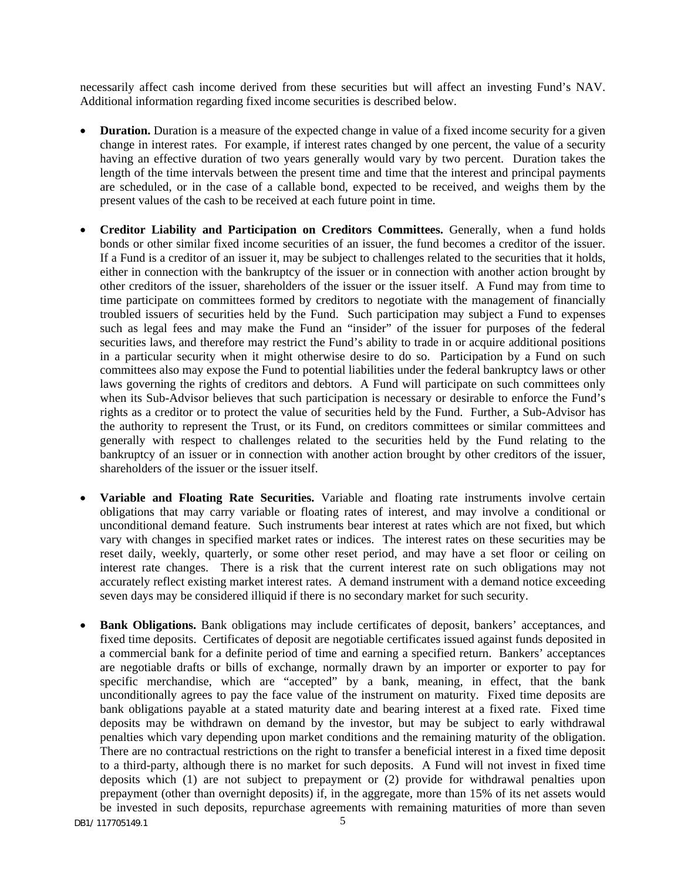necessarily affect cash income derived from these securities but will affect an investing Fund's NAV. Additional information regarding fixed income securities is described below.

- **Duration.** Duration is a measure of the expected change in value of a fixed income security for a given change in interest rates. For example, if interest rates changed by one percent, the value of a security having an effective duration of two years generally would vary by two percent. Duration takes the length of the time intervals between the present time and time that the interest and principal payments are scheduled, or in the case of a callable bond, expected to be received, and weighs them by the present values of the cash to be received at each future point in time.
- **Creditor Liability and Participation on Creditors Committees.** Generally, when a fund holds bonds or other similar fixed income securities of an issuer, the fund becomes a creditor of the issuer. If a Fund is a creditor of an issuer it, may be subject to challenges related to the securities that it holds, either in connection with the bankruptcy of the issuer or in connection with another action brought by other creditors of the issuer, shareholders of the issuer or the issuer itself. A Fund may from time to time participate on committees formed by creditors to negotiate with the management of financially troubled issuers of securities held by the Fund. Such participation may subject a Fund to expenses such as legal fees and may make the Fund an "insider" of the issuer for purposes of the federal securities laws, and therefore may restrict the Fund's ability to trade in or acquire additional positions in a particular security when it might otherwise desire to do so. Participation by a Fund on such committees also may expose the Fund to potential liabilities under the federal bankruptcy laws or other laws governing the rights of creditors and debtors. A Fund will participate on such committees only when its Sub-Advisor believes that such participation is necessary or desirable to enforce the Fund's rights as a creditor or to protect the value of securities held by the Fund. Further, a Sub-Advisor has the authority to represent the Trust, or its Fund, on creditors committees or similar committees and generally with respect to challenges related to the securities held by the Fund relating to the bankruptcy of an issuer or in connection with another action brought by other creditors of the issuer, shareholders of the issuer or the issuer itself.
- **Variable and Floating Rate Securities.** Variable and floating rate instruments involve certain obligations that may carry variable or floating rates of interest, and may involve a conditional or unconditional demand feature. Such instruments bear interest at rates which are not fixed, but which vary with changes in specified market rates or indices. The interest rates on these securities may be reset daily, weekly, quarterly, or some other reset period, and may have a set floor or ceiling on interest rate changes. There is a risk that the current interest rate on such obligations may not accurately reflect existing market interest rates. A demand instrument with a demand notice exceeding seven days may be considered illiquid if there is no secondary market for such security.
- **Bank Obligations.** Bank obligations may include certificates of deposit, bankers' acceptances, and fixed time deposits. Certificates of deposit are negotiable certificates issued against funds deposited in a commercial bank for a definite period of time and earning a specified return. Bankers' acceptances are negotiable drafts or bills of exchange, normally drawn by an importer or exporter to pay for specific merchandise, which are "accepted" by a bank, meaning, in effect, that the bank unconditionally agrees to pay the face value of the instrument on maturity. Fixed time deposits are bank obligations payable at a stated maturity date and bearing interest at a fixed rate. Fixed time deposits may be withdrawn on demand by the investor, but may be subject to early withdrawal penalties which vary depending upon market conditions and the remaining maturity of the obligation. There are no contractual restrictions on the right to transfer a beneficial interest in a fixed time deposit to a third-party, although there is no market for such deposits. A Fund will not invest in fixed time deposits which (1) are not subject to prepayment or  $(2)$  provide for withdrawal penalties upon prepayment (other than overnight deposits) if, in the aggregate, more than 15% of its net assets would be invested in such deposits, repurchase agreements with remaining maturities of more than seven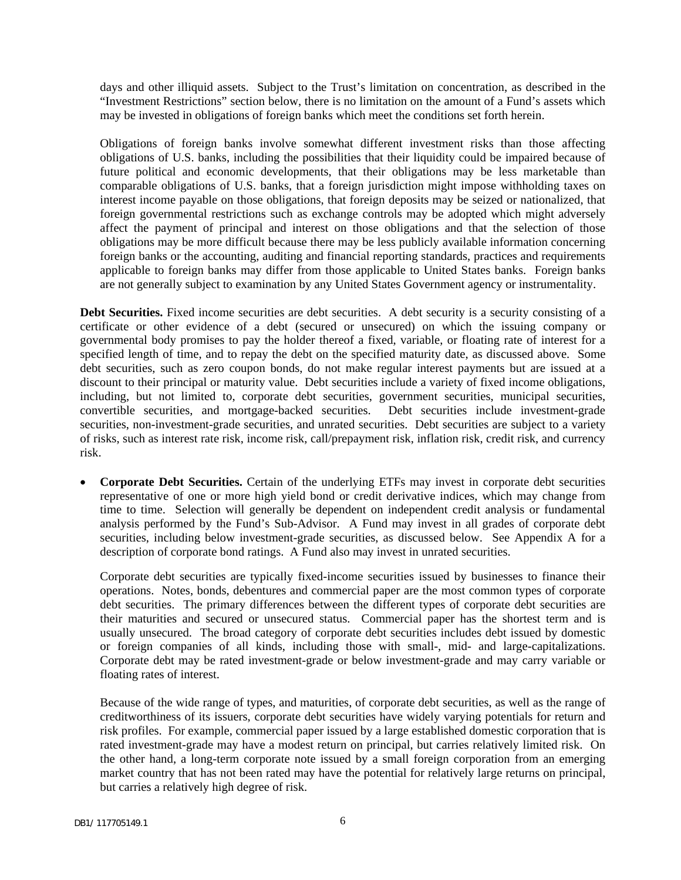days and other illiquid assets. Subject to the Trust's limitation on concentration, as described in the "Investment Restrictions" section below, there is no limitation on the amount of a Fund's assets which may be invested in obligations of foreign banks which meet the conditions set forth herein.

Obligations of foreign banks involve somewhat different investment risks than those affecting obligations of U.S. banks, including the possibilities that their liquidity could be impaired because of future political and economic developments, that their obligations may be less marketable than comparable obligations of U.S. banks, that a foreign jurisdiction might impose withholding taxes on interest income payable on those obligations, that foreign deposits may be seized or nationalized, that foreign governmental restrictions such as exchange controls may be adopted which might adversely affect the payment of principal and interest on those obligations and that the selection of those obligations may be more difficult because there may be less publicly available information concerning foreign banks or the accounting, auditing and financial reporting standards, practices and requirements applicable to foreign banks may differ from those applicable to United States banks. Foreign banks are not generally subject to examination by any United States Government agency or instrumentality.

**Debt Securities.** Fixed income securities are debt securities. A debt security is a security consisting of a certificate or other evidence of a debt (secured or unsecured) on which the issuing company or governmental body promises to pay the holder thereof a fixed, variable, or floating rate of interest for a specified length of time, and to repay the debt on the specified maturity date, as discussed above. Some debt securities, such as zero coupon bonds, do not make regular interest payments but are issued at a discount to their principal or maturity value. Debt securities include a variety of fixed income obligations, including, but not limited to, corporate debt securities, government securities, municipal securities, convertible securities, and mortgage-backed securities. Debt securities include investment-grade convertible securities, and mortgage-backed securities. securities, non-investment-grade securities, and unrated securities. Debt securities are subject to a variety of risks, such as interest rate risk, income risk, call/prepayment risk, inflation risk, credit risk, and currency risk.

• **Corporate Debt Securities.** Certain of the underlying ETFs may invest in corporate debt securities representative of one or more high yield bond or credit derivative indices, which may change from time to time. Selection will generally be dependent on independent credit analysis or fundamental analysis performed by the Fund's Sub-Advisor. A Fund may invest in all grades of corporate debt securities, including below investment-grade securities, as discussed below. See Appendix A for a description of corporate bond ratings. A Fund also may invest in unrated securities.

Corporate debt securities are typically fixed-income securities issued by businesses to finance their operations. Notes, bonds, debentures and commercial paper are the most common types of corporate debt securities. The primary differences between the different types of corporate debt securities are their maturities and secured or unsecured status. Commercial paper has the shortest term and is usually unsecured. The broad category of corporate debt securities includes debt issued by domestic or foreign companies of all kinds, including those with small-, mid- and large-capitalizations. Corporate debt may be rated investment-grade or below investment-grade and may carry variable or floating rates of interest.

Because of the wide range of types, and maturities, of corporate debt securities, as well as the range of creditworthiness of its issuers, corporate debt securities have widely varying potentials for return and risk profiles. For example, commercial paper issued by a large established domestic corporation that is rated investment-grade may have a modest return on principal, but carries relatively limited risk. On the other hand, a long-term corporate note issued by a small foreign corporation from an emerging market country that has not been rated may have the potential for relatively large returns on principal, but carries a relatively high degree of risk.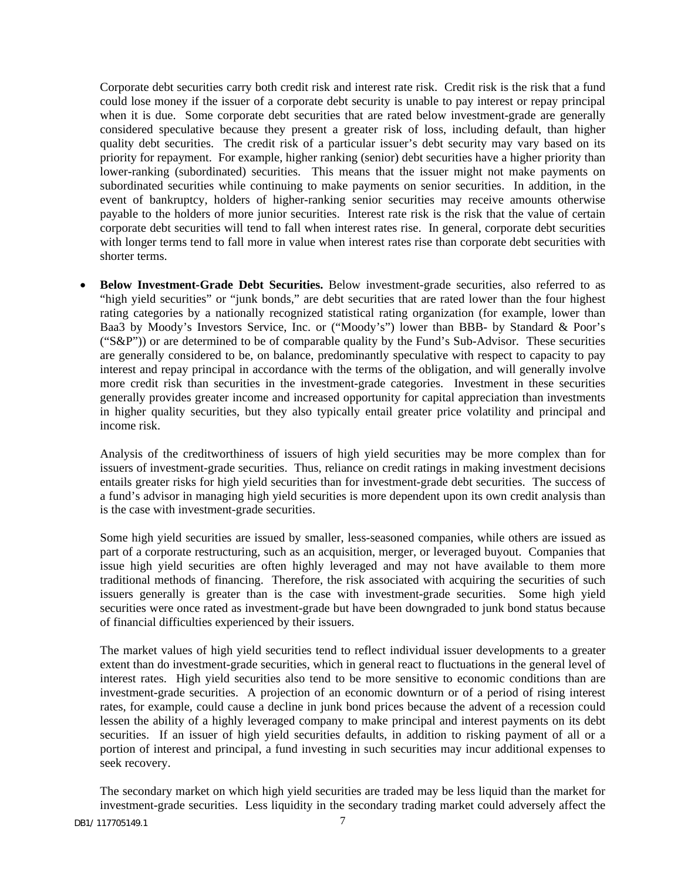Corporate debt securities carry both credit risk and interest rate risk. Credit risk is the risk that a fund could lose money if the issuer of a corporate debt security is unable to pay interest or repay principal when it is due. Some corporate debt securities that are rated below investment-grade are generally considered speculative because they present a greater risk of loss, including default, than higher quality debt securities. The credit risk of a particular issuer's debt security may vary based on its priority for repayment. For example, higher ranking (senior) debt securities have a higher priority than lower-ranking (subordinated) securities. This means that the issuer might not make payments on subordinated securities while continuing to make payments on senior securities. In addition, in the event of bankruptcy, holders of higher-ranking senior securities may receive amounts otherwise payable to the holders of more junior securities. Interest rate risk is the risk that the value of certain corporate debt securities will tend to fall when interest rates rise. In general, corporate debt securities with longer terms tend to fall more in value when interest rates rise than corporate debt securities with shorter terms.

• **Below Investment-Grade Debt Securities.** Below investment-grade securities, also referred to as "high yield securities" or "junk bonds," are debt securities that are rated lower than the four highest rating categories by a nationally recognized statistical rating organization (for example, lower than Baa3 by Moody's Investors Service, Inc. or ("Moody's") lower than BBB- by Standard & Poor's (" $S\&P$ ")) or are determined to be of comparable quality by the Fund's Sub-Advisor. These securities are generally considered to be, on balance, predominantly speculative with respect to capacity to pay interest and repay principal in accordance with the terms of the obligation, and will generally involve more credit risk than securities in the investment-grade categories. Investment in these securities generally provides greater income and increased opportunity for capital appreciation than investments in higher quality securities, but they also typically entail greater price volatility and principal and income risk.

Analysis of the creditworthiness of issuers of high yield securities may be more complex than for issuers of investment-grade securities. Thus, reliance on credit ratings in making investment decisions entails greater risks for high yield securities than for investment-grade debt securities. The success of a fund's advisor in managing high yield securities is more dependent upon its own credit analysis than is the case with investment-grade securities.

Some high yield securities are issued by smaller, less-seasoned companies, while others are issued as part of a corporate restructuring, such as an acquisition, merger, or leveraged buyout. Companies that issue high yield securities are often highly leveraged and may not have available to them more traditional methods of financing. Therefore, the risk associated with acquiring the securities of such issuers generally is greater than is the case with investment-grade securities. Some high yield securities were once rated as investment-grade but have been downgraded to junk bond status because of financial difficulties experienced by their issuers.

The market values of high yield securities tend to reflect individual issuer developments to a greater extent than do investment-grade securities, which in general react to fluctuations in the general level of interest rates. High yield securities also tend to be more sensitive to economic conditions than are investment-grade securities. A projection of an economic downturn or of a period of rising interest rates, for example, could cause a decline in junk bond prices because the advent of a recession could lessen the ability of a highly leveraged company to make principal and interest payments on its debt securities. If an issuer of high yield securities defaults, in addition to risking payment of all or a portion of interest and principal, a fund investing in such securities may incur additional expenses to seek recovery.

The secondary market on which high yield securities are traded may be less liquid than the market for investment-grade securities. Less liquidity in the secondary trading market could adversely affect the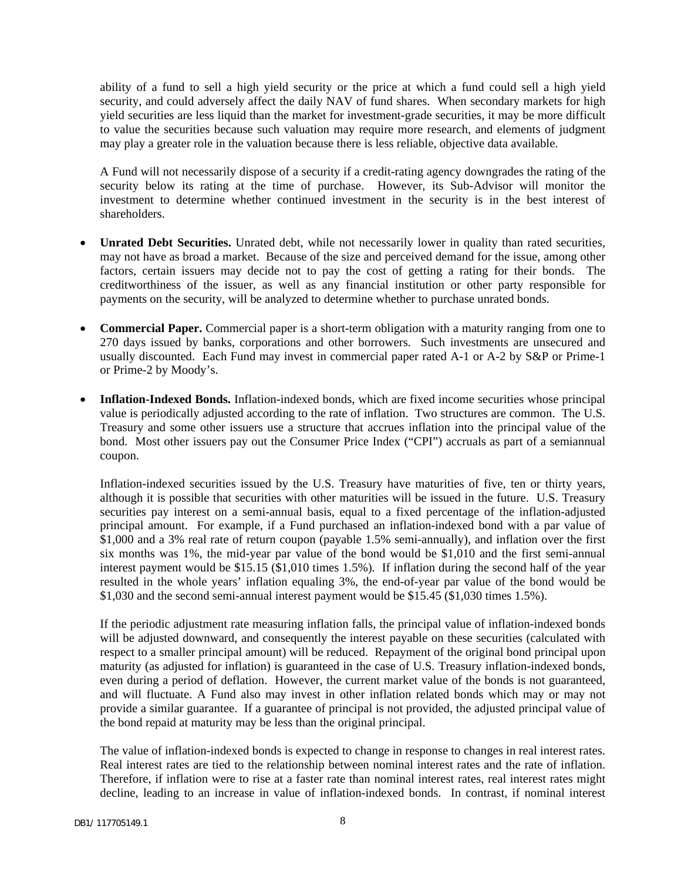ability of a fund to sell a high yield security or the price at which a fund could sell a high yield security, and could adversely affect the daily NAV of fund shares. When secondary markets for high yield securities are less liquid than the market for investment-grade securities, it may be more difficult to value the securities because such valuation may require more research, and elements of judgment may play a greater role in the valuation because there is less reliable, objective data available.

A Fund will not necessarily dispose of a security if a credit-rating agency downgrades the rating of the security below its rating at the time of purchase. However, its Sub-Advisor will monitor the investment to determine whether continued investment in the security is in the best interest of shareholders.

- **Unrated Debt Securities.** Unrated debt, while not necessarily lower in quality than rated securities, may not have as broad a market. Because of the size and perceived demand for the issue, among other factors, certain issuers may decide not to pay the cost of getting a rating for their bonds. The creditworthiness of the issuer, as well as any financial institution or other party responsible for payments on the security, will be analyzed to determine whether to purchase unrated bonds.
- **Commercial Paper.** Commercial paper is a short-term obligation with a maturity ranging from one to 270 days issued by banks, corporations and other borrowers. Such investments are unsecured and usually discounted. Each Fund may invest in commercial paper rated A-1 or A-2 by S&P or Prime-1 or Prime-2 by Moody's.
- **Inflation-Indexed Bonds.** Inflation-indexed bonds, which are fixed income securities whose principal value is periodically adjusted according to the rate of inflation. Two structures are common. The U.S. Treasury and some other issuers use a structure that accrues inflation into the principal value of the bond. Most other issuers pay out the Consumer Price Index ("CPI") accruals as part of a semiannual coupon.

Inflation-indexed securities issued by the U.S. Treasury have maturities of five, ten or thirty years, although it is possible that securities with other maturities will be issued in the future. U.S. Treasury securities pay interest on a semi-annual basis, equal to a fixed percentage of the inflation-adjusted principal amount. For example, if a Fund purchased an inflation-indexed bond with a par value of \$1,000 and a 3% real rate of return coupon (payable 1.5% semi-annually), and inflation over the first six months was 1%, the mid-year par value of the bond would be \$1,010 and the first semi-annual interest payment would be \$15.15 (\$1,010 times 1.5%). If inflation during the second half of the year resulted in the whole years' inflation equaling 3%, the end-of-year par value of the bond would be \$1,030 and the second semi-annual interest payment would be \$15.45 (\$1,030 times 1.5%).

If the periodic adjustment rate measuring inflation falls, the principal value of inflation-indexed bonds will be adjusted downward, and consequently the interest payable on these securities (calculated with respect to a smaller principal amount) will be reduced. Repayment of the original bond principal upon maturity (as adjusted for inflation) is guaranteed in the case of U.S. Treasury inflation-indexed bonds, even during a period of deflation. However, the current market value of the bonds is not guaranteed, and will fluctuate. A Fund also may invest in other inflation related bonds which may or may not provide a similar guarantee. If a guarantee of principal is not provided, the adjusted principal value of the bond repaid at maturity may be less than the original principal.

The value of inflation-indexed bonds is expected to change in response to changes in real interest rates. Real interest rates are tied to the relationship between nominal interest rates and the rate of inflation. Therefore, if inflation were to rise at a faster rate than nominal interest rates, real interest rates might decline, leading to an increase in value of inflation-indexed bonds. In contrast, if nominal interest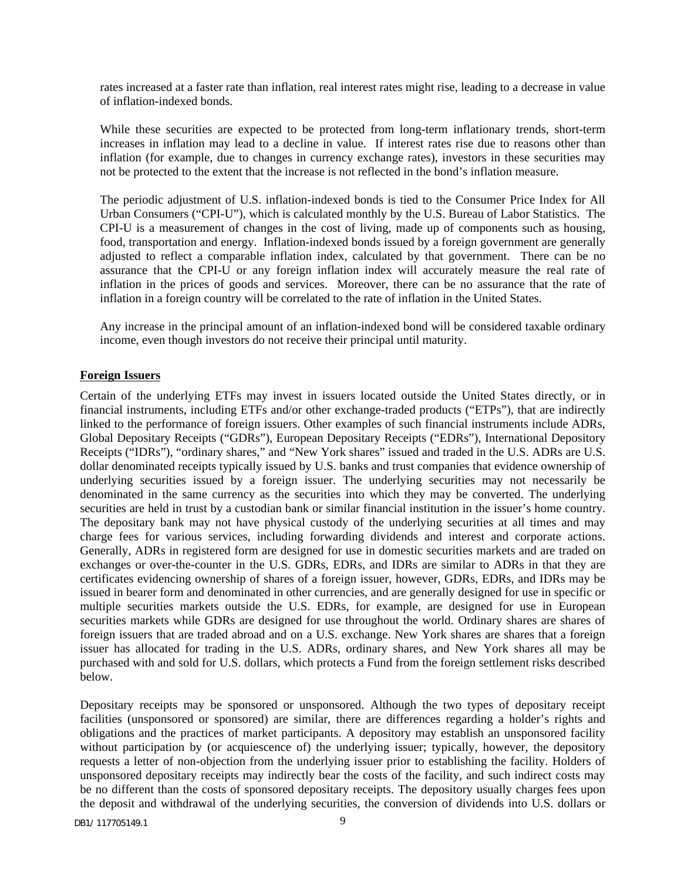rates increased at a faster rate than inflation, real interest rates might rise, leading to a decrease in value of inflation-indexed bonds.

While these securities are expected to be protected from long-term inflationary trends, short-term increases in inflation may lead to a decline in value. If interest rates rise due to reasons other than inflation (for example, due to changes in currency exchange rates), investors in these securities may not be protected to the extent that the increase is not reflected in the bond's inflation measure.

The periodic adjustment of U.S. inflation-indexed bonds is tied to the Consumer Price Index for All Urban Consumers ("CPI-U"), which is calculated monthly by the U.S. Bureau of Labor Statistics. The CPI-U is a measurement of changes in the cost of living, made up of components such as housing, food, transportation and energy. Inflation-indexed bonds issued by a foreign government are generally adjusted to reflect a comparable inflation index, calculated by that government. There can be no assurance that the CPI-U or any foreign inflation index will accurately measure the real rate of inflation in the prices of goods and services. Moreover, there can be no assurance that the rate of inflation in a foreign country will be correlated to the rate of inflation in the United States.

Any increase in the principal amount of an inflation-indexed bond will be considered taxable ordinary income, even though investors do not receive their principal until maturity.

#### **Foreign Issuers**

Certain of the underlying ETFs may invest in issuers located outside the United States directly, or in financial instruments, including ETFs and/or other exchange-traded products ("ETPs"), that are indirectly linked to the performance of foreign issuers. Other examples of such financial instruments include ADRs, Global Depositary Receipts ("GDRs"), European Depositary Receipts ("EDRs"), International Depository Receipts ("IDRs"), "ordinary shares," and "New York shares" issued and traded in the U.S. ADRs are U.S. dollar denominated receipts typically issued by U.S. banks and trust companies that evidence ownership of underlying securities issued by a foreign issuer. The underlying securities may not necessarily be denominated in the same currency as the securities into which they may be converted. The underlying securities are held in trust by a custodian bank or similar financial institution in the issuer's home country. The depositary bank may not have physical custody of the underlying securities at all times and may charge fees for various services, including forwarding dividends and interest and corporate actions. Generally, ADRs in registered form are designed for use in domestic securities markets and are traded on exchanges or over-the-counter in the U.S. GDRs, EDRs, and IDRs are similar to ADRs in that they are certificates evidencing ownership of shares of a foreign issuer, however, GDRs, EDRs, and IDRs may be issued in bearer form and denominated in other currencies, and are generally designed for use in specific or multiple securities markets outside the U.S. EDRs, for example, are designed for use in European securities markets while GDRs are designed for use throughout the world. Ordinary shares are shares of foreign issuers that are traded abroad and on a U.S. exchange. New York shares are shares that a foreign issuer has allocated for trading in the U.S. ADRs, ordinary shares, and New York shares all may be purchased with and sold for U.S. dollars, which protects a Fund from the foreign settlement risks described below.

Depositary receipts may be sponsored or unsponsored. Although the two types of depositary receipt facilities (unsponsored or sponsored) are similar, there are differences regarding a holder's rights and obligations and the practices of market participants. A depository may establish an unsponsored facility without participation by (or acquiescence of) the underlying issuer; typically, however, the depository requests a letter of non-objection from the underlying issuer prior to establishing the facility. Holders of unsponsored depositary receipts may indirectly bear the costs of the facility, and such indirect costs may be no different than the costs of sponsored depositary receipts. The depository usually charges fees upon the deposit and withdrawal of the underlying securities, the conversion of dividends into U.S. dollars or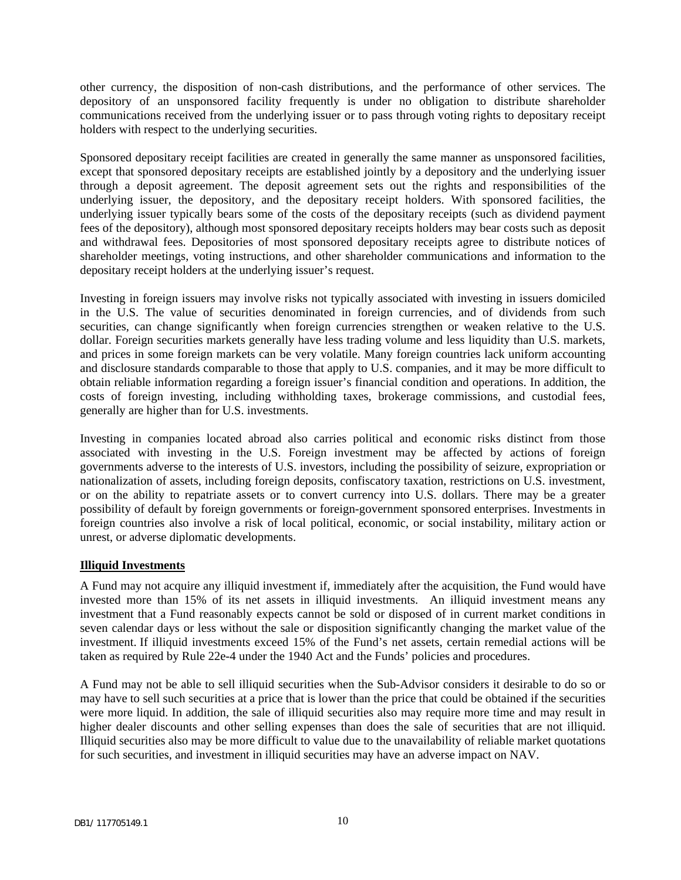other currency, the disposition of non-cash distributions, and the performance of other services. The depository of an unsponsored facility frequently is under no obligation to distribute shareholder communications received from the underlying issuer or to pass through voting rights to depositary receipt holders with respect to the underlying securities.

Sponsored depositary receipt facilities are created in generally the same manner as unsponsored facilities, except that sponsored depositary receipts are established jointly by a depository and the underlying issuer through a deposit agreement. The deposit agreement sets out the rights and responsibilities of the underlying issuer, the depository, and the depositary receipt holders. With sponsored facilities, the underlying issuer typically bears some of the costs of the depositary receipts (such as dividend payment fees of the depository), although most sponsored depositary receipts holders may bear costs such as deposit and withdrawal fees. Depositories of most sponsored depositary receipts agree to distribute notices of shareholder meetings, voting instructions, and other shareholder communications and information to the depositary receipt holders at the underlying issuer's request.

Investing in foreign issuers may involve risks not typically associated with investing in issuers domiciled in the U.S. The value of securities denominated in foreign currencies, and of dividends from such securities, can change significantly when foreign currencies strengthen or weaken relative to the U.S. dollar. Foreign securities markets generally have less trading volume and less liquidity than U.S. markets, and prices in some foreign markets can be very volatile. Many foreign countries lack uniform accounting and disclosure standards comparable to those that apply to U.S. companies, and it may be more difficult to obtain reliable information regarding a foreign issuer's financial condition and operations. In addition, the costs of foreign investing, including withholding taxes, brokerage commissions, and custodial fees, generally are higher than for U.S. investments.

Investing in companies located abroad also carries political and economic risks distinct from those associated with investing in the U.S. Foreign investment may be affected by actions of foreign governments adverse to the interests of U.S. investors, including the possibility of seizure, expropriation or nationalization of assets, including foreign deposits, confiscatory taxation, restrictions on U.S. investment, or on the ability to repatriate assets or to convert currency into U.S. dollars. There may be a greater possibility of default by foreign governments or foreign-government sponsored enterprises. Investments in foreign countries also involve a risk of local political, economic, or social instability, military action or unrest, or adverse diplomatic developments.

### **Illiquid Investments**

A Fund may not acquire any illiquid investment if, immediately after the acquisition, the Fund would have invested more than 15% of its net assets in illiquid investments. An illiquid investment means any investment that a Fund reasonably expects cannot be sold or disposed of in current market conditions in seven calendar days or less without the sale or disposition significantly changing the market value of the investment. If illiquid investments exceed 15% of the Fund's net assets, certain remedial actions will be taken as required by Rule 22e-4 under the 1940 Act and the Funds' policies and procedures.

A Fund may not be able to sell illiquid securities when the Sub-Advisor considers it desirable to do so or may have to sell such securities at a price that is lower than the price that could be obtained if the securities were more liquid. In addition, the sale of illiquid securities also may require more time and may result in higher dealer discounts and other selling expenses than does the sale of securities that are not illiquid. Illiquid securities also may be more difficult to value due to the unavailability of reliable market quotations for such securities, and investment in illiquid securities may have an adverse impact on NAV.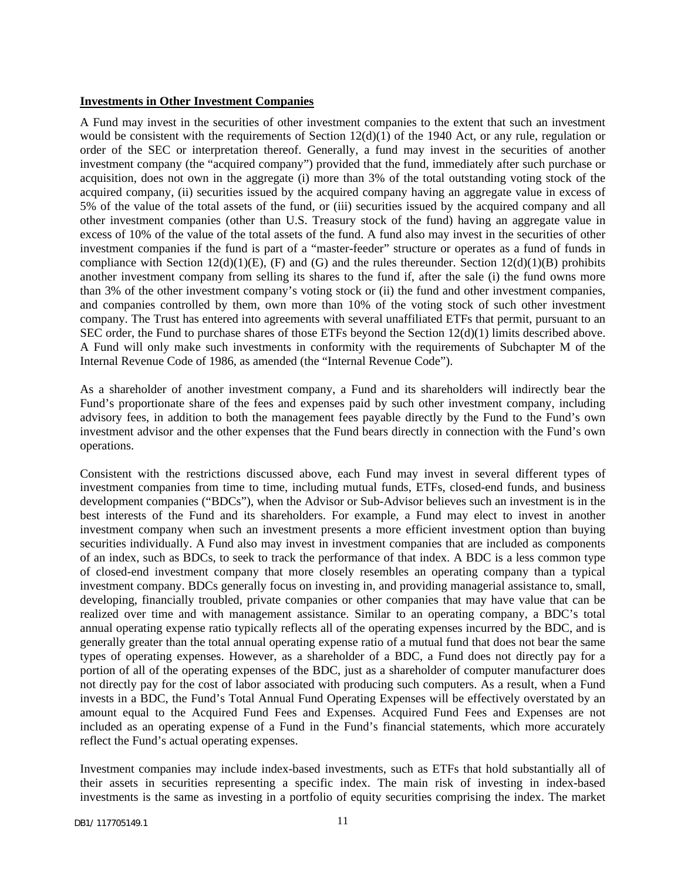#### **Investments in Other Investment Companies**

A Fund may invest in the securities of other investment companies to the extent that such an investment would be consistent with the requirements of Section  $12(d)(1)$  of the 1940 Act, or any rule, regulation or order of the SEC or interpretation thereof. Generally, a fund may invest in the securities of another investment company (the "acquired company") provided that the fund, immediately after such purchase or acquisition, does not own in the aggregate (i) more than 3% of the total outstanding voting stock of the acquired company, (ii) securities issued by the acquired company having an aggregate value in excess of 5% of the value of the total assets of the fund, or (iii) securities issued by the acquired company and all other investment companies (other than U.S. Treasury stock of the fund) having an aggregate value in excess of 10% of the value of the total assets of the fund. A fund also may invest in the securities of other investment companies if the fund is part of a "master-feeder" structure or operates as a fund of funds in compliance with Section 12(d)(1)(E), (F) and (G) and the rules thereunder. Section 12(d)(1)(B) prohibits another investment company from selling its shares to the fund if, after the sale (i) the fund owns more than 3% of the other investment company's voting stock or (ii) the fund and other investment companies, and companies controlled by them, own more than 10% of the voting stock of such other investment company. The Trust has entered into agreements with several unaffiliated ETFs that permit, pursuant to an SEC order, the Fund to purchase shares of those ETFs beyond the Section 12(d)(1) limits described above. A Fund will only make such investments in conformity with the requirements of Subchapter M of the Internal Revenue Code of 1986, as amended (the "Internal Revenue Code").

As a shareholder of another investment company, a Fund and its shareholders will indirectly bear the Fund's proportionate share of the fees and expenses paid by such other investment company, including advisory fees, in addition to both the management fees payable directly by the Fund to the Fund's own investment advisor and the other expenses that the Fund bears directly in connection with the Fund's own operations.

Consistent with the restrictions discussed above, each Fund may invest in several different types of investment companies from time to time, including mutual funds, ETFs, closed-end funds, and business development companies ("BDCs"), when the Advisor or Sub-Advisor believes such an investment is in the best interests of the Fund and its shareholders. For example, a Fund may elect to invest in another investment company when such an investment presents a more efficient investment option than buying securities individually. A Fund also may invest in investment companies that are included as components of an index, such as BDCs, to seek to track the performance of that index. A BDC is a less common type of closed-end investment company that more closely resembles an operating company than a typical investment company. BDCs generally focus on investing in, and providing managerial assistance to, small, developing, financially troubled, private companies or other companies that may have value that can be realized over time and with management assistance. Similar to an operating company, a BDC's total annual operating expense ratio typically reflects all of the operating expenses incurred by the BDC, and is generally greater than the total annual operating expense ratio of a mutual fund that does not bear the same types of operating expenses. However, as a shareholder of a BDC, a Fund does not directly pay for a portion of all of the operating expenses of the BDC, just as a shareholder of computer manufacturer does not directly pay for the cost of labor associated with producing such computers. As a result, when a Fund invests in a BDC, the Fund's Total Annual Fund Operating Expenses will be effectively overstated by an amount equal to the Acquired Fund Fees and Expenses. Acquired Fund Fees and Expenses are not included as an operating expense of a Fund in the Fund's financial statements, which more accurately reflect the Fund's actual operating expenses.

Investment companies may include index-based investments, such as ETFs that hold substantially all of their assets in securities representing a specific index. The main risk of investing in index-based investments is the same as investing in a portfolio of equity securities comprising the index. The market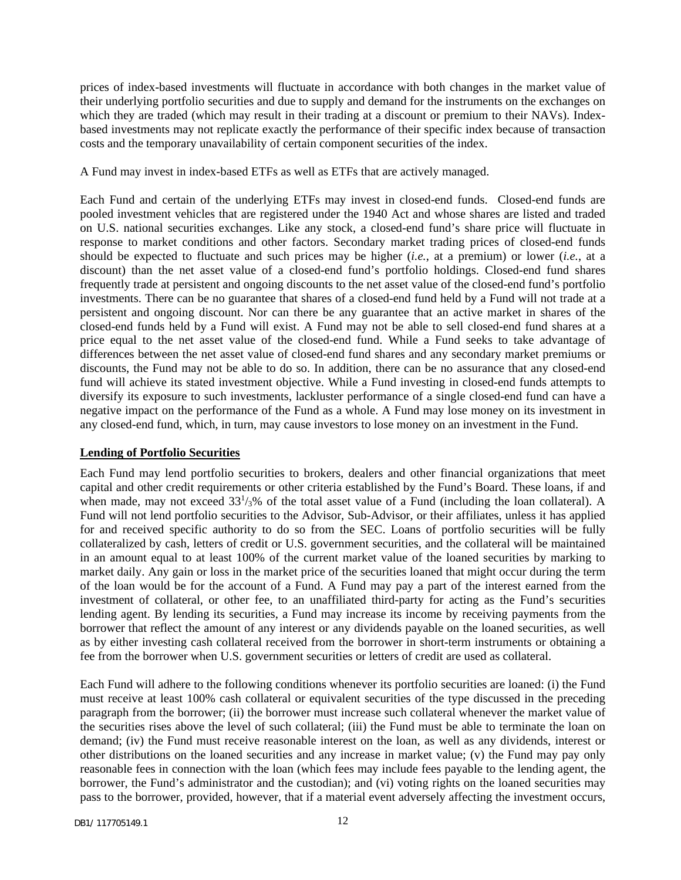prices of index-based investments will fluctuate in accordance with both changes in the market value of their underlying portfolio securities and due to supply and demand for the instruments on the exchanges on which they are traded (which may result in their trading at a discount or premium to their NAVs). Indexbased investments may not replicate exactly the performance of their specific index because of transaction costs and the temporary unavailability of certain component securities of the index.

A Fund may invest in index-based ETFs as well as ETFs that are actively managed.

Each Fund and certain of the underlying ETFs may invest in closed-end funds. Closed-end funds are pooled investment vehicles that are registered under the 1940 Act and whose shares are listed and traded on U.S. national securities exchanges. Like any stock, a closed-end fund's share price will fluctuate in response to market conditions and other factors. Secondary market trading prices of closed-end funds should be expected to fluctuate and such prices may be higher (*i.e.*, at a premium) or lower (*i.e.*, at a discount) than the net asset value of a closed-end fund's portfolio holdings. Closed-end fund shares frequently trade at persistent and ongoing discounts to the net asset value of the closed-end fund's portfolio investments. There can be no guarantee that shares of a closed-end fund held by a Fund will not trade at a persistent and ongoing discount. Nor can there be any guarantee that an active market in shares of the closed-end funds held by a Fund will exist. A Fund may not be able to sell closed-end fund shares at a price equal to the net asset value of the closed-end fund. While a Fund seeks to take advantage of differences between the net asset value of closed-end fund shares and any secondary market premiums or discounts, the Fund may not be able to do so. In addition, there can be no assurance that any closed-end fund will achieve its stated investment objective. While a Fund investing in closed-end funds attempts to diversify its exposure to such investments, lackluster performance of a single closed-end fund can have a negative impact on the performance of the Fund as a whole. A Fund may lose money on its investment in any closed-end fund, which, in turn, may cause investors to lose money on an investment in the Fund.

### **Lending of Portfolio Securities**

Each Fund may lend portfolio securities to brokers, dealers and other financial organizations that meet capital and other credit requirements or other criteria established by the Fund's Board. These loans, if and when made, may not exceed  $33<sup>1</sup>/3%$  of the total asset value of a Fund (including the loan collateral). A Fund will not lend portfolio securities to the Advisor, Sub-Advisor, or their affiliates, unless it has applied for and received specific authority to do so from the SEC. Loans of portfolio securities will be fully collateralized by cash, letters of credit or U.S. government securities, and the collateral will be maintained in an amount equal to at least 100% of the current market value of the loaned securities by marking to market daily. Any gain or loss in the market price of the securities loaned that might occur during the term of the loan would be for the account of a Fund. A Fund may pay a part of the interest earned from the investment of collateral, or other fee, to an unaffiliated third-party for acting as the Fund's securities lending agent. By lending its securities, a Fund may increase its income by receiving payments from the borrower that reflect the amount of any interest or any dividends payable on the loaned securities, as well as by either investing cash collateral received from the borrower in short-term instruments or obtaining a fee from the borrower when U.S. government securities or letters of credit are used as collateral.

Each Fund will adhere to the following conditions whenever its portfolio securities are loaned: (i) the Fund must receive at least 100% cash collateral or equivalent securities of the type discussed in the preceding paragraph from the borrower; (ii) the borrower must increase such collateral whenever the market value of the securities rises above the level of such collateral; (iii) the Fund must be able to terminate the loan on demand; (iv) the Fund must receive reasonable interest on the loan, as well as any dividends, interest or other distributions on the loaned securities and any increase in market value; (v) the Fund may pay only reasonable fees in connection with the loan (which fees may include fees payable to the lending agent, the borrower, the Fund's administrator and the custodian); and (vi) voting rights on the loaned securities may pass to the borrower, provided, however, that if a material event adversely affecting the investment occurs,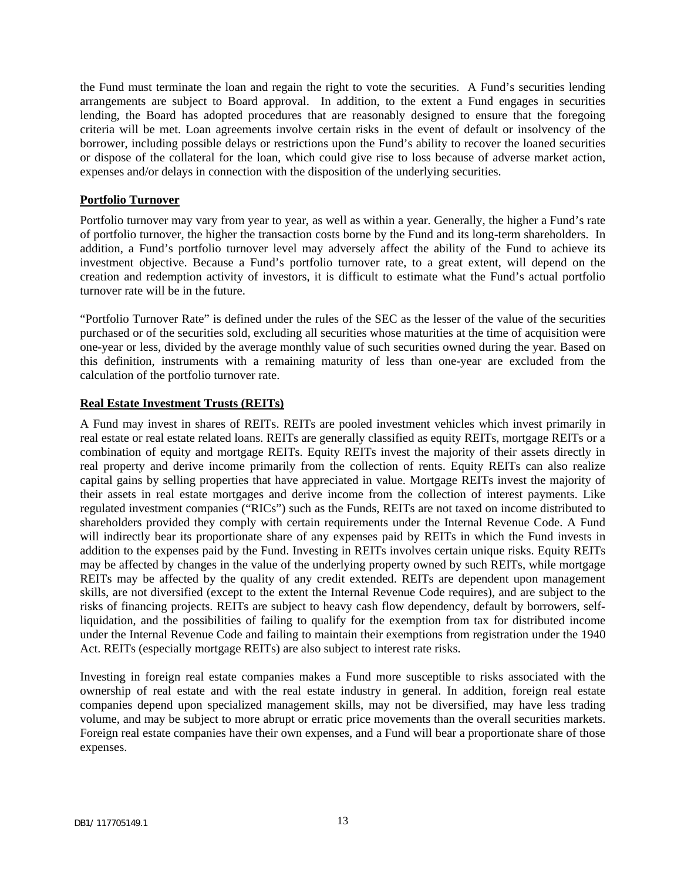the Fund must terminate the loan and regain the right to vote the securities. A Fund's securities lending arrangements are subject to Board approval. In addition, to the extent a Fund engages in securities lending, the Board has adopted procedures that are reasonably designed to ensure that the foregoing criteria will be met. Loan agreements involve certain risks in the event of default or insolvency of the borrower, including possible delays or restrictions upon the Fund's ability to recover the loaned securities or dispose of the collateral for the loan, which could give rise to loss because of adverse market action, expenses and/or delays in connection with the disposition of the underlying securities.

### **Portfolio Turnover**

Portfolio turnover may vary from year to year, as well as within a year. Generally, the higher a Fund's rate of portfolio turnover, the higher the transaction costs borne by the Fund and its long-term shareholders. In addition, a Fund's portfolio turnover level may adversely affect the ability of the Fund to achieve its investment objective. Because a Fund's portfolio turnover rate, to a great extent, will depend on the creation and redemption activity of investors, it is difficult to estimate what the Fund's actual portfolio turnover rate will be in the future.

"Portfolio Turnover Rate" is defined under the rules of the SEC as the lesser of the value of the securities purchased or of the securities sold, excluding all securities whose maturities at the time of acquisition were one-year or less, divided by the average monthly value of such securities owned during the year. Based on this definition, instruments with a remaining maturity of less than one-year are excluded from the calculation of the portfolio turnover rate.

### **Real Estate Investment Trusts (REITs)**

A Fund may invest in shares of REITs. REITs are pooled investment vehicles which invest primarily in real estate or real estate related loans. REITs are generally classified as equity REITs, mortgage REITs or a combination of equity and mortgage REITs. Equity REITs invest the majority of their assets directly in real property and derive income primarily from the collection of rents. Equity REITs can also realize capital gains by selling properties that have appreciated in value. Mortgage REITs invest the majority of their assets in real estate mortgages and derive income from the collection of interest payments. Like regulated investment companies ("RICs") such as the Funds, REITs are not taxed on income distributed to shareholders provided they comply with certain requirements under the Internal Revenue Code. A Fund will indirectly bear its proportionate share of any expenses paid by REITs in which the Fund invests in addition to the expenses paid by the Fund. Investing in REITs involves certain unique risks. Equity REITs may be affected by changes in the value of the underlying property owned by such REITs, while mortgage REITs may be affected by the quality of any credit extended. REITs are dependent upon management skills, are not diversified (except to the extent the Internal Revenue Code requires), and are subject to the risks of financing projects. REITs are subject to heavy cash flow dependency, default by borrowers, selfliquidation, and the possibilities of failing to qualify for the exemption from tax for distributed income under the Internal Revenue Code and failing to maintain their exemptions from registration under the 1940 Act. REITs (especially mortgage REITs) are also subject to interest rate risks.

Investing in foreign real estate companies makes a Fund more susceptible to risks associated with the ownership of real estate and with the real estate industry in general. In addition, foreign real estate companies depend upon specialized management skills, may not be diversified, may have less trading volume, and may be subject to more abrupt or erratic price movements than the overall securities markets. Foreign real estate companies have their own expenses, and a Fund will bear a proportionate share of those expenses.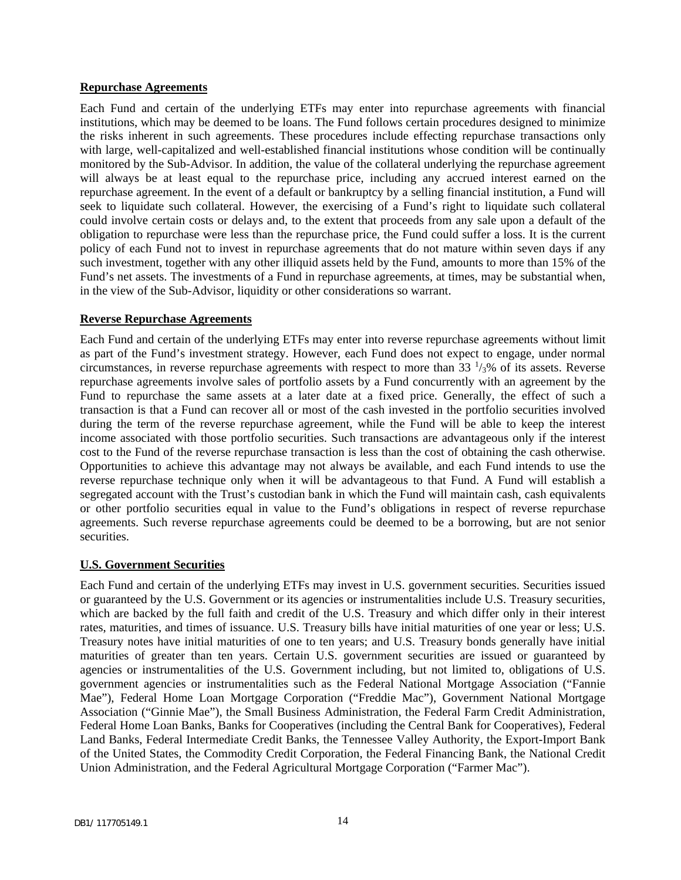#### **Repurchase Agreements**

Each Fund and certain of the underlying ETFs may enter into repurchase agreements with financial institutions, which may be deemed to be loans. The Fund follows certain procedures designed to minimize the risks inherent in such agreements. These procedures include effecting repurchase transactions only with large, well-capitalized and well-established financial institutions whose condition will be continually monitored by the Sub-Advisor. In addition, the value of the collateral underlying the repurchase agreement will always be at least equal to the repurchase price, including any accrued interest earned on the repurchase agreement. In the event of a default or bankruptcy by a selling financial institution, a Fund will seek to liquidate such collateral. However, the exercising of a Fund's right to liquidate such collateral could involve certain costs or delays and, to the extent that proceeds from any sale upon a default of the obligation to repurchase were less than the repurchase price, the Fund could suffer a loss. It is the current policy of each Fund not to invest in repurchase agreements that do not mature within seven days if any such investment, together with any other illiquid assets held by the Fund, amounts to more than 15% of the Fund's net assets. The investments of a Fund in repurchase agreements, at times, may be substantial when, in the view of the Sub-Advisor, liquidity or other considerations so warrant.

#### **Reverse Repurchase Agreements**

Each Fund and certain of the underlying ETFs may enter into reverse repurchase agreements without limit as part of the Fund's investment strategy. However, each Fund does not expect to engage, under normal circumstances, in reverse repurchase agreements with respect to more than  $33\frac{1}{3}\%$  of its assets. Reverse repurchase agreements involve sales of portfolio assets by a Fund concurrently with an agreement by the Fund to repurchase the same assets at a later date at a fixed price. Generally, the effect of such a transaction is that a Fund can recover all or most of the cash invested in the portfolio securities involved during the term of the reverse repurchase agreement, while the Fund will be able to keep the interest income associated with those portfolio securities. Such transactions are advantageous only if the interest cost to the Fund of the reverse repurchase transaction is less than the cost of obtaining the cash otherwise. Opportunities to achieve this advantage may not always be available, and each Fund intends to use the reverse repurchase technique only when it will be advantageous to that Fund. A Fund will establish a segregated account with the Trust's custodian bank in which the Fund will maintain cash, cash equivalents or other portfolio securities equal in value to the Fund's obligations in respect of reverse repurchase agreements. Such reverse repurchase agreements could be deemed to be a borrowing, but are not senior securities.

### **U.S. Government Securities**

Each Fund and certain of the underlying ETFs may invest in U.S. government securities. Securities issued or guaranteed by the U.S. Government or its agencies or instrumentalities include U.S. Treasury securities, which are backed by the full faith and credit of the U.S. Treasury and which differ only in their interest rates, maturities, and times of issuance. U.S. Treasury bills have initial maturities of one year or less; U.S. Treasury notes have initial maturities of one to ten years; and U.S. Treasury bonds generally have initial maturities of greater than ten years. Certain U.S. government securities are issued or guaranteed by agencies or instrumentalities of the U.S. Government including, but not limited to, obligations of U.S. government agencies or instrumentalities such as the Federal National Mortgage Association ("Fannie Mae"), Federal Home Loan Mortgage Corporation ("Freddie Mac"), Government National Mortgage Association ("Ginnie Mae"), the Small Business Administration, the Federal Farm Credit Administration, Federal Home Loan Banks, Banks for Cooperatives (including the Central Bank for Cooperatives), Federal Land Banks, Federal Intermediate Credit Banks, the Tennessee Valley Authority, the Export-Import Bank of the United States, the Commodity Credit Corporation, the Federal Financing Bank, the National Credit Union Administration, and the Federal Agricultural Mortgage Corporation ("Farmer Mac").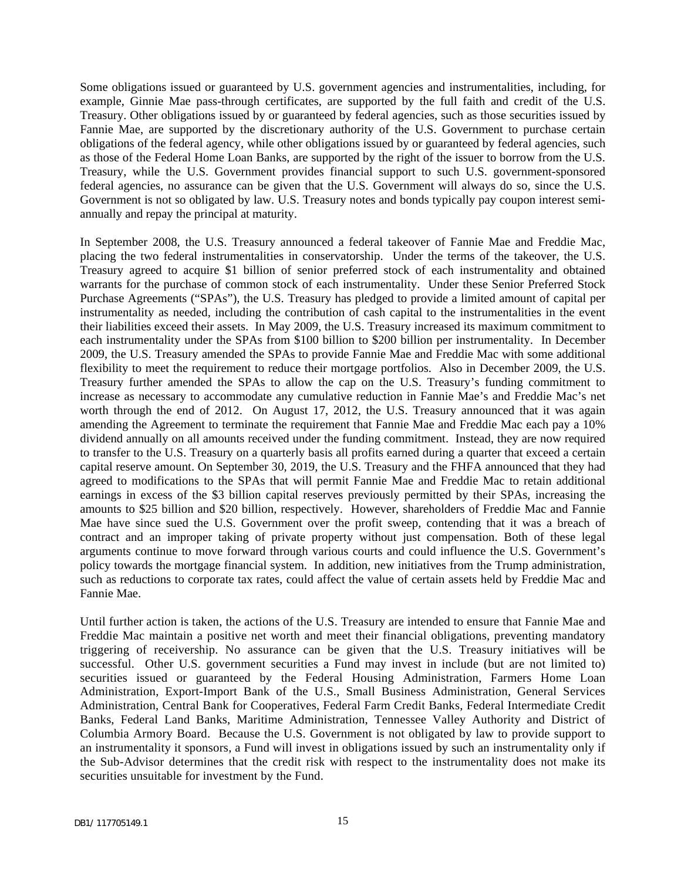Some obligations issued or guaranteed by U.S. government agencies and instrumentalities, including, for example, Ginnie Mae pass-through certificates, are supported by the full faith and credit of the U.S. Treasury. Other obligations issued by or guaranteed by federal agencies, such as those securities issued by Fannie Mae, are supported by the discretionary authority of the U.S. Government to purchase certain obligations of the federal agency, while other obligations issued by or guaranteed by federal agencies, such as those of the Federal Home Loan Banks, are supported by the right of the issuer to borrow from the U.S. Treasury, while the U.S. Government provides financial support to such U.S. government-sponsored federal agencies, no assurance can be given that the U.S. Government will always do so, since the U.S. Government is not so obligated by law. U.S. Treasury notes and bonds typically pay coupon interest semiannually and repay the principal at maturity.

In September 2008, the U.S. Treasury announced a federal takeover of Fannie Mae and Freddie Mac, placing the two federal instrumentalities in conservatorship. Under the terms of the takeover, the U.S. Treasury agreed to acquire \$1 billion of senior preferred stock of each instrumentality and obtained warrants for the purchase of common stock of each instrumentality. Under these Senior Preferred Stock Purchase Agreements ("SPAs"), the U.S. Treasury has pledged to provide a limited amount of capital per instrumentality as needed, including the contribution of cash capital to the instrumentalities in the event their liabilities exceed their assets. In May 2009, the U.S. Treasury increased its maximum commitment to each instrumentality under the SPAs from \$100 billion to \$200 billion per instrumentality. In December 2009, the U.S. Treasury amended the SPAs to provide Fannie Mae and Freddie Mac with some additional flexibility to meet the requirement to reduce their mortgage portfolios. Also in December 2009, the U.S. Treasury further amended the SPAs to allow the cap on the U.S. Treasury's funding commitment to increase as necessary to accommodate any cumulative reduction in Fannie Mae's and Freddie Mac's net worth through the end of 2012. On August 17, 2012, the U.S. Treasury announced that it was again amending the Agreement to terminate the requirement that Fannie Mae and Freddie Mac each pay a 10% dividend annually on all amounts received under the funding commitment. Instead, they are now required to transfer to the U.S. Treasury on a quarterly basis all profits earned during a quarter that exceed a certain capital reserve amount. On September 30, 2019, the U.S. Treasury and the FHFA announced that they had agreed to modifications to the SPAs that will permit Fannie Mae and Freddie Mac to retain additional earnings in excess of the \$3 billion capital reserves previously permitted by their SPAs, increasing the amounts to \$25 billion and \$20 billion, respectively. However, shareholders of Freddie Mac and Fannie Mae have since sued the U.S. Government over the profit sweep, contending that it was a breach of contract and an improper taking of private property without just compensation. Both of these legal arguments continue to move forward through various courts and could influence the U.S. Government's policy towards the mortgage financial system. In addition, new initiatives from the Trump administration, such as reductions to corporate tax rates, could affect the value of certain assets held by Freddie Mac and Fannie Mae.

Until further action is taken, the actions of the U.S. Treasury are intended to ensure that Fannie Mae and Freddie Mac maintain a positive net worth and meet their financial obligations, preventing mandatory triggering of receivership. No assurance can be given that the U.S. Treasury initiatives will be successful. Other U.S. government securities a Fund may invest in include (but are not limited to) securities issued or guaranteed by the Federal Housing Administration, Farmers Home Loan Administration, Export-Import Bank of the U.S., Small Business Administration, General Services Administration, Central Bank for Cooperatives, Federal Farm Credit Banks, Federal Intermediate Credit Banks, Federal Land Banks, Maritime Administration, Tennessee Valley Authority and District of Columbia Armory Board. Because the U.S. Government is not obligated by law to provide support to an instrumentality it sponsors, a Fund will invest in obligations issued by such an instrumentality only if the Sub-Advisor determines that the credit risk with respect to the instrumentality does not make its securities unsuitable for investment by the Fund.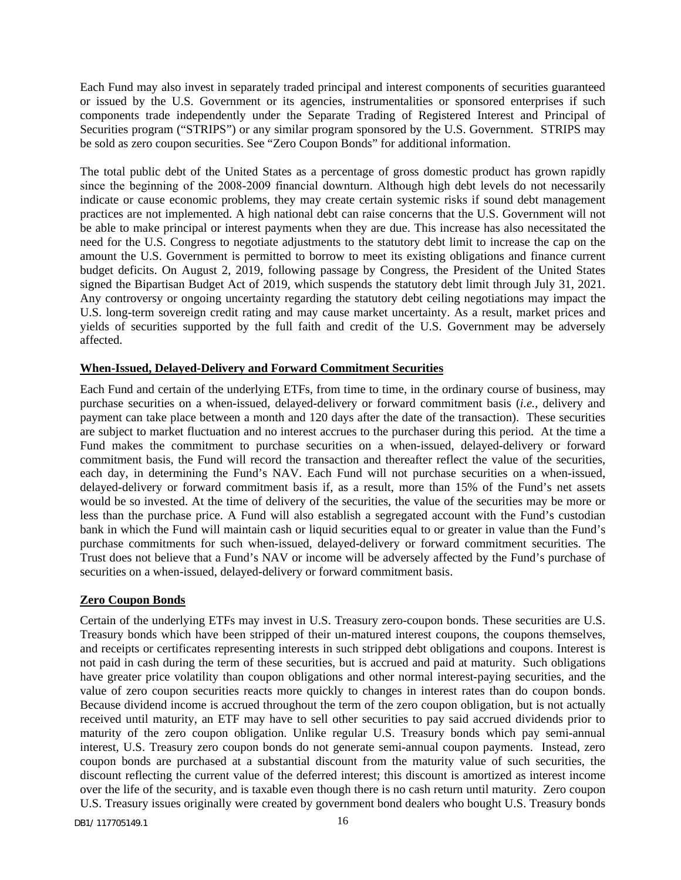Each Fund may also invest in separately traded principal and interest components of securities guaranteed or issued by the U.S. Government or its agencies, instrumentalities or sponsored enterprises if such components trade independently under the Separate Trading of Registered Interest and Principal of Securities program ("STRIPS") or any similar program sponsored by the U.S. Government. STRIPS may be sold as zero coupon securities. See "Zero Coupon Bonds" for additional information.

The total public debt of the United States as a percentage of gross domestic product has grown rapidly since the beginning of the 2008–2009 financial downturn. Although high debt levels do not necessarily indicate or cause economic problems, they may create certain systemic risks if sound debt management practices are not implemented. A high national debt can raise concerns that the U.S. Government will not be able to make principal or interest payments when they are due. This increase has also necessitated the need for the U.S. Congress to negotiate adjustments to the statutory debt limit to increase the cap on the amount the U.S. Government is permitted to borrow to meet its existing obligations and finance current budget deficits. On August 2, 2019, following passage by Congress, the President of the United States signed the Bipartisan Budget Act of 2019, which suspends the statutory debt limit through July 31, 2021. Any controversy or ongoing uncertainty regarding the statutory debt ceiling negotiations may impact the U.S. long-term sovereign credit rating and may cause market uncertainty. As a result, market prices and yields of securities supported by the full faith and credit of the U.S. Government may be adversely affected.

#### **When-Issued, Delayed-Delivery and Forward Commitment Securities**

Each Fund and certain of the underlying ETFs, from time to time, in the ordinary course of business, may purchase securities on a when-issued, delayed-delivery or forward commitment basis (*i.e.*, delivery and payment can take place between a month and 120 days after the date of the transaction). These securities are subject to market fluctuation and no interest accrues to the purchaser during this period. At the time a Fund makes the commitment to purchase securities on a when-issued, delayed-delivery or forward commitment basis, the Fund will record the transaction and thereafter reflect the value of the securities, each day, in determining the Fund's NAV. Each Fund will not purchase securities on a when-issued, delayed-delivery or forward commitment basis if, as a result, more than 15% of the Fund's net assets would be so invested. At the time of delivery of the securities, the value of the securities may be more or less than the purchase price. A Fund will also establish a segregated account with the Fund's custodian bank in which the Fund will maintain cash or liquid securities equal to or greater in value than the Fund's purchase commitments for such when-issued, delayed-delivery or forward commitment securities. The Trust does not believe that a Fund's NAV or income will be adversely affected by the Fund's purchase of securities on a when-issued, delayed-delivery or forward commitment basis.

#### **Zero Coupon Bonds**

Certain of the underlying ETFs may invest in U.S. Treasury zero-coupon bonds. These securities are U.S. Treasury bonds which have been stripped of their un-matured interest coupons, the coupons themselves, and receipts or certificates representing interests in such stripped debt obligations and coupons. Interest is not paid in cash during the term of these securities, but is accrued and paid at maturity. Such obligations have greater price volatility than coupon obligations and other normal interest-paying securities, and the value of zero coupon securities reacts more quickly to changes in interest rates than do coupon bonds. Because dividend income is accrued throughout the term of the zero coupon obligation, but is not actually received until maturity, an ETF may have to sell other securities to pay said accrued dividends prior to maturity of the zero coupon obligation. Unlike regular U.S. Treasury bonds which pay semi-annual interest, U.S. Treasury zero coupon bonds do not generate semi-annual coupon payments. Instead, zero coupon bonds are purchased at a substantial discount from the maturity value of such securities, the discount reflecting the current value of the deferred interest; this discount is amortized as interest income over the life of the security, and is taxable even though there is no cash return until maturity. Zero coupon U.S. Treasury issues originally were created by government bond dealers who bought U.S. Treasury bonds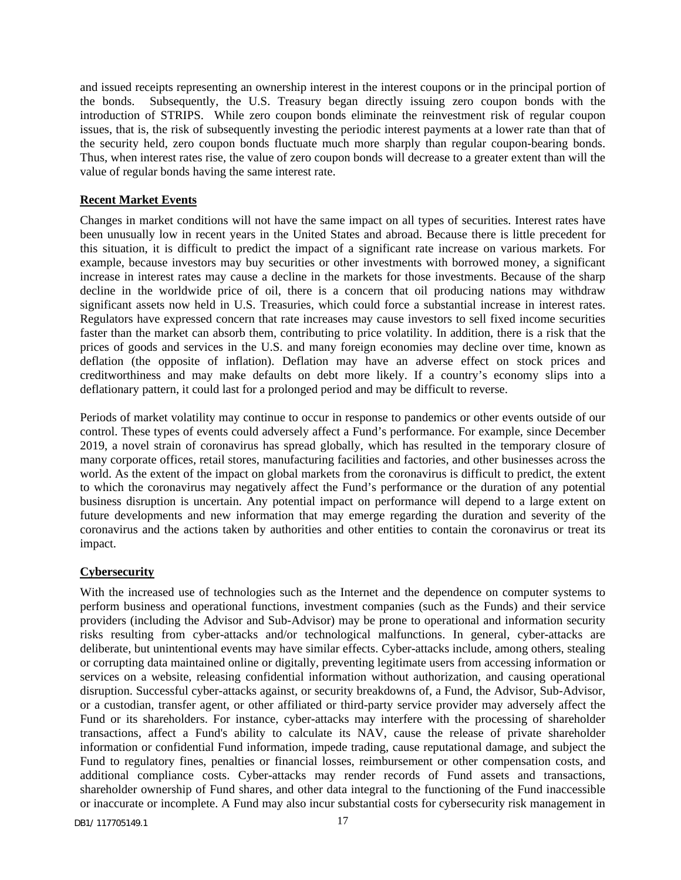and issued receipts representing an ownership interest in the interest coupons or in the principal portion of the bonds. Subsequently, the U.S. Treasury began directly issuing zero coupon bonds with the introduction of STRIPS. While zero coupon bonds eliminate the reinvestment risk of regular coupon issues, that is, the risk of subsequently investing the periodic interest payments at a lower rate than that of the security held, zero coupon bonds fluctuate much more sharply than regular coupon-bearing bonds. Thus, when interest rates rise, the value of zero coupon bonds will decrease to a greater extent than will the value of regular bonds having the same interest rate.

### **Recent Market Events**

Changes in market conditions will not have the same impact on all types of securities. Interest rates have been unusually low in recent years in the United States and abroad. Because there is little precedent for this situation, it is difficult to predict the impact of a significant rate increase on various markets. For example, because investors may buy securities or other investments with borrowed money, a significant increase in interest rates may cause a decline in the markets for those investments. Because of the sharp decline in the worldwide price of oil, there is a concern that oil producing nations may withdraw significant assets now held in U.S. Treasuries, which could force a substantial increase in interest rates. Regulators have expressed concern that rate increases may cause investors to sell fixed income securities faster than the market can absorb them, contributing to price volatility. In addition, there is a risk that the prices of goods and services in the U.S. and many foreign economies may decline over time, known as deflation (the opposite of inflation). Deflation may have an adverse effect on stock prices and creditworthiness and may make defaults on debt more likely. If a country's economy slips into a deflationary pattern, it could last for a prolonged period and may be difficult to reverse.

Periods of market volatility may continue to occur in response to pandemics or other events outside of our control. These types of events could adversely affect a Fund's performance. For example, since December 2019, a novel strain of coronavirus has spread globally, which has resulted in the temporary closure of many corporate offices, retail stores, manufacturing facilities and factories, and other businesses across the world. As the extent of the impact on global markets from the coronavirus is difficult to predict, the extent to which the coronavirus may negatively affect the Fund's performance or the duration of any potential business disruption is uncertain. Any potential impact on performance will depend to a large extent on future developments and new information that may emerge regarding the duration and severity of the coronavirus and the actions taken by authorities and other entities to contain the coronavirus or treat its impact.

### **Cybersecurity**

With the increased use of technologies such as the Internet and the dependence on computer systems to perform business and operational functions, investment companies (such as the Funds) and their service providers (including the Advisor and Sub-Advisor) may be prone to operational and information security risks resulting from cyber-attacks and/or technological malfunctions. In general, cyber-attacks are deliberate, but unintentional events may have similar effects. Cyber-attacks include, among others, stealing or corrupting data maintained online or digitally, preventing legitimate users from accessing information or services on a website, releasing confidential information without authorization, and causing operational disruption. Successful cyber-attacks against, or security breakdowns of, a Fund, the Advisor, Sub-Advisor, or a custodian, transfer agent, or other affiliated or third-party service provider may adversely affect the Fund or its shareholders. For instance, cyber-attacks may interfere with the processing of shareholder transactions, affect a Fund's ability to calculate its NAV, cause the release of private shareholder information or confidential Fund information, impede trading, cause reputational damage, and subject the Fund to regulatory fines, penalties or financial losses, reimbursement or other compensation costs, and additional compliance costs. Cyber-attacks may render records of Fund assets and transactions, shareholder ownership of Fund shares, and other data integral to the functioning of the Fund inaccessible or inaccurate or incomplete. A Fund may also incur substantial costs for cybersecurity risk management in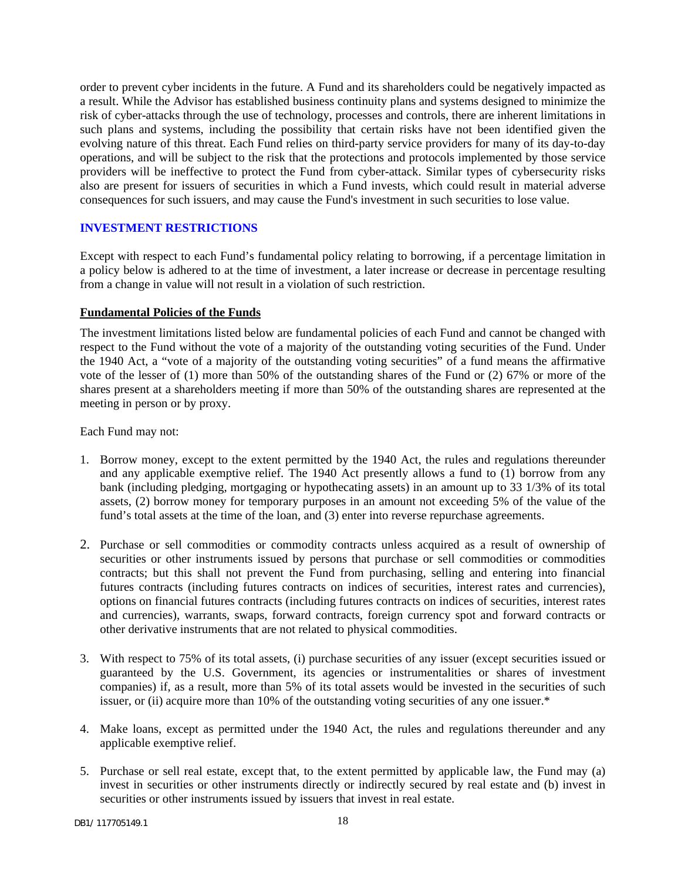order to prevent cyber incidents in the future. A Fund and its shareholders could be negatively impacted as a result. While the Advisor has established business continuity plans and systems designed to minimize the risk of cyber-attacks through the use of technology, processes and controls, there are inherent limitations in such plans and systems, including the possibility that certain risks have not been identified given the evolving nature of this threat. Each Fund relies on third-party service providers for many of its day-to-day operations, and will be subject to the risk that the protections and protocols implemented by those service providers will be ineffective to protect the Fund from cyber-attack. Similar types of cybersecurity risks also are present for issuers of securities in which a Fund invests, which could result in material adverse consequences for such issuers, and may cause the Fund's investment in such securities to lose value.

#### <span id="page-19-0"></span>**INVESTMENT RESTRICTIONS**

Except with respect to each Fund's fundamental policy relating to borrowing, if a percentage limitation in a policy below is adhered to at the time of investment, a later increase or decrease in percentage resulting from a change in value will not result in a violation of such restriction.

#### **Fundamental Policies of the Funds**

The investment limitations listed below are fundamental policies of each Fund and cannot be changed with respect to the Fund without the vote of a majority of the outstanding voting securities of the Fund. Under the 1940 Act, a "vote of a majority of the outstanding voting securities" of a fund means the affirmative vote of the lesser of (1) more than 50% of the outstanding shares of the Fund or (2) 67% or more of the shares present at a shareholders meeting if more than 50% of the outstanding shares are represented at the meeting in person or by proxy.

Each Fund may not:

- 1. Borrow money, except to the extent permitted by the 1940 Act, the rules and regulations thereunder and any applicable exemptive relief. The 1940 Act presently allows a fund to (1) borrow from any bank (including pledging, mortgaging or hypothecating assets) in an amount up to 33 1/3% of its total assets, (2) borrow money for temporary purposes in an amount not exceeding 5% of the value of the fund's total assets at the time of the loan, and (3) enter into reverse repurchase agreements.
- 2. Purchase or sell commodities or commodity contracts unless acquired as a result of ownership of securities or other instruments issued by persons that purchase or sell commodities or commodities contracts; but this shall not prevent the Fund from purchasing, selling and entering into financial futures contracts (including futures contracts on indices of securities, interest rates and currencies), options on financial futures contracts (including futures contracts on indices of securities, interest rates and currencies), warrants, swaps, forward contracts, foreign currency spot and forward contracts or other derivative instruments that are not related to physical commodities.
- 3. With respect to 75% of its total assets, (i) purchase securities of any issuer (except securities issued or guaranteed by the U.S. Government, its agencies or instrumentalities or shares of investment companies) if, as a result, more than 5% of its total assets would be invested in the securities of such issuer, or (ii) acquire more than 10% of the outstanding voting securities of any one issuer.\*
- 4. Make loans, except as permitted under the 1940 Act, the rules and regulations thereunder and any applicable exemptive relief.
- 5. Purchase or sell real estate, except that, to the extent permitted by applicable law, the Fund may (a) invest in securities or other instruments directly or indirectly secured by real estate and (b) invest in securities or other instruments issued by issuers that invest in real estate.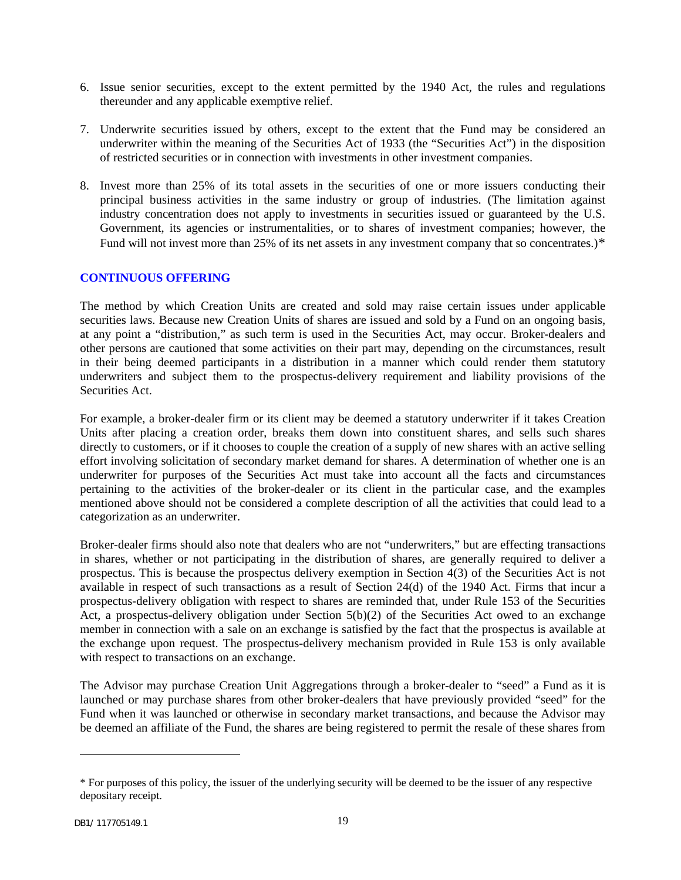- 6. Issue senior securities, except to the extent permitted by the 1940 Act, the rules and regulations thereunder and any applicable exemptive relief.
- 7. Underwrite securities issued by others, except to the extent that the Fund may be considered an underwriter within the meaning of the Securities Act of 1933 (the "Securities Act") in the disposition of restricted securities or in connection with investments in other investment companies.
- 8. Invest more than 25% of its total assets in the securities of one or more issuers conducting their principal business activities in the same industry or group of industries. (The limitation against industry concentration does not apply to investments in securities issued or guaranteed by the U.S. Government, its agencies or instrumentalities, or to shares of investment companies; however, the Fund will not invest more than 25% of its net assets in any investment company that so concentrates.)[\\*](#page-20-1)

### <span id="page-20-0"></span>**CONTINUOUS OFFERING**

The method by which Creation Units are created and sold may raise certain issues under applicable securities laws. Because new Creation Units of shares are issued and sold by a Fund on an ongoing basis, at any point a "distribution," as such term is used in the Securities Act, may occur. Broker-dealers and other persons are cautioned that some activities on their part may, depending on the circumstances, result in their being deemed participants in a distribution in a manner which could render them statutory underwriters and subject them to the prospectus-delivery requirement and liability provisions of the Securities Act.

For example, a broker-dealer firm or its client may be deemed a statutory underwriter if it takes Creation Units after placing a creation order, breaks them down into constituent shares, and sells such shares directly to customers, or if it chooses to couple the creation of a supply of new shares with an active selling effort involving solicitation of secondary market demand for shares. A determination of whether one is an underwriter for purposes of the Securities Act must take into account all the facts and circumstances pertaining to the activities of the broker-dealer or its client in the particular case, and the examples mentioned above should not be considered a complete description of all the activities that could lead to a categorization as an underwriter.

Broker-dealer firms should also note that dealers who are not "underwriters," but are effecting transactions in shares, whether or not participating in the distribution of shares, are generally required to deliver a prospectus. This is because the prospectus delivery exemption in Section 4(3) of the Securities Act is not available in respect of such transactions as a result of Section 24(d) of the 1940 Act. Firms that incur a prospectus-delivery obligation with respect to shares are reminded that, under Rule 153 of the Securities Act, a prospectus-delivery obligation under Section 5(b)(2) of the Securities Act owed to an exchange member in connection with a sale on an exchange is satisfied by the fact that the prospectus is available at the exchange upon request. The prospectus-delivery mechanism provided in Rule 153 is only available with respect to transactions on an exchange.

The Advisor may purchase Creation Unit Aggregations through a broker-dealer to "seed" a Fund as it is launched or may purchase shares from other broker-dealers that have previously provided "seed" for the Fund when it was launched or otherwise in secondary market transactions, and because the Advisor may be deemed an affiliate of the Fund, the shares are being registered to permit the resale of these shares from

<span id="page-20-1"></span><sup>\*</sup> For purposes of this policy, the issuer of the underlying security will be deemed to be the issuer of any respective depositary receipt.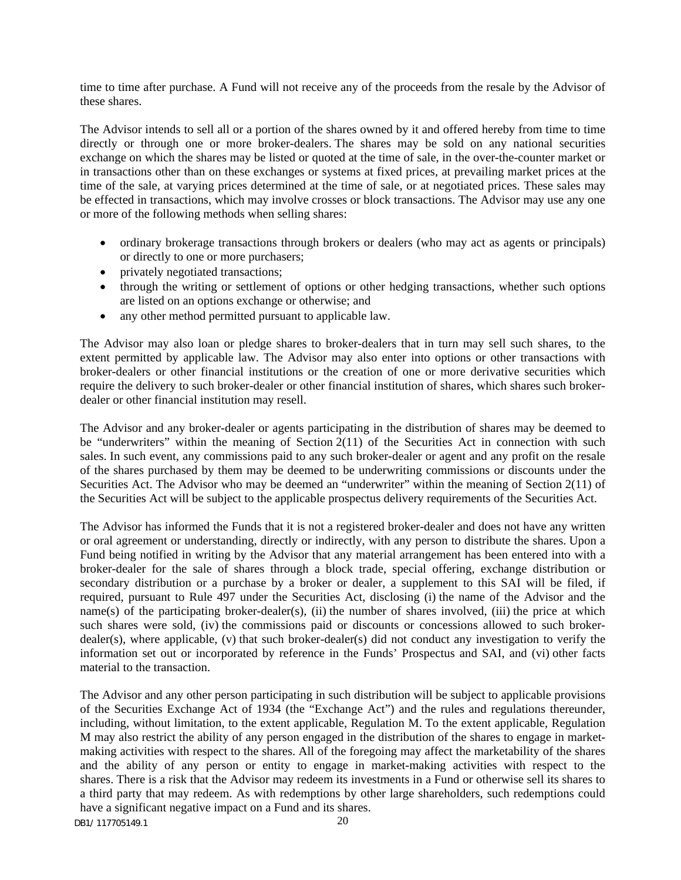time to time after purchase. A Fund will not receive any of the proceeds from the resale by the Advisor of these shares.

The Advisor intends to sell all or a portion of the shares owned by it and offered hereby from time to time directly or through one or more broker-dealers. The shares may be sold on any national securities exchange on which the shares may be listed or quoted at the time of sale, in the over-the-counter market or in transactions other than on these exchanges or systems at fixed prices, at prevailing market prices at the time of the sale, at varying prices determined at the time of sale, or at negotiated prices. These sales may be effected in transactions, which may involve crosses or block transactions. The Advisor may use any one or more of the following methods when selling shares:

- ordinary brokerage transactions through brokers or dealers (who may act as agents or principals) or directly to one or more purchasers;
- privately negotiated transactions;
- through the writing or settlement of options or other hedging transactions, whether such options are listed on an options exchange or otherwise; and
- any other method permitted pursuant to applicable law.

The Advisor may also loan or pledge shares to broker-dealers that in turn may sell such shares, to the extent permitted by applicable law. The Advisor may also enter into options or other transactions with broker-dealers or other financial institutions or the creation of one or more derivative securities which require the delivery to such broker-dealer or other financial institution of shares, which shares such brokerdealer or other financial institution may resell.

The Advisor and any broker-dealer or agents participating in the distribution of shares may be deemed to be "underwriters" within the meaning of Section 2(11) of the Securities Act in connection with such sales. In such event, any commissions paid to any such broker-dealer or agent and any profit on the resale of the shares purchased by them may be deemed to be underwriting commissions or discounts under the Securities Act. The Advisor who may be deemed an "underwriter" within the meaning of Section 2(11) of the Securities Act will be subject to the applicable prospectus delivery requirements of the Securities Act.

The Advisor has informed the Funds that it is not a registered broker-dealer and does not have any written or oral agreement or understanding, directly or indirectly, with any person to distribute the shares. Upon a Fund being notified in writing by the Advisor that any material arrangement has been entered into with a broker-dealer for the sale of shares through a block trade, special offering, exchange distribution or secondary distribution or a purchase by a broker or dealer, a supplement to this SAI will be filed, if required, pursuant to Rule 497 under the Securities Act, disclosing (i) the name of the Advisor and the name(s) of the participating broker-dealer(s), (ii) the number of shares involved, (iii) the price at which such shares were sold, (iv) the commissions paid or discounts or concessions allowed to such brokerdealer(s), where applicable, (v) that such broker-dealer(s) did not conduct any investigation to verify the information set out or incorporated by reference in the Funds' Prospectus and SAI, and (vi) other facts material to the transaction.

The Advisor and any other person participating in such distribution will be subject to applicable provisions of the Securities Exchange Act of 1934 (the "Exchange Act") and the rules and regulations thereunder, including, without limitation, to the extent applicable, Regulation M. To the extent applicable, Regulation M may also restrict the ability of any person engaged in the distribution of the shares to engage in marketmaking activities with respect to the shares. All of the foregoing may affect the marketability of the shares and the ability of any person or entity to engage in market-making activities with respect to the shares. There is a risk that the Advisor may redeem its investments in a Fund or otherwise sell its shares to a third party that may redeem. As with redemptions by other large shareholders, such redemptions could have a significant negative impact on a Fund and its shares.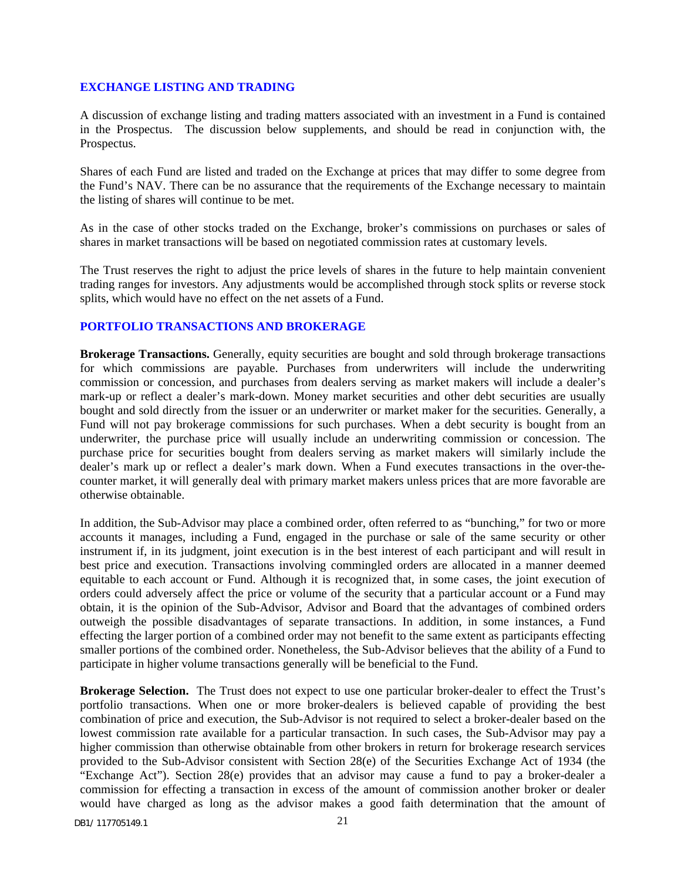#### <span id="page-22-0"></span>**EXCHANGE LISTING AND TRADING**

A discussion of exchange listing and trading matters associated with an investment in a Fund is contained in the Prospectus. The discussion below supplements, and should be read in conjunction with, the Prospectus.

Shares of each Fund are listed and traded on the Exchange at prices that may differ to some degree from the Fund's NAV. There can be no assurance that the requirements of the Exchange necessary to maintain the listing of shares will continue to be met.

As in the case of other stocks traded on the Exchange, broker's commissions on purchases or sales of shares in market transactions will be based on negotiated commission rates at customary levels.

The Trust reserves the right to adjust the price levels of shares in the future to help maintain convenient trading ranges for investors. Any adjustments would be accomplished through stock splits or reverse stock splits, which would have no effect on the net assets of a Fund.

### <span id="page-22-1"></span>**PORTFOLIO TRANSACTIONS AND BROKERAGE**

**Brokerage Transactions.** Generally, equity securities are bought and sold through brokerage transactions for which commissions are payable. Purchases from underwriters will include the underwriting commission or concession, and purchases from dealers serving as market makers will include a dealer's mark-up or reflect a dealer's mark-down. Money market securities and other debt securities are usually bought and sold directly from the issuer or an underwriter or market maker for the securities. Generally, a Fund will not pay brokerage commissions for such purchases. When a debt security is bought from an underwriter, the purchase price will usually include an underwriting commission or concession. The purchase price for securities bought from dealers serving as market makers will similarly include the dealer's mark up or reflect a dealer's mark down. When a Fund executes transactions in the over-thecounter market, it will generally deal with primary market makers unless prices that are more favorable are otherwise obtainable.

In addition, the Sub-Advisor may place a combined order, often referred to as "bunching," for two or more accounts it manages, including a Fund, engaged in the purchase or sale of the same security or other instrument if, in its judgment, joint execution is in the best interest of each participant and will result in best price and execution. Transactions involving commingled orders are allocated in a manner deemed equitable to each account or Fund. Although it is recognized that, in some cases, the joint execution of orders could adversely affect the price or volume of the security that a particular account or a Fund may obtain, it is the opinion of the Sub-Advisor, Advisor and Board that the advantages of combined orders outweigh the possible disadvantages of separate transactions. In addition, in some instances, a Fund effecting the larger portion of a combined order may not benefit to the same extent as participants effecting smaller portions of the combined order. Nonetheless, the Sub-Advisor believes that the ability of a Fund to participate in higher volume transactions generally will be beneficial to the Fund.

**Brokerage Selection.** The Trust does not expect to use one particular broker-dealer to effect the Trust's portfolio transactions. When one or more broker-dealers is believed capable of providing the best combination of price and execution, the Sub-Advisor is not required to select a broker-dealer based on the lowest commission rate available for a particular transaction. In such cases, the Sub-Advisor may pay a higher commission than otherwise obtainable from other brokers in return for brokerage research services provided to the Sub-Advisor consistent with Section 28(e) of the Securities Exchange Act of 1934 (the "Exchange Act"). Section 28(e) provides that an advisor may cause a fund to pay a broker-dealer a commission for effecting a transaction in excess of the amount of commission another broker or dealer would have charged as long as the advisor makes a good faith determination that the amount of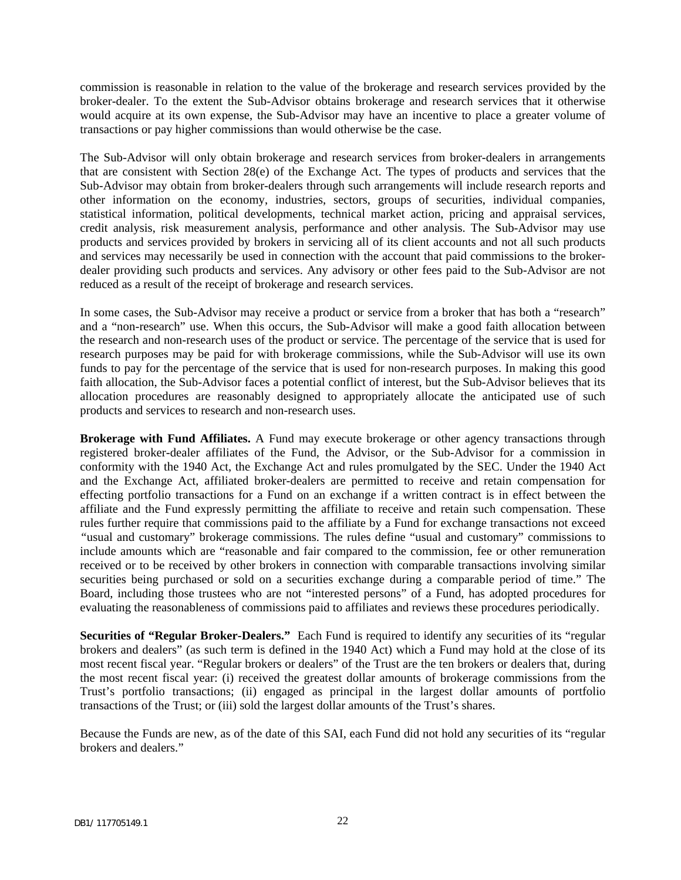commission is reasonable in relation to the value of the brokerage and research services provided by the broker-dealer. To the extent the Sub-Advisor obtains brokerage and research services that it otherwise would acquire at its own expense, the Sub-Advisor may have an incentive to place a greater volume of transactions or pay higher commissions than would otherwise be the case.

The Sub-Advisor will only obtain brokerage and research services from broker-dealers in arrangements that are consistent with Section 28(e) of the Exchange Act. The types of products and services that the Sub-Advisor may obtain from broker-dealers through such arrangements will include research reports and other information on the economy, industries, sectors, groups of securities, individual companies, statistical information, political developments, technical market action, pricing and appraisal services, credit analysis, risk measurement analysis, performance and other analysis. The Sub-Advisor may use products and services provided by brokers in servicing all of its client accounts and not all such products and services may necessarily be used in connection with the account that paid commissions to the brokerdealer providing such products and services. Any advisory or other fees paid to the Sub-Advisor are not reduced as a result of the receipt of brokerage and research services.

In some cases, the Sub-Advisor may receive a product or service from a broker that has both a "research" and a "non-research" use. When this occurs, the Sub-Advisor will make a good faith allocation between the research and non-research uses of the product or service. The percentage of the service that is used for research purposes may be paid for with brokerage commissions, while the Sub-Advisor will use its own funds to pay for the percentage of the service that is used for non-research purposes. In making this good faith allocation, the Sub-Advisor faces a potential conflict of interest, but the Sub-Advisor believes that its allocation procedures are reasonably designed to appropriately allocate the anticipated use of such products and services to research and non-research uses.

**Brokerage with Fund Affiliates.** A Fund may execute brokerage or other agency transactions through registered broker-dealer affiliates of the Fund, the Advisor, or the Sub-Advisor for a commission in conformity with the 1940 Act, the Exchange Act and rules promulgated by the SEC. Under the 1940 Act and the Exchange Act, affiliated broker-dealers are permitted to receive and retain compensation for effecting portfolio transactions for a Fund on an exchange if a written contract is in effect between the affiliate and the Fund expressly permitting the affiliate to receive and retain such compensation. These rules further require that commissions paid to the affiliate by a Fund for exchange transactions not exceed *"*usual and customary" brokerage commissions. The rules define "usual and customary" commissions to include amounts which are "reasonable and fair compared to the commission, fee or other remuneration received or to be received by other brokers in connection with comparable transactions involving similar securities being purchased or sold on a securities exchange during a comparable period of time." The Board, including those trustees who are not "interested persons" of a Fund, has adopted procedures for evaluating the reasonableness of commissions paid to affiliates and reviews these procedures periodically.

**Securities of "Regular Broker-Dealers."** Each Fund is required to identify any securities of its "regular brokers and dealers" (as such term is defined in the 1940 Act) which a Fund may hold at the close of its most recent fiscal year. "Regular brokers or dealers" of the Trust are the ten brokers or dealers that, during the most recent fiscal year: (i) received the greatest dollar amounts of brokerage commissions from the Trust's portfolio transactions; (ii) engaged as principal in the largest dollar amounts of portfolio transactions of the Trust; or (iii) sold the largest dollar amounts of the Trust's shares.

Because the Funds are new, as of the date of this SAI, each Fund did not hold any securities of its "regular brokers and dealers."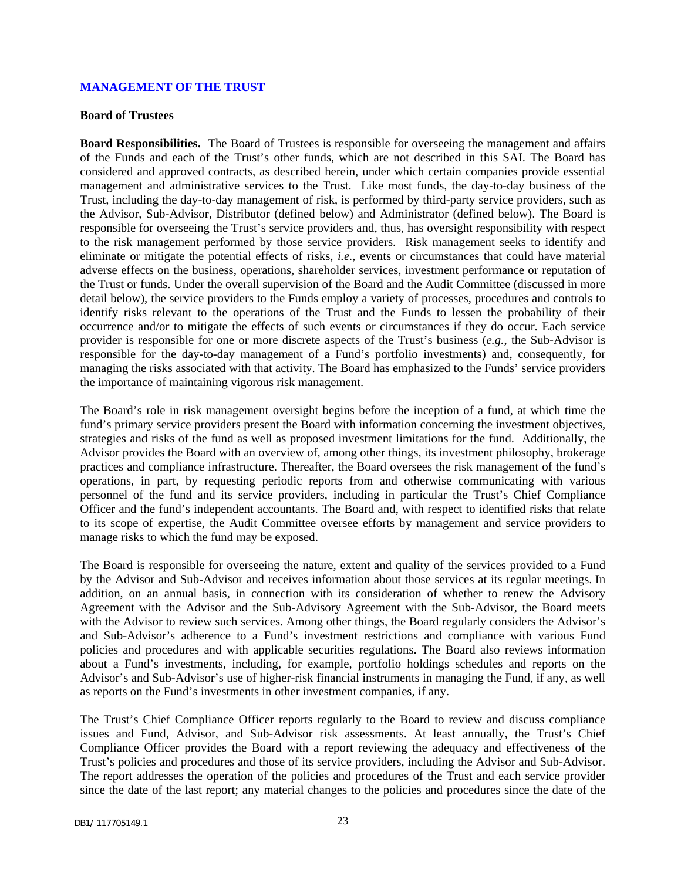#### <span id="page-24-0"></span>**MANAGEMENT OF THE TRUST**

#### **Board of Trustees**

**Board Responsibilities.** The Board of Trustees is responsible for overseeing the management and affairs of the Funds and each of the Trust's other funds, which are not described in this SAI. The Board has considered and approved contracts, as described herein, under which certain companies provide essential management and administrative services to the Trust. Like most funds, the day-to-day business of the Trust, including the day-to-day management of risk, is performed by third-party service providers, such as the Advisor, Sub-Advisor, Distributor (defined below) and Administrator (defined below). The Board is responsible for overseeing the Trust's service providers and, thus, has oversight responsibility with respect to the risk management performed by those service providers. Risk management seeks to identify and eliminate or mitigate the potential effects of risks, *i.e.*, events or circumstances that could have material adverse effects on the business, operations, shareholder services, investment performance or reputation of the Trust or funds. Under the overall supervision of the Board and the Audit Committee (discussed in more detail below), the service providers to the Funds employ a variety of processes, procedures and controls to identify risks relevant to the operations of the Trust and the Funds to lessen the probability of their occurrence and/or to mitigate the effects of such events or circumstances if they do occur. Each service provider is responsible for one or more discrete aspects of the Trust's business (*e.g.*, the Sub-Advisor is responsible for the day-to-day management of a Fund's portfolio investments) and, consequently, for managing the risks associated with that activity. The Board has emphasized to the Funds' service providers the importance of maintaining vigorous risk management.

The Board's role in risk management oversight begins before the inception of a fund, at which time the fund's primary service providers present the Board with information concerning the investment objectives, strategies and risks of the fund as well as proposed investment limitations for the fund. Additionally, the Advisor provides the Board with an overview of, among other things, its investment philosophy, brokerage practices and compliance infrastructure. Thereafter, the Board oversees the risk management of the fund's operations, in part, by requesting periodic reports from and otherwise communicating with various personnel of the fund and its service providers, including in particular the Trust's Chief Compliance Officer and the fund's independent accountants. The Board and, with respect to identified risks that relate to its scope of expertise, the Audit Committee oversee efforts by management and service providers to manage risks to which the fund may be exposed.

The Board is responsible for overseeing the nature, extent and quality of the services provided to a Fund by the Advisor and Sub-Advisor and receives information about those services at its regular meetings. In addition, on an annual basis, in connection with its consideration of whether to renew the Advisory Agreement with the Advisor and the Sub-Advisory Agreement with the Sub-Advisor, the Board meets with the Advisor to review such services. Among other things, the Board regularly considers the Advisor's and Sub-Advisor's adherence to a Fund's investment restrictions and compliance with various Fund policies and procedures and with applicable securities regulations. The Board also reviews information about a Fund's investments, including, for example, portfolio holdings schedules and reports on the Advisor's and Sub-Advisor's use of higher-risk financial instruments in managing the Fund, if any, as well as reports on the Fund's investments in other investment companies, if any.

The Trust's Chief Compliance Officer reports regularly to the Board to review and discuss compliance issues and Fund, Advisor, and Sub-Advisor risk assessments. At least annually, the Trust's Chief Compliance Officer provides the Board with a report reviewing the adequacy and effectiveness of the Trust's policies and procedures and those of its service providers, including the Advisor and Sub-Advisor. The report addresses the operation of the policies and procedures of the Trust and each service provider since the date of the last report; any material changes to the policies and procedures since the date of the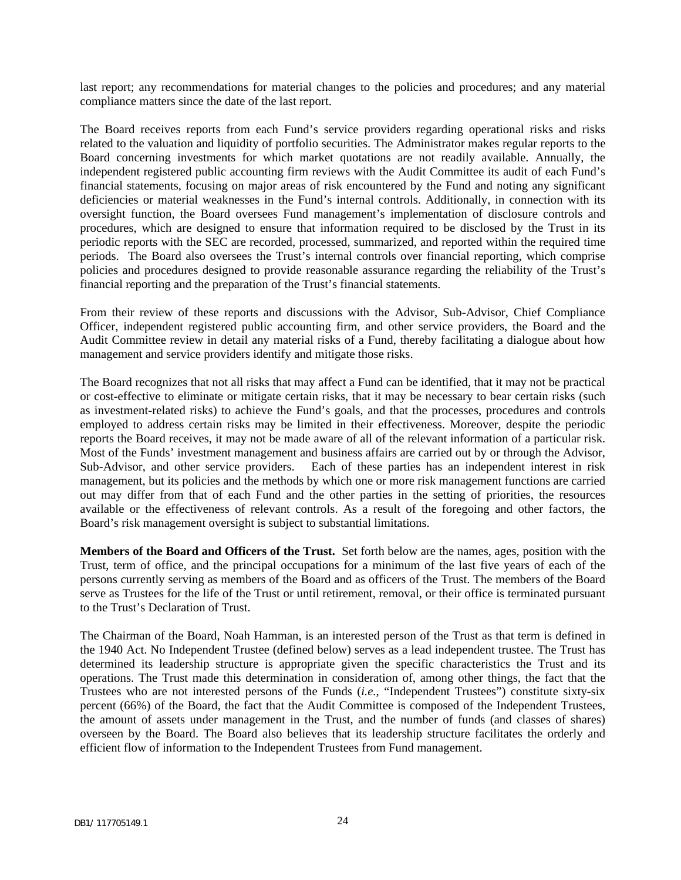last report; any recommendations for material changes to the policies and procedures; and any material compliance matters since the date of the last report.

The Board receives reports from each Fund's service providers regarding operational risks and risks related to the valuation and liquidity of portfolio securities. The Administrator makes regular reports to the Board concerning investments for which market quotations are not readily available. Annually, the independent registered public accounting firm reviews with the Audit Committee its audit of each Fund's financial statements, focusing on major areas of risk encountered by the Fund and noting any significant deficiencies or material weaknesses in the Fund's internal controls. Additionally, in connection with its oversight function, the Board oversees Fund management's implementation of disclosure controls and procedures, which are designed to ensure that information required to be disclosed by the Trust in its periodic reports with the SEC are recorded, processed, summarized, and reported within the required time periods. The Board also oversees the Trust's internal controls over financial reporting, which comprise policies and procedures designed to provide reasonable assurance regarding the reliability of the Trust's financial reporting and the preparation of the Trust's financial statements.

From their review of these reports and discussions with the Advisor, Sub-Advisor, Chief Compliance Officer, independent registered public accounting firm, and other service providers, the Board and the Audit Committee review in detail any material risks of a Fund, thereby facilitating a dialogue about how management and service providers identify and mitigate those risks.

The Board recognizes that not all risks that may affect a Fund can be identified, that it may not be practical or cost-effective to eliminate or mitigate certain risks, that it may be necessary to bear certain risks (such as investment-related risks) to achieve the Fund's goals, and that the processes, procedures and controls employed to address certain risks may be limited in their effectiveness. Moreover, despite the periodic reports the Board receives, it may not be made aware of all of the relevant information of a particular risk. Most of the Funds' investment management and business affairs are carried out by or through the Advisor, Sub-Advisor, and other service providers. Each of these parties has an independent interest in risk management, but its policies and the methods by which one or more risk management functions are carried out may differ from that of each Fund and the other parties in the setting of priorities, the resources available or the effectiveness of relevant controls. As a result of the foregoing and other factors, the Board's risk management oversight is subject to substantial limitations.

**Members of the Board and Officers of the Trust.** Set forth below are the names, ages, position with the Trust, term of office, and the principal occupations for a minimum of the last five years of each of the persons currently serving as members of the Board and as officers of the Trust. The members of the Board serve as Trustees for the life of the Trust or until retirement, removal, or their office is terminated pursuant to the Trust's Declaration of Trust.

The Chairman of the Board, Noah Hamman, is an interested person of the Trust as that term is defined in the 1940 Act. No Independent Trustee (defined below) serves as a lead independent trustee. The Trust has determined its leadership structure is appropriate given the specific characteristics the Trust and its operations. The Trust made this determination in consideration of, among other things, the fact that the Trustees who are not interested persons of the Funds (*i.e.*, "Independent Trustees") constitute sixty-six percent (66%) of the Board, the fact that the Audit Committee is composed of the Independent Trustees, the amount of assets under management in the Trust, and the number of funds (and classes of shares) overseen by the Board. The Board also believes that its leadership structure facilitates the orderly and efficient flow of information to the Independent Trustees from Fund management.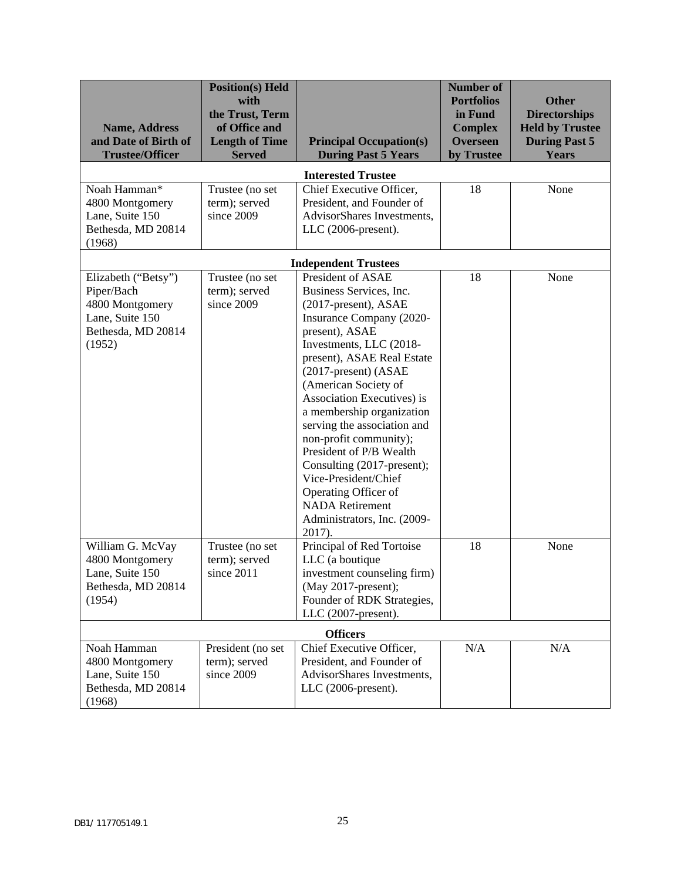| <b>Name, Address</b><br>and Date of Birth of<br><b>Trustee/Officer</b>                                  | <b>Position(s)</b> Held<br>with<br>the Trust, Term<br>of Office and<br><b>Length of Time</b><br><b>Served</b> | <b>Principal Occupation(s)</b><br><b>During Past 5 Years</b>                                                                                                                                                                                                                                                                                                                                                                                                                                                                | <b>Number of</b><br><b>Portfolios</b><br>in Fund<br><b>Complex</b><br><b>Overseen</b><br>by Trustee | <b>Other</b><br><b>Directorships</b><br><b>Held by Trustee</b><br><b>During Past 5</b><br><b>Years</b> |
|---------------------------------------------------------------------------------------------------------|---------------------------------------------------------------------------------------------------------------|-----------------------------------------------------------------------------------------------------------------------------------------------------------------------------------------------------------------------------------------------------------------------------------------------------------------------------------------------------------------------------------------------------------------------------------------------------------------------------------------------------------------------------|-----------------------------------------------------------------------------------------------------|--------------------------------------------------------------------------------------------------------|
|                                                                                                         |                                                                                                               | <b>Interested Trustee</b>                                                                                                                                                                                                                                                                                                                                                                                                                                                                                                   |                                                                                                     |                                                                                                        |
| Noah Hamman*<br>4800 Montgomery<br>Lane, Suite 150<br>Bethesda, MD 20814<br>(1968)                      | Trustee (no set<br>term); served<br>since 2009                                                                | Chief Executive Officer,<br>President, and Founder of<br>AdvisorShares Investments,<br>$LLC$ (2006-present).                                                                                                                                                                                                                                                                                                                                                                                                                | 18                                                                                                  | None                                                                                                   |
|                                                                                                         |                                                                                                               | <b>Independent Trustees</b>                                                                                                                                                                                                                                                                                                                                                                                                                                                                                                 |                                                                                                     |                                                                                                        |
| Elizabeth ("Betsy")<br>Piper/Bach<br>4800 Montgomery<br>Lane, Suite 150<br>Bethesda, MD 20814<br>(1952) | Trustee (no set<br>term); served<br>since 2009                                                                | President of ASAE<br>Business Services, Inc.<br>(2017-present), ASAE<br>Insurance Company (2020-<br>present), ASAE<br>Investments, LLC (2018-<br>present), ASAE Real Estate<br>(2017-present) (ASAE<br>(American Society of<br>Association Executives) is<br>a membership organization<br>serving the association and<br>non-profit community);<br>President of P/B Wealth<br>Consulting (2017-present);<br>Vice-President/Chief<br>Operating Officer of<br><b>NADA</b> Retirement<br>Administrators, Inc. (2009-<br>2017). | 18                                                                                                  | None                                                                                                   |
| William G. McVay<br>4800 Montgomery<br>Lane, Suite 150<br>Bethesda, MD 20814<br>(1954)                  | Trustee (no set<br>term); served<br>since 2011                                                                | Principal of Red Tortoise<br>LLC (a boutique<br>investment counseling firm)<br>(May 2017-present);<br>Founder of RDK Strategies,<br>LLC (2007-present).                                                                                                                                                                                                                                                                                                                                                                     | 18                                                                                                  | None                                                                                                   |
|                                                                                                         |                                                                                                               | <b>Officers</b>                                                                                                                                                                                                                                                                                                                                                                                                                                                                                                             |                                                                                                     |                                                                                                        |
| Noah Hamman<br>4800 Montgomery<br>Lane, Suite 150<br>Bethesda, MD 20814<br>(1968)                       | President (no set<br>term); served<br>since 2009                                                              | Chief Executive Officer,<br>President, and Founder of<br>AdvisorShares Investments,<br>$LLC$ (2006-present).                                                                                                                                                                                                                                                                                                                                                                                                                | N/A                                                                                                 | N/A                                                                                                    |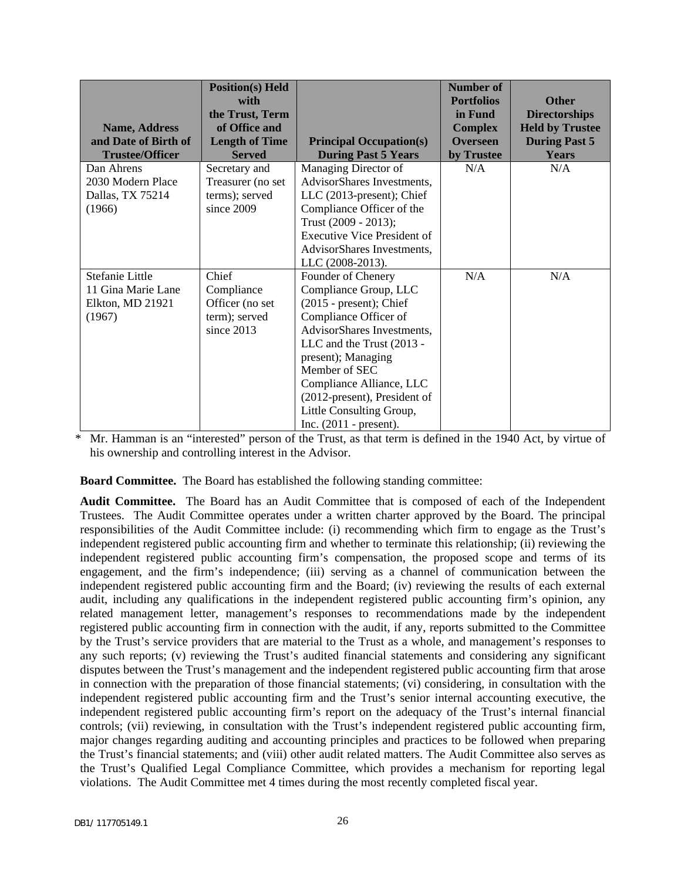|                                              | <b>Position(s)</b> Held<br>with<br>the Trust, Term |                                                 | <b>Number of</b><br><b>Portfolios</b><br>in Fund | <b>Other</b><br><b>Directorships</b>           |
|----------------------------------------------|----------------------------------------------------|-------------------------------------------------|--------------------------------------------------|------------------------------------------------|
| <b>Name, Address</b><br>and Date of Birth of | of Office and<br><b>Length of Time</b>             | <b>Principal Occupation(s)</b>                  | <b>Complex</b><br><b>Overseen</b>                | <b>Held by Trustee</b><br><b>During Past 5</b> |
| <b>Trustee/Officer</b>                       | <b>Served</b>                                      | <b>During Past 5 Years</b>                      | by Trustee                                       | <b>Years</b>                                   |
| Dan Ahrens                                   | Secretary and                                      | Managing Director of                            | N/A                                              | N/A                                            |
| 2030 Modern Place                            | Treasurer (no set                                  | AdvisorShares Investments,                      |                                                  |                                                |
| Dallas, TX 75214                             | terms); served                                     | LLC (2013-present); Chief                       |                                                  |                                                |
| (1966)                                       | since $2009$                                       | Compliance Officer of the                       |                                                  |                                                |
|                                              |                                                    | Trust (2009 - 2013);                            |                                                  |                                                |
|                                              |                                                    | <b>Executive Vice President of</b>              |                                                  |                                                |
|                                              |                                                    | AdvisorShares Investments,                      |                                                  |                                                |
|                                              |                                                    | LLC (2008-2013).                                |                                                  |                                                |
| Stefanie Little                              | Chief                                              | Founder of Chenery                              | N/A                                              | N/A                                            |
| 11 Gina Marie Lane                           | Compliance                                         | Compliance Group, LLC                           |                                                  |                                                |
| Elkton, MD 21921                             | Officer (no set                                    | $(2015 - present)$ ; Chief                      |                                                  |                                                |
| (1967)                                       | term); served                                      | Compliance Officer of                           |                                                  |                                                |
|                                              | since $2013$                                       | AdvisorShares Investments,                      |                                                  |                                                |
|                                              |                                                    | LLC and the Trust (2013 -<br>present); Managing |                                                  |                                                |
|                                              |                                                    | Member of SEC                                   |                                                  |                                                |
|                                              |                                                    | Compliance Alliance, LLC                        |                                                  |                                                |
|                                              |                                                    | (2012-present), President of                    |                                                  |                                                |
|                                              |                                                    | Little Consulting Group,                        |                                                  |                                                |
|                                              |                                                    | Inc. $(2011 - present)$ .                       |                                                  |                                                |

\* Mr. Hamman is an "interested" person of the Trust, as that term is defined in the 1940 Act, by virtue of his ownership and controlling interest in the Advisor.

**Board Committee.** The Board has established the following standing committee:

**Audit Committee.** The Board has an Audit Committee that is composed of each of the Independent Trustees. The Audit Committee operates under a written charter approved by the Board. The principal responsibilities of the Audit Committee include: (i) recommending which firm to engage as the Trust's independent registered public accounting firm and whether to terminate this relationship; (ii) reviewing the independent registered public accounting firm's compensation, the proposed scope and terms of its engagement, and the firm's independence; (iii) serving as a channel of communication between the independent registered public accounting firm and the Board; (iv) reviewing the results of each external audit, including any qualifications in the independent registered public accounting firm's opinion, any related management letter, management's responses to recommendations made by the independent registered public accounting firm in connection with the audit, if any, reports submitted to the Committee by the Trust's service providers that are material to the Trust as a whole, and management's responses to any such reports; (v) reviewing the Trust's audited financial statements and considering any significant disputes between the Trust's management and the independent registered public accounting firm that arose in connection with the preparation of those financial statements; (vi) considering, in consultation with the independent registered public accounting firm and the Trust's senior internal accounting executive, the independent registered public accounting firm's report on the adequacy of the Trust's internal financial controls; (vii) reviewing, in consultation with the Trust's independent registered public accounting firm, major changes regarding auditing and accounting principles and practices to be followed when preparing the Trust's financial statements; and (viii) other audit related matters. The Audit Committee also serves as the Trust's Qualified Legal Compliance Committee, which provides a mechanism for reporting legal violations. The Audit Committee met 4 times during the most recently completed fiscal year.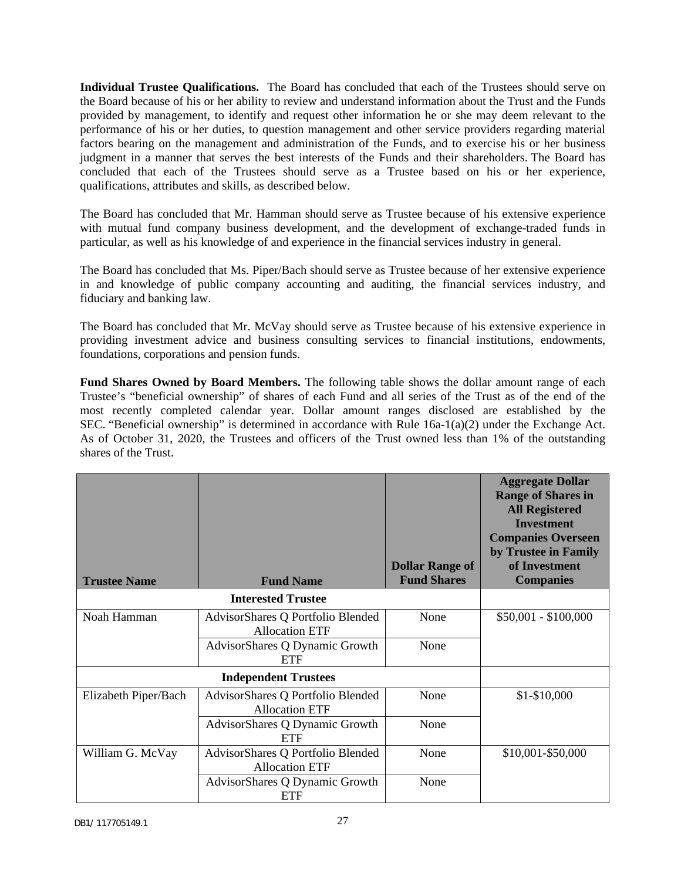**Individual Trustee Qualifications.** The Board has concluded that each of the Trustees should serve on the Board because of his or her ability to review and understand information about the Trust and the Funds provided by management, to identify and request other information he or she may deem relevant to the performance of his or her duties, to question management and other service providers regarding material factors bearing on the management and administration of the Funds, and to exercise his or her business judgment in a manner that serves the best interests of the Funds and their shareholders. The Board has concluded that each of the Trustees should serve as a Trustee based on his or her experience, qualifications, attributes and skills, as described below.

The Board has concluded that Mr. Hamman should serve as Trustee because of his extensive experience with mutual fund company business development, and the development of exchange-traded funds in particular, as well as his knowledge of and experience in the financial services industry in general.

The Board has concluded that Ms. Piper/Bach should serve as Trustee because of her extensive experience in and knowledge of public company accounting and auditing, the financial services industry, and fiduciary and banking law.

The Board has concluded that Mr. McVay should serve as Trustee because of his extensive experience in providing investment advice and business consulting services to financial institutions, endowments, foundations, corporations and pension funds.

**Fund Shares Owned by Board Members.** The following table shows the dollar amount range of each Trustee's "beneficial ownership" of shares of each Fund and all series of the Trust as of the end of the most recently completed calendar year. Dollar amount ranges disclosed are established by the SEC. "Beneficial ownership" is determined in accordance with Rule 16a-1(a)(2) under the Exchange Act. As of October 31, 2020, the Trustees and officers of the Trust owned less than 1% of the outstanding shares of the Trust.

|                      |                                                            | <b>Dollar Range of</b> | <b>Aggregate Dollar</b><br><b>Range of Shares in</b><br><b>All Registered</b><br><b>Investment</b><br><b>Companies Overseen</b><br>by Trustee in Family<br>of Investment |
|----------------------|------------------------------------------------------------|------------------------|--------------------------------------------------------------------------------------------------------------------------------------------------------------------------|
| <b>Trustee Name</b>  | <b>Fund Name</b>                                           | <b>Fund Shares</b>     | <b>Companies</b>                                                                                                                                                         |
|                      | <b>Interested Trustee</b>                                  |                        |                                                                                                                                                                          |
| Noah Hamman          | AdvisorShares Q Portfolio Blended<br><b>Allocation ETF</b> | None                   | $$50,001 - $100,000$                                                                                                                                                     |
|                      | AdvisorShares Q Dynamic Growth<br><b>ETF</b>               | None                   |                                                                                                                                                                          |
|                      | <b>Independent Trustees</b>                                |                        |                                                                                                                                                                          |
| Elizabeth Piper/Bach | AdvisorShares Q Portfolio Blended<br><b>Allocation ETF</b> | None                   | $$1-$10,000$                                                                                                                                                             |
|                      | AdvisorShares Q Dynamic Growth<br><b>ETF</b>               | None                   |                                                                                                                                                                          |
| William G. McVay     | AdvisorShares Q Portfolio Blended<br><b>Allocation ETF</b> | None                   | \$10,001-\$50,000                                                                                                                                                        |
|                      | AdvisorShares Q Dynamic Growth<br><b>ETF</b>               | None                   |                                                                                                                                                                          |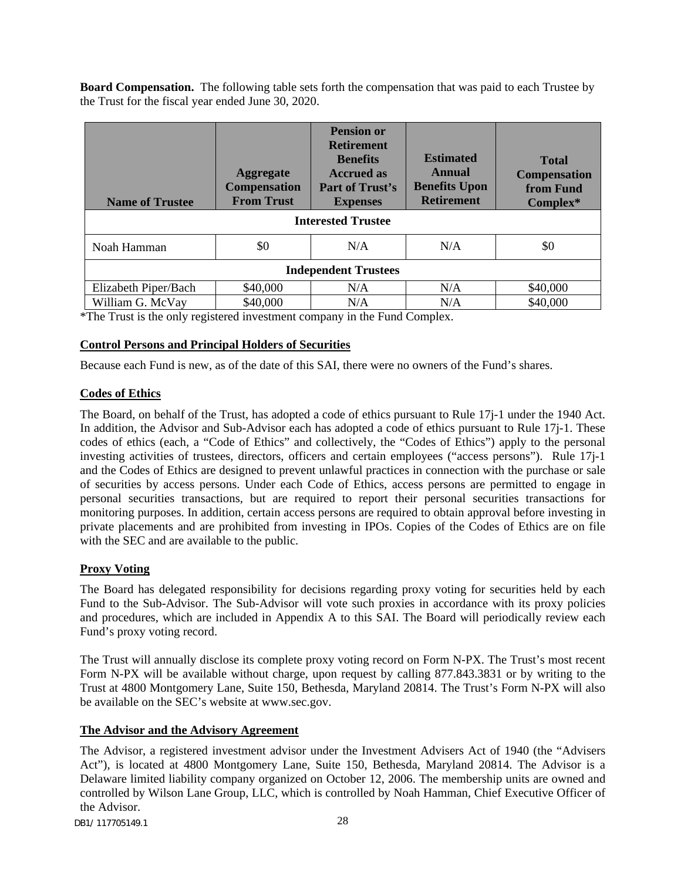**Board Compensation.** The following table sets forth the compensation that was paid to each Trustee by the Trust for the fiscal year ended June 30, 2020.

| <b>Name of Trustee</b>      | <b>Aggregate</b><br><b>Compensation</b><br><b>From Trust</b> | <b>Pension or</b><br><b>Retirement</b><br><b>Benefits</b><br><b>Accrued as</b><br><b>Part of Trust's</b><br><b>Expenses</b> | <b>Estimated</b><br>Annual<br><b>Benefits Upon</b><br><b>Retirement</b> | <b>Total</b><br><b>Compensation</b><br>from Fund<br>Complex* |  |  |  |
|-----------------------------|--------------------------------------------------------------|-----------------------------------------------------------------------------------------------------------------------------|-------------------------------------------------------------------------|--------------------------------------------------------------|--|--|--|
|                             | <b>Interested Trustee</b>                                    |                                                                                                                             |                                                                         |                                                              |  |  |  |
| Noah Hamman                 | \$0                                                          | N/A                                                                                                                         | N/A                                                                     | \$0                                                          |  |  |  |
| <b>Independent Trustees</b> |                                                              |                                                                                                                             |                                                                         |                                                              |  |  |  |
| Elizabeth Piper/Bach        | \$40,000                                                     | N/A                                                                                                                         | N/A                                                                     | \$40,000                                                     |  |  |  |
| William G. McVay            | \$40,000                                                     | N/A                                                                                                                         | N/A                                                                     | \$40,000                                                     |  |  |  |

\*The Trust is the only registered investment company in the Fund Complex.

### **Control Persons and Principal Holders of Securities**

Because each Fund is new, as of the date of this SAI, there were no owners of the Fund's shares.

### **Codes of Ethics**

The Board, on behalf of the Trust, has adopted a code of ethics pursuant to Rule 17j-1 under the 1940 Act. In addition, the Advisor and Sub-Advisor each has adopted a code of ethics pursuant to Rule 17j-1. These codes of ethics (each, a "Code of Ethics" and collectively, the "Codes of Ethics") apply to the personal investing activities of trustees, directors, officers and certain employees ("access persons"). Rule 17j-1 and the Codes of Ethics are designed to prevent unlawful practices in connection with the purchase or sale of securities by access persons. Under each Code of Ethics, access persons are permitted to engage in personal securities transactions, but are required to report their personal securities transactions for monitoring purposes. In addition, certain access persons are required to obtain approval before investing in private placements and are prohibited from investing in IPOs. Copies of the Codes of Ethics are on file with the SEC and are available to the public.

### **Proxy Voting**

The Board has delegated responsibility for decisions regarding proxy voting for securities held by each Fund to the Sub-Advisor. The Sub-Advisor will vote such proxies in accordance with its proxy policies and procedures, which are included in Appendix A to this SAI. The Board will periodically review each Fund's proxy voting record.

The Trust will annually disclose its complete proxy voting record on Form N-PX. The Trust's most recent Form N-PX will be available without charge, upon request by calling 877.843.3831 or by writing to the Trust at 4800 Montgomery Lane, Suite 150, Bethesda, Maryland 20814. The Trust's Form N-PX will also be available on the SEC's website at www.sec.gov.

### **The Advisor and the Advisory Agreement**

The Advisor, a registered investment advisor under the Investment Advisers Act of 1940 (the "Advisers Act"), is located at 4800 Montgomery Lane, Suite 150, Bethesda, Maryland 20814. The Advisor is a Delaware limited liability company organized on October 12, 2006. The membership units are owned and controlled by Wilson Lane Group, LLC, which is controlled by Noah Hamman, Chief Executive Officer of the Advisor.

DB1/ 117705149.1 28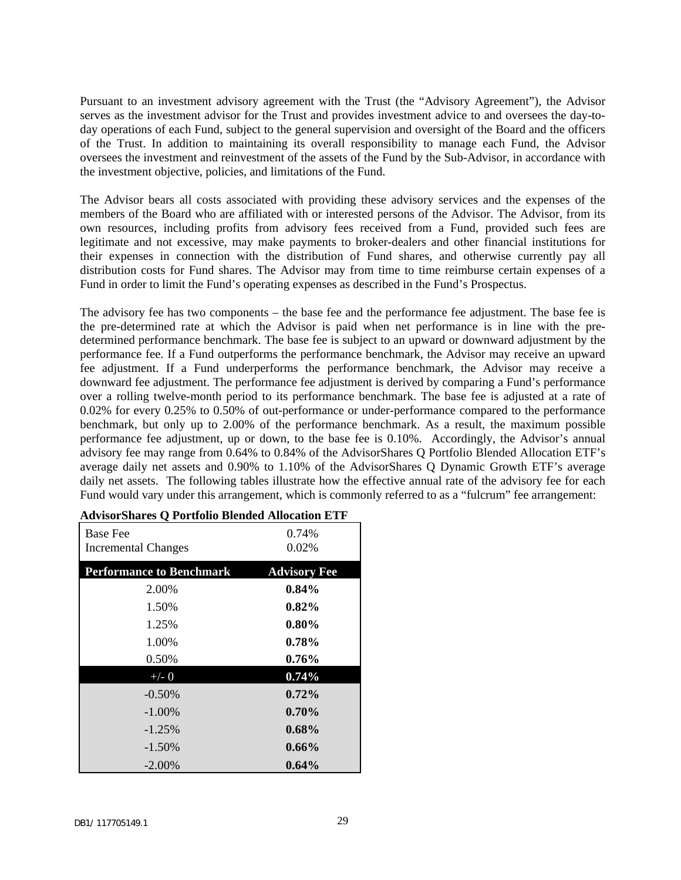Pursuant to an investment advisory agreement with the Trust (the "Advisory Agreement"), the Advisor serves as the investment advisor for the Trust and provides investment advice to and oversees the day-today operations of each Fund, subject to the general supervision and oversight of the Board and the officers of the Trust. In addition to maintaining its overall responsibility to manage each Fund, the Advisor oversees the investment and reinvestment of the assets of the Fund by the Sub-Advisor, in accordance with the investment objective, policies, and limitations of the Fund.

The Advisor bears all costs associated with providing these advisory services and the expenses of the members of the Board who are affiliated with or interested persons of the Advisor. The Advisor, from its own resources, including profits from advisory fees received from a Fund, provided such fees are legitimate and not excessive, may make payments to broker-dealers and other financial institutions for their expenses in connection with the distribution of Fund shares, and otherwise currently pay all distribution costs for Fund shares. The Advisor may from time to time reimburse certain expenses of a Fund in order to limit the Fund's operating expenses as described in the Fund's Prospectus.

The advisory fee has two components – the base fee and the performance fee adjustment. The base fee is the pre-determined rate at which the Advisor is paid when net performance is in line with the predetermined performance benchmark. The base fee is subject to an upward or downward adjustment by the performance fee. If a Fund outperforms the performance benchmark, the Advisor may receive an upward fee adjustment. If a Fund underperforms the performance benchmark, the Advisor may receive a downward fee adjustment. The performance fee adjustment is derived by comparing a Fund's performance over a rolling twelve-month period to its performance benchmark. The base fee is adjusted at a rate of 0.02% for every 0.25% to 0.50% of out-performance or under-performance compared to the performance benchmark, but only up to 2.00% of the performance benchmark. As a result, the maximum possible performance fee adjustment, up or down, to the base fee is 0.10%. Accordingly, the Advisor's annual advisory fee may range from 0.64% to 0.84% of the AdvisorShares Q Portfolio Blended Allocation ETF's average daily net assets and 0.90% to 1.10% of the AdvisorShares Q Dynamic Growth ETF's average daily net assets. The following tables illustrate how the effective annual rate of the advisory fee for each Fund would vary under this arrangement, which is commonly referred to as a "fulcrum" fee arrangement:

| <b>Base Fee</b><br><b>Incremental Changes</b> | 0.74%<br>0.02%      |
|-----------------------------------------------|---------------------|
| <b>Performance to Benchmark</b>               | <b>Advisory Fee</b> |
| 2.00%                                         | $0.84\%$            |
| 1.50%                                         | $0.82\%$            |
| 1.25%                                         | $0.80\%$            |
| 1.00%                                         | $0.78\%$            |
| 0.50%                                         | $0.76\%$            |
| $+/- 0$                                       | 0.74%               |
| $-0.50\%$                                     | $0.72\%$            |
| $-1.00\%$                                     | $0.70\%$            |
| $-1.25%$                                      | $0.68\%$            |
| $-1.50\%$                                     | $0.66\%$            |
| $-2.00\%$                                     | 0.64%               |

#### **AdvisorShares Q Portfolio Blended Allocation ETF**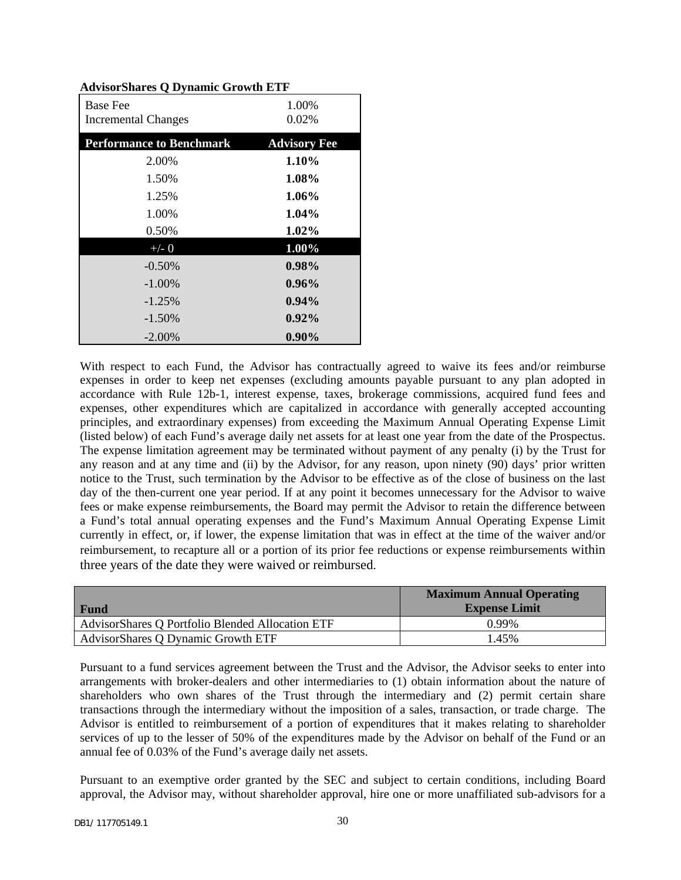| <b>Base Fee</b><br><b>Incremental Changes</b> | 1.00%<br>0.02%      |
|-----------------------------------------------|---------------------|
| <b>Performance to Benchmark</b>               | <b>Advisory Fee</b> |
| 2.00%                                         | $1.10\%$            |
| 1.50%                                         | 1.08%               |
| 1.25%                                         | $1.06\%$            |
| 1.00%                                         | $1.04\%$            |
| 0.50%                                         | 1.02%               |
| $+/- 0$                                       | 1.00%               |
| $-0.50\%$                                     | $0.98\%$            |
| $-1.00\%$                                     | $0.96\%$            |
| $-1.25%$                                      | $0.94\%$            |
| $-1.50\%$                                     | $0.92\%$            |
| $-2.00\%$                                     | $0.90\%$            |

#### **AdvisorShares Q Dynamic Growth ETF**

With respect to each Fund, the Advisor has contractually agreed to waive its fees and/or reimburse expenses in order to keep net expenses (excluding amounts payable pursuant to any plan adopted in accordance with Rule 12b-1, interest expense, taxes, brokerage commissions, acquired fund fees and expenses, other expenditures which are capitalized in accordance with generally accepted accounting principles, and extraordinary expenses) from exceeding the Maximum Annual Operating Expense Limit (listed below) of each Fund's average daily net assets for at least one year from the date of the Prospectus. The expense limitation agreement may be terminated without payment of any penalty (i) by the Trust for any reason and at any time and (ii) by the Advisor, for any reason, upon ninety (90) days' prior written notice to the Trust, such termination by the Advisor to be effective as of the close of business on the last day of the then-current one year period. If at any point it becomes unnecessary for the Advisor to waive fees or make expense reimbursements, the Board may permit the Advisor to retain the difference between a Fund's total annual operating expenses and the Fund's Maximum Annual Operating Expense Limit currently in effect, or, if lower, the expense limitation that was in effect at the time of the waiver and/or reimbursement, to recapture all or a portion of its prior fee reductions or expense reimbursements within three years of the date they were waived or reimbursed.

| <b>Fund</b>                                      | <b>Maximum Annual Operating</b><br><b>Expense Limit</b> |
|--------------------------------------------------|---------------------------------------------------------|
| AdvisorShares Q Portfolio Blended Allocation ETF | 0.99%                                                   |
| AdvisorShares Q Dynamic Growth ETF               | $1.45\%$                                                |

Pursuant to a fund services agreement between the Trust and the Advisor, the Advisor seeks to enter into arrangements with broker-dealers and other intermediaries to (1) obtain information about the nature of shareholders who own shares of the Trust through the intermediary and (2) permit certain share transactions through the intermediary without the imposition of a sales, transaction, or trade charge. The Advisor is entitled to reimbursement of a portion of expenditures that it makes relating to shareholder services of up to the lesser of 50% of the expenditures made by the Advisor on behalf of the Fund or an annual fee of 0.03% of the Fund's average daily net assets.

Pursuant to an exemptive order granted by the SEC and subject to certain conditions, including Board approval, the Advisor may, without shareholder approval, hire one or more unaffiliated sub-advisors for a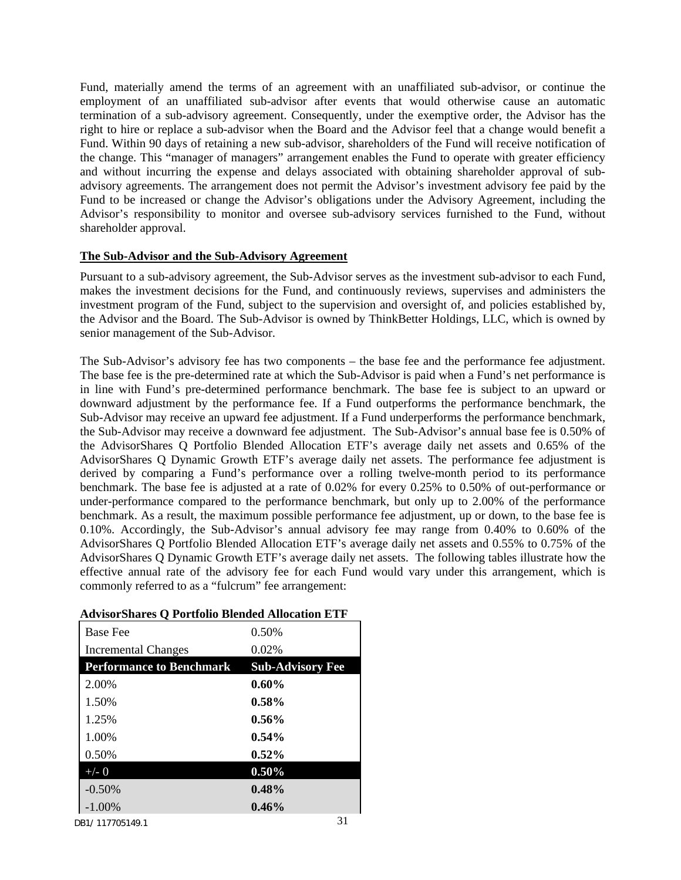Fund, materially amend the terms of an agreement with an unaffiliated sub-advisor, or continue the employment of an unaffiliated sub-advisor after events that would otherwise cause an automatic termination of a sub-advisory agreement. Consequently, under the exemptive order, the Advisor has the right to hire or replace a sub-advisor when the Board and the Advisor feel that a change would benefit a Fund. Within 90 days of retaining a new sub-advisor, shareholders of the Fund will receive notification of the change. This "manager of managers" arrangement enables the Fund to operate with greater efficiency and without incurring the expense and delays associated with obtaining shareholder approval of subadvisory agreements. The arrangement does not permit the Advisor's investment advisory fee paid by the Fund to be increased or change the Advisor's obligations under the Advisory Agreement, including the Advisor's responsibility to monitor and oversee sub-advisory services furnished to the Fund, without shareholder approval.

#### **The Sub-Advisor and the Sub-Advisory Agreement**

Pursuant to a sub-advisory agreement, the Sub-Advisor serves as the investment sub-advisor to each Fund, makes the investment decisions for the Fund, and continuously reviews, supervises and administers the investment program of the Fund, subject to the supervision and oversight of, and policies established by, the Advisor and the Board. The Sub-Advisor is owned by ThinkBetter Holdings, LLC, which is owned by senior management of the Sub-Advisor.

The Sub-Advisor's advisory fee has two components – the base fee and the performance fee adjustment. The base fee is the pre-determined rate at which the Sub-Advisor is paid when a Fund's net performance is in line with Fund's pre-determined performance benchmark. The base fee is subject to an upward or downward adjustment by the performance fee. If a Fund outperforms the performance benchmark, the Sub-Advisor may receive an upward fee adjustment. If a Fund underperforms the performance benchmark, the Sub-Advisor may receive a downward fee adjustment. The Sub-Advisor's annual base fee is 0.50% of the AdvisorShares Q Portfolio Blended Allocation ETF's average daily net assets and 0.65% of the AdvisorShares Q Dynamic Growth ETF's average daily net assets. The performance fee adjustment is derived by comparing a Fund's performance over a rolling twelve-month period to its performance benchmark. The base fee is adjusted at a rate of 0.02% for every 0.25% to 0.50% of out-performance or under-performance compared to the performance benchmark, but only up to 2.00% of the performance benchmark. As a result, the maximum possible performance fee adjustment, up or down, to the base fee is 0.10%. Accordingly, the Sub-Advisor's annual advisory fee may range from 0.40% to 0.60% of the AdvisorShares Q Portfolio Blended Allocation ETF's average daily net assets and 0.55% to 0.75% of the AdvisorShares Q Dynamic Growth ETF's average daily net assets. The following tables illustrate how the effective annual rate of the advisory fee for each Fund would vary under this arrangement, which is commonly referred to as a "fulcrum" fee arrangement:

| <b>Base Fee</b>                 | 0.50%                   |
|---------------------------------|-------------------------|
| Incremental Changes             | 0.02%                   |
| <b>Performance to Benchmark</b> | <b>Sub-Advisory Fee</b> |
| 2.00%                           | 0.60%                   |
| 1.50%                           | $0.58\%$                |
| 1.25%                           | $0.56\%$                |
| 1.00%                           | $0.54\%$                |
| 0.50%                           | $0.52\%$                |
| $+/- 0$                         | $0.50\%$                |
| $-0.50%$                        | 0.48%                   |
| $-1.00%$                        | $0.46\%$                |

#### **AdvisorShares Q Portfolio Blended Allocation ETF**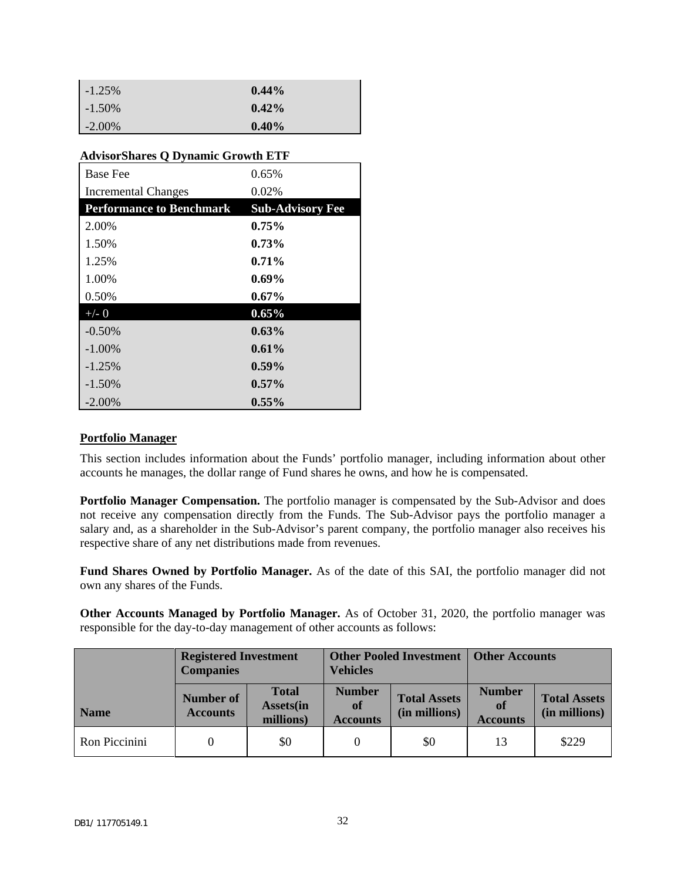| $-1.25\%$ | $0.44\%$ |
|-----------|----------|
| $-1.50\%$ | $0.42\%$ |
| $-2.00\%$ | $0.40\%$ |

| AdvisorShares Q Dynamic Growth ETF |                         |  |  |  |
|------------------------------------|-------------------------|--|--|--|
| <b>Base Fee</b>                    | $0.65\%$                |  |  |  |
| <b>Incremental Changes</b>         | 0.02%                   |  |  |  |
| <b>Performance to Benchmark</b>    | <b>Sub-Advisory Fee</b> |  |  |  |
| 2.00%                              | $0.75\%$                |  |  |  |
| 1.50%                              | $0.73\%$                |  |  |  |
| 1.25%                              | $0.71\%$                |  |  |  |
| 1.00%                              | $0.69\%$                |  |  |  |
| 0.50%                              | 0.67%                   |  |  |  |
| $+/- 0$                            | $0.65\%$                |  |  |  |
| $-0.50%$                           | $0.63\%$                |  |  |  |
| $-1.00\%$                          | $0.61\%$                |  |  |  |
| $-1.25%$                           | $0.59\%$                |  |  |  |
| $-1.50%$                           | $0.57\%$                |  |  |  |
| $-2.00\%$                          | $0.55\%$                |  |  |  |

### **AdvisorShares Q Dynamic Growth ETF**

#### **Portfolio Manager**

This section includes information about the Funds' portfolio manager, including information about other accounts he manages, the dollar range of Fund shares he owns, and how he is compensated.

**Portfolio Manager Compensation.** The portfolio manager is compensated by the Sub-Advisor and does not receive any compensation directly from the Funds. The Sub-Advisor pays the portfolio manager a salary and, as a shareholder in the Sub-Advisor's parent company, the portfolio manager also receives his respective share of any net distributions made from revenues.

**Fund Shares Owned by Portfolio Manager.** As of the date of this SAI, the portfolio manager did not own any shares of the Funds.

**Other Accounts Managed by Portfolio Manager.** As of October 31, 2020, the portfolio manager was responsible for the day-to-day management of other accounts as follows:

|               | <b>Registered Investment</b><br><b>Companies</b> |                                                | <b>Other Pooled Investment</b><br><b>Vehicles</b> |                                      | <b>Other Accounts</b>                  |                                      |
|---------------|--------------------------------------------------|------------------------------------------------|---------------------------------------------------|--------------------------------------|----------------------------------------|--------------------------------------|
| <b>Name</b>   | Number of<br><b>Accounts</b>                     | <b>Total</b><br><b>Assets</b> (in<br>millions) | <b>Number</b><br>of<br><b>Accounts</b>            | <b>Total Assets</b><br>(in millions) | <b>Number</b><br>of<br><b>Accounts</b> | <b>Total Assets</b><br>(in millions) |
| Ron Piccinini |                                                  | \$0                                            |                                                   | \$0                                  | 13                                     | \$229                                |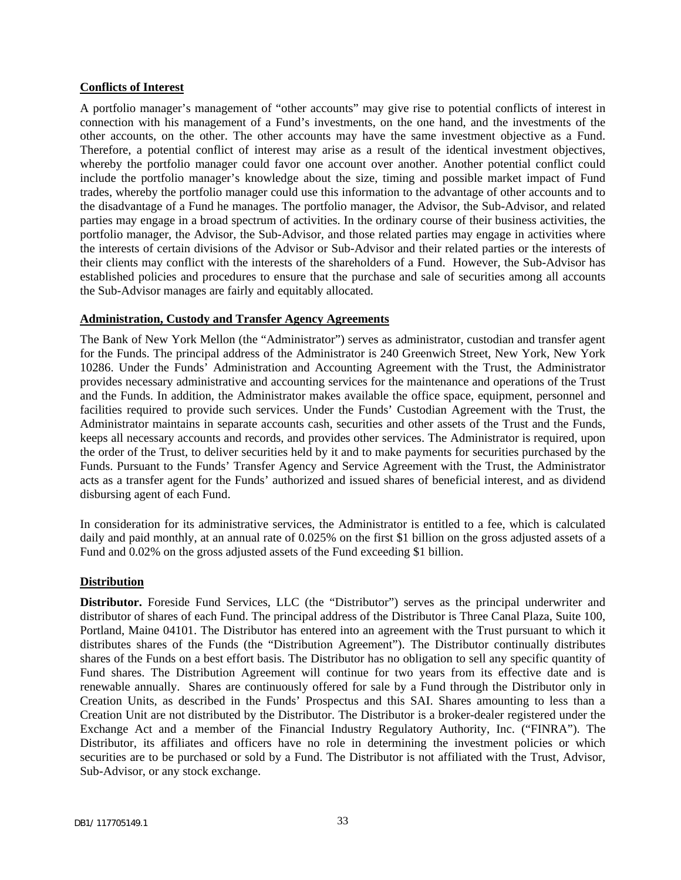#### **Conflicts of Interest**

A portfolio manager's management of "other accounts" may give rise to potential conflicts of interest in connection with his management of a Fund's investments, on the one hand, and the investments of the other accounts, on the other. The other accounts may have the same investment objective as a Fund. Therefore, a potential conflict of interest may arise as a result of the identical investment objectives, whereby the portfolio manager could favor one account over another. Another potential conflict could include the portfolio manager's knowledge about the size, timing and possible market impact of Fund trades, whereby the portfolio manager could use this information to the advantage of other accounts and to the disadvantage of a Fund he manages. The portfolio manager, the Advisor, the Sub-Advisor, and related parties may engage in a broad spectrum of activities. In the ordinary course of their business activities, the portfolio manager, the Advisor, the Sub-Advisor, and those related parties may engage in activities where the interests of certain divisions of the Advisor or Sub-Advisor and their related parties or the interests of their clients may conflict with the interests of the shareholders of a Fund. However, the Sub-Advisor has established policies and procedures to ensure that the purchase and sale of securities among all accounts the Sub-Advisor manages are fairly and equitably allocated.

#### **Administration, Custody and Transfer Agency Agreements**

The Bank of New York Mellon (the "Administrator") serves as administrator, custodian and transfer agent for the Funds. The principal address of the Administrator is 240 Greenwich Street, New York, New York 10286. Under the Funds' Administration and Accounting Agreement with the Trust, the Administrator provides necessary administrative and accounting services for the maintenance and operations of the Trust and the Funds. In addition, the Administrator makes available the office space, equipment, personnel and facilities required to provide such services. Under the Funds' Custodian Agreement with the Trust, the Administrator maintains in separate accounts cash, securities and other assets of the Trust and the Funds, keeps all necessary accounts and records, and provides other services. The Administrator is required, upon the order of the Trust, to deliver securities held by it and to make payments for securities purchased by the Funds. Pursuant to the Funds' Transfer Agency and Service Agreement with the Trust, the Administrator acts as a transfer agent for the Funds' authorized and issued shares of beneficial interest, and as dividend disbursing agent of each Fund.

In consideration for its administrative services, the Administrator is entitled to a fee, which is calculated daily and paid monthly, at an annual rate of 0.025% on the first \$1 billion on the gross adjusted assets of a Fund and 0.02% on the gross adjusted assets of the Fund exceeding \$1 billion.

#### **Distribution**

**Distributor.** Foreside Fund Services, LLC (the "Distributor") serves as the principal underwriter and distributor of shares of each Fund. The principal address of the Distributor is Three Canal Plaza, Suite 100, Portland, Maine 04101. The Distributor has entered into an agreement with the Trust pursuant to which it distributes shares of the Funds (the "Distribution Agreement"). The Distributor continually distributes shares of the Funds on a best effort basis. The Distributor has no obligation to sell any specific quantity of Fund shares. The Distribution Agreement will continue for two years from its effective date and is renewable annually. Shares are continuously offered for sale by a Fund through the Distributor only in Creation Units, as described in the Funds' Prospectus and this SAI. Shares amounting to less than a Creation Unit are not distributed by the Distributor. The Distributor is a broker-dealer registered under the Exchange Act and a member of the Financial Industry Regulatory Authority, Inc. ("FINRA"). The Distributor, its affiliates and officers have no role in determining the investment policies or which securities are to be purchased or sold by a Fund. The Distributor is not affiliated with the Trust, Advisor, Sub-Advisor, or any stock exchange.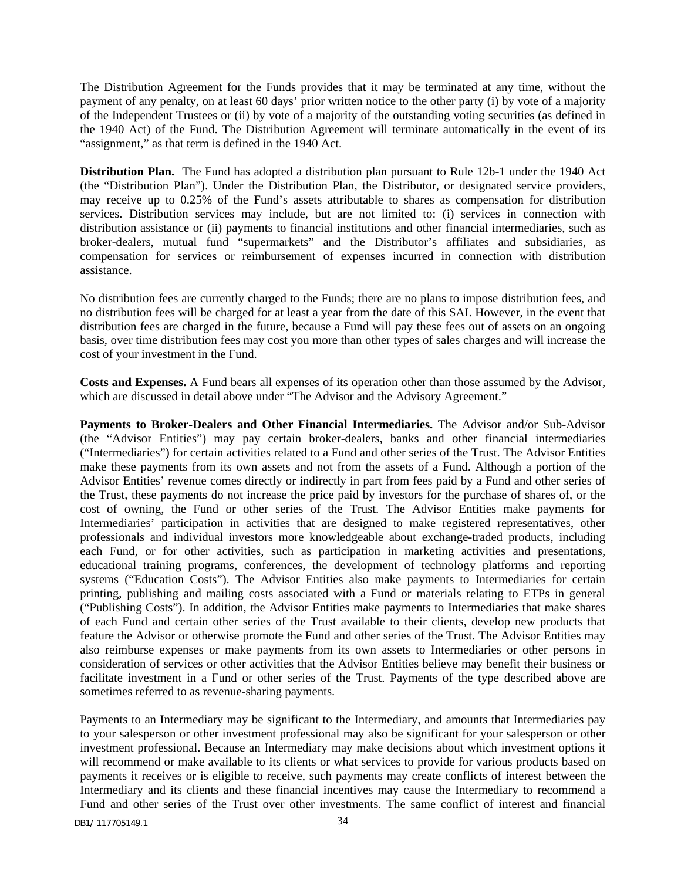The Distribution Agreement for the Funds provides that it may be terminated at any time, without the payment of any penalty, on at least 60 days' prior written notice to the other party (i) by vote of a majority of the Independent Trustees or (ii) by vote of a majority of the outstanding voting securities (as defined in the 1940 Act) of the Fund. The Distribution Agreement will terminate automatically in the event of its "assignment," as that term is defined in the 1940 Act.

**Distribution Plan.** The Fund has adopted a distribution plan pursuant to Rule 12b-1 under the 1940 Act (the "Distribution Plan"). Under the Distribution Plan, the Distributor, or designated service providers, may receive up to 0.25% of the Fund's assets attributable to shares as compensation for distribution services. Distribution services may include, but are not limited to: (i) services in connection with distribution assistance or (ii) payments to financial institutions and other financial intermediaries, such as broker-dealers, mutual fund "supermarkets" and the Distributor's affiliates and subsidiaries, as compensation for services or reimbursement of expenses incurred in connection with distribution assistance.

No distribution fees are currently charged to the Funds; there are no plans to impose distribution fees, and no distribution fees will be charged for at least a year from the date of this SAI. However, in the event that distribution fees are charged in the future, because a Fund will pay these fees out of assets on an ongoing basis, over time distribution fees may cost you more than other types of sales charges and will increase the cost of your investment in the Fund.

**Costs and Expenses.** A Fund bears all expenses of its operation other than those assumed by the Advisor, which are discussed in detail above under "The Advisor and the Advisory Agreement."

**Payments to Broker-Dealers and Other Financial Intermediaries.** The Advisor and/or Sub-Advisor (the "Advisor Entities") may pay certain broker-dealers, banks and other financial intermediaries ("Intermediaries") for certain activities related to a Fund and other series of the Trust. The Advisor Entities make these payments from its own assets and not from the assets of a Fund. Although a portion of the Advisor Entities' revenue comes directly or indirectly in part from fees paid by a Fund and other series of the Trust, these payments do not increase the price paid by investors for the purchase of shares of, or the cost of owning, the Fund or other series of the Trust. The Advisor Entities make payments for Intermediaries' participation in activities that are designed to make registered representatives, other professionals and individual investors more knowledgeable about exchange-traded products, including each Fund, or for other activities, such as participation in marketing activities and presentations, educational training programs, conferences, the development of technology platforms and reporting systems ("Education Costs"). The Advisor Entities also make payments to Intermediaries for certain printing, publishing and mailing costs associated with a Fund or materials relating to ETPs in general ("Publishing Costs"). In addition, the Advisor Entities make payments to Intermediaries that make shares of each Fund and certain other series of the Trust available to their clients, develop new products that feature the Advisor or otherwise promote the Fund and other series of the Trust. The Advisor Entities may also reimburse expenses or make payments from its own assets to Intermediaries or other persons in consideration of services or other activities that the Advisor Entities believe may benefit their business or facilitate investment in a Fund or other series of the Trust. Payments of the type described above are sometimes referred to as revenue-sharing payments.

Payments to an Intermediary may be significant to the Intermediary, and amounts that Intermediaries pay to your salesperson or other investment professional may also be significant for your salesperson or other investment professional. Because an Intermediary may make decisions about which investment options it will recommend or make available to its clients or what services to provide for various products based on payments it receives or is eligible to receive, such payments may create conflicts of interest between the Intermediary and its clients and these financial incentives may cause the Intermediary to recommend a Fund and other series of the Trust over other investments. The same conflict of interest and financial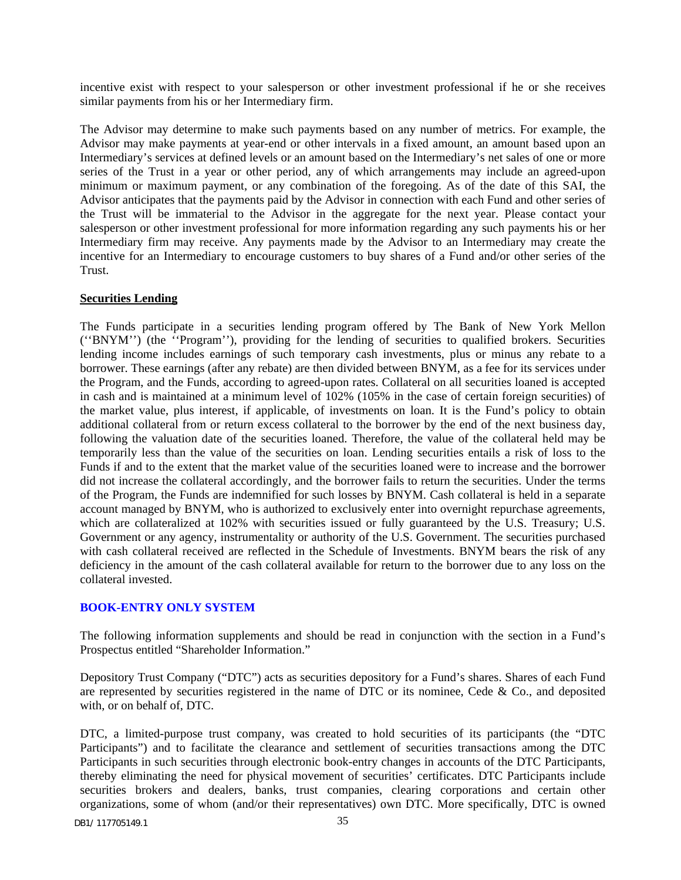incentive exist with respect to your salesperson or other investment professional if he or she receives similar payments from his or her Intermediary firm.

The Advisor may determine to make such payments based on any number of metrics. For example, the Advisor may make payments at year-end or other intervals in a fixed amount, an amount based upon an Intermediary's services at defined levels or an amount based on the Intermediary's net sales of one or more series of the Trust in a year or other period, any of which arrangements may include an agreed-upon minimum or maximum payment, or any combination of the foregoing. As of the date of this SAI, the Advisor anticipates that the payments paid by the Advisor in connection with each Fund and other series of the Trust will be immaterial to the Advisor in the aggregate for the next year. Please contact your salesperson or other investment professional for more information regarding any such payments his or her Intermediary firm may receive. Any payments made by the Advisor to an Intermediary may create the incentive for an Intermediary to encourage customers to buy shares of a Fund and/or other series of the Trust.

#### **Securities Lending**

The Funds participate in a securities lending program offered by The Bank of New York Mellon (''BNYM'') (the ''Program''), providing for the lending of securities to qualified brokers. Securities lending income includes earnings of such temporary cash investments, plus or minus any rebate to a borrower. These earnings (after any rebate) are then divided between BNYM, as a fee for its services under the Program, and the Funds, according to agreed-upon rates. Collateral on all securities loaned is accepted in cash and is maintained at a minimum level of 102% (105% in the case of certain foreign securities) of the market value, plus interest, if applicable, of investments on loan. It is the Fund's policy to obtain additional collateral from or return excess collateral to the borrower by the end of the next business day, following the valuation date of the securities loaned. Therefore, the value of the collateral held may be temporarily less than the value of the securities on loan. Lending securities entails a risk of loss to the Funds if and to the extent that the market value of the securities loaned were to increase and the borrower did not increase the collateral accordingly, and the borrower fails to return the securities. Under the terms of the Program, the Funds are indemnified for such losses by BNYM. Cash collateral is held in a separate account managed by BNYM, who is authorized to exclusively enter into overnight repurchase agreements, which are collateralized at 102% with securities issued or fully guaranteed by the U.S. Treasury; U.S. Government or any agency, instrumentality or authority of the U.S. Government. The securities purchased with cash collateral received are reflected in the Schedule of Investments. BNYM bears the risk of any deficiency in the amount of the cash collateral available for return to the borrower due to any loss on the collateral invested.

### <span id="page-36-0"></span>**BOOK-ENTRY ONLY SYSTEM**

The following information supplements and should be read in conjunction with the section in a Fund's Prospectus entitled "Shareholder Information."

Depository Trust Company ("DTC") acts as securities depository for a Fund's shares. Shares of each Fund are represented by securities registered in the name of DTC or its nominee, Cede & Co., and deposited with, or on behalf of, DTC.

DTC, a limited-purpose trust company, was created to hold securities of its participants (the "DTC Participants") and to facilitate the clearance and settlement of securities transactions among the DTC Participants in such securities through electronic book-entry changes in accounts of the DTC Participants, thereby eliminating the need for physical movement of securities' certificates. DTC Participants include securities brokers and dealers, banks, trust companies, clearing corporations and certain other organizations, some of whom (and/or their representatives) own DTC. More specifically, DTC is owned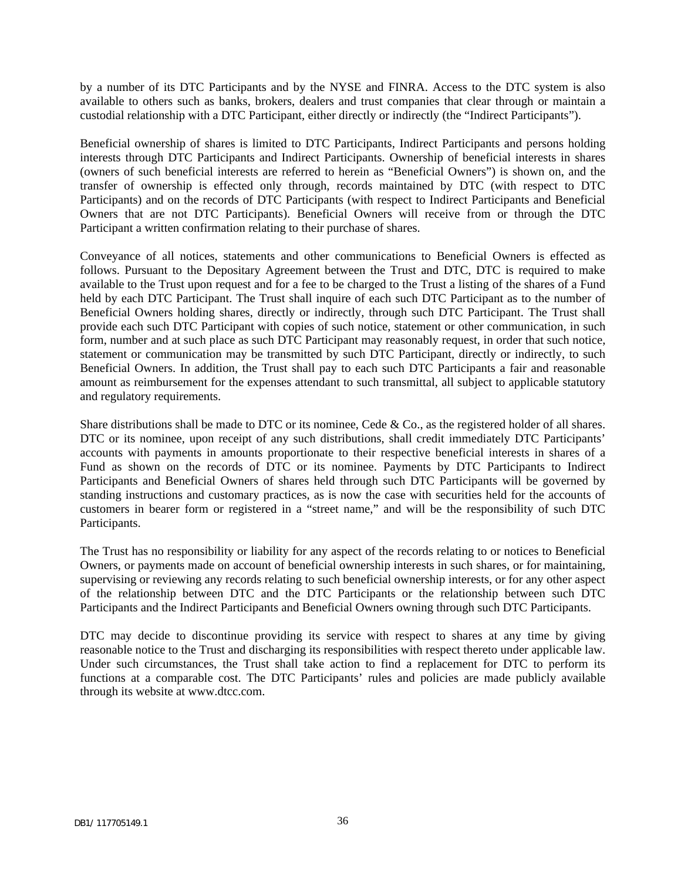by a number of its DTC Participants and by the NYSE and FINRA. Access to the DTC system is also available to others such as banks, brokers, dealers and trust companies that clear through or maintain a custodial relationship with a DTC Participant, either directly or indirectly (the "Indirect Participants").

Beneficial ownership of shares is limited to DTC Participants, Indirect Participants and persons holding interests through DTC Participants and Indirect Participants. Ownership of beneficial interests in shares (owners of such beneficial interests are referred to herein as "Beneficial Owners") is shown on, and the transfer of ownership is effected only through, records maintained by DTC (with respect to DTC Participants) and on the records of DTC Participants (with respect to Indirect Participants and Beneficial Owners that are not DTC Participants). Beneficial Owners will receive from or through the DTC Participant a written confirmation relating to their purchase of shares.

Conveyance of all notices, statements and other communications to Beneficial Owners is effected as follows. Pursuant to the Depositary Agreement between the Trust and DTC, DTC is required to make available to the Trust upon request and for a fee to be charged to the Trust a listing of the shares of a Fund held by each DTC Participant. The Trust shall inquire of each such DTC Participant as to the number of Beneficial Owners holding shares, directly or indirectly, through such DTC Participant. The Trust shall provide each such DTC Participant with copies of such notice, statement or other communication, in such form, number and at such place as such DTC Participant may reasonably request, in order that such notice, statement or communication may be transmitted by such DTC Participant, directly or indirectly, to such Beneficial Owners. In addition, the Trust shall pay to each such DTC Participants a fair and reasonable amount as reimbursement for the expenses attendant to such transmittal, all subject to applicable statutory and regulatory requirements.

Share distributions shall be made to DTC or its nominee, Cede  $& Co.,$  as the registered holder of all shares. DTC or its nominee, upon receipt of any such distributions, shall credit immediately DTC Participants' accounts with payments in amounts proportionate to their respective beneficial interests in shares of a Fund as shown on the records of DTC or its nominee. Payments by DTC Participants to Indirect Participants and Beneficial Owners of shares held through such DTC Participants will be governed by standing instructions and customary practices, as is now the case with securities held for the accounts of customers in bearer form or registered in a "street name," and will be the responsibility of such DTC Participants.

The Trust has no responsibility or liability for any aspect of the records relating to or notices to Beneficial Owners, or payments made on account of beneficial ownership interests in such shares, or for maintaining, supervising or reviewing any records relating to such beneficial ownership interests, or for any other aspect of the relationship between DTC and the DTC Participants or the relationship between such DTC Participants and the Indirect Participants and Beneficial Owners owning through such DTC Participants.

DTC may decide to discontinue providing its service with respect to shares at any time by giving reasonable notice to the Trust and discharging its responsibilities with respect thereto under applicable law. Under such circumstances, the Trust shall take action to find a replacement for DTC to perform its functions at a comparable cost. The DTC Participants' rules and policies are made publicly available through its website at www.dtcc.com.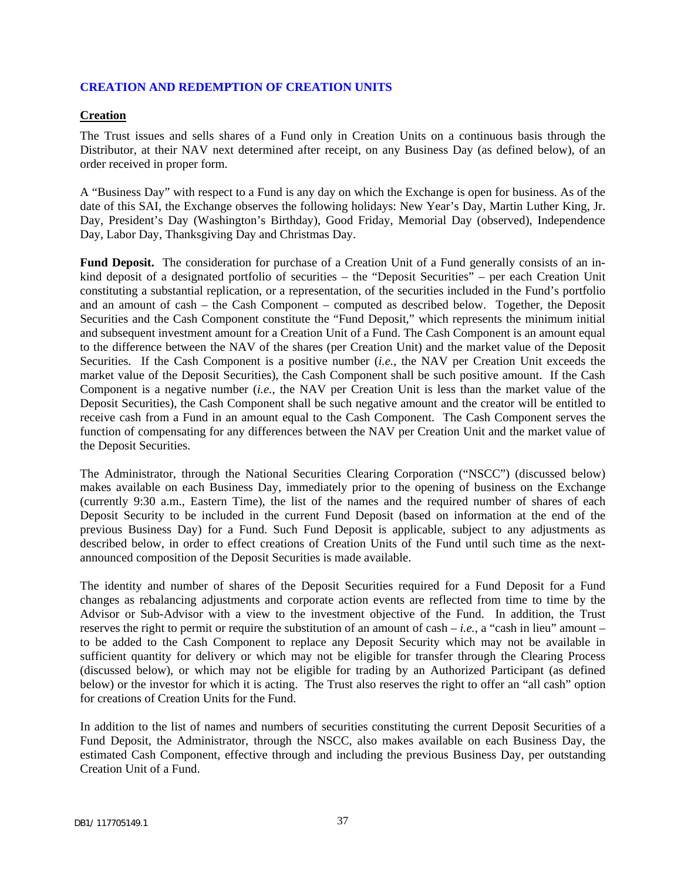### <span id="page-38-0"></span>**CREATION AND REDEMPTION OF CREATION UNITS**

#### **Creation**

The Trust issues and sells shares of a Fund only in Creation Units on a continuous basis through the Distributor, at their NAV next determined after receipt, on any Business Day (as defined below), of an order received in proper form.

A "Business Day" with respect to a Fund is any day on which the Exchange is open for business. As of the date of this SAI, the Exchange observes the following holidays: New Year's Day, Martin Luther King, Jr. Day, President's Day (Washington's Birthday), Good Friday, Memorial Day (observed), Independence Day, Labor Day, Thanksgiving Day and Christmas Day.

**Fund Deposit.** The consideration for purchase of a Creation Unit of a Fund generally consists of an inkind deposit of a designated portfolio of securities – the "Deposit Securities" – per each Creation Unit constituting a substantial replication, or a representation, of the securities included in the Fund's portfolio and an amount of cash – the Cash Component – computed as described below. Together, the Deposit Securities and the Cash Component constitute the "Fund Deposit," which represents the minimum initial and subsequent investment amount for a Creation Unit of a Fund. The Cash Component is an amount equal to the difference between the NAV of the shares (per Creation Unit) and the market value of the Deposit Securities. If the Cash Component is a positive number (*i.e.*, the NAV per Creation Unit exceeds the market value of the Deposit Securities), the Cash Component shall be such positive amount. If the Cash Component is a negative number (*i.e.*, the NAV per Creation Unit is less than the market value of the Deposit Securities), the Cash Component shall be such negative amount and the creator will be entitled to receive cash from a Fund in an amount equal to the Cash Component. The Cash Component serves the function of compensating for any differences between the NAV per Creation Unit and the market value of the Deposit Securities.

The Administrator, through the National Securities Clearing Corporation ("NSCC") (discussed below) makes available on each Business Day, immediately prior to the opening of business on the Exchange (currently 9:30 a.m., Eastern Time), the list of the names and the required number of shares of each Deposit Security to be included in the current Fund Deposit (based on information at the end of the previous Business Day) for a Fund. Such Fund Deposit is applicable, subject to any adjustments as described below, in order to effect creations of Creation Units of the Fund until such time as the nextannounced composition of the Deposit Securities is made available.

The identity and number of shares of the Deposit Securities required for a Fund Deposit for a Fund changes as rebalancing adjustments and corporate action events are reflected from time to time by the Advisor or Sub-Advisor with a view to the investment objective of the Fund. In addition, the Trust reserves the right to permit or require the substitution of an amount of cash  $-i.e.,$  a "cash in lieu" amount – to be added to the Cash Component to replace any Deposit Security which may not be available in sufficient quantity for delivery or which may not be eligible for transfer through the Clearing Process (discussed below), or which may not be eligible for trading by an Authorized Participant (as defined below) or the investor for which it is acting. The Trust also reserves the right to offer an "all cash" option for creations of Creation Units for the Fund.

In addition to the list of names and numbers of securities constituting the current Deposit Securities of a Fund Deposit, the Administrator, through the NSCC, also makes available on each Business Day, the estimated Cash Component, effective through and including the previous Business Day, per outstanding Creation Unit of a Fund.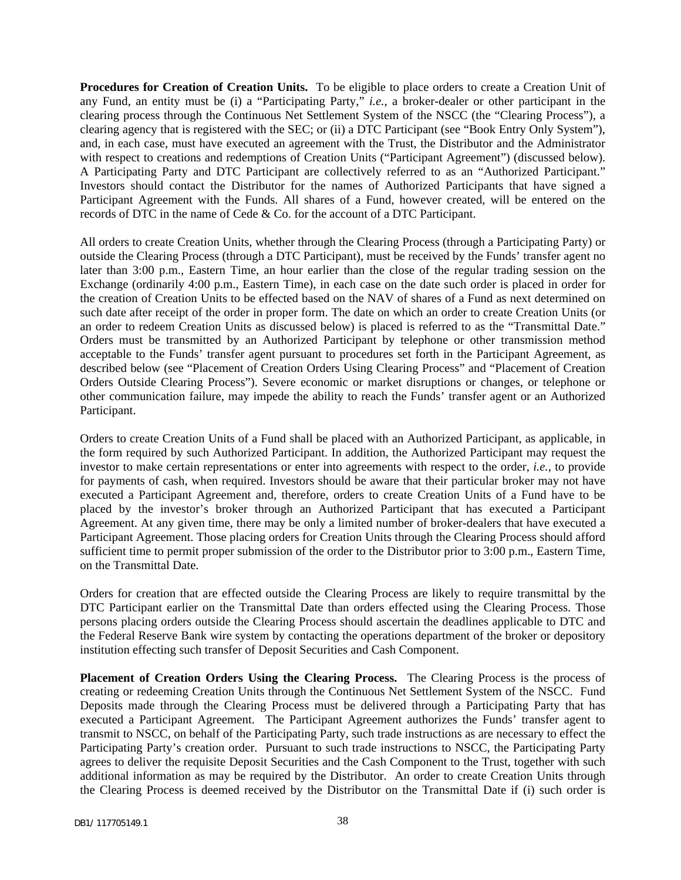**Procedures for Creation of Creation Units.** To be eligible to place orders to create a Creation Unit of any Fund, an entity must be (i) a "Participating Party," *i.e.*, a broker-dealer or other participant in the clearing process through the Continuous Net Settlement System of the NSCC (the "Clearing Process"), a clearing agency that is registered with the SEC; or (ii) a DTC Participant (see "Book Entry Only System"), and, in each case, must have executed an agreement with the Trust, the Distributor and the Administrator with respect to creations and redemptions of Creation Units ("Participant Agreement") (discussed below). A Participating Party and DTC Participant are collectively referred to as an "Authorized Participant." Investors should contact the Distributor for the names of Authorized Participants that have signed a Participant Agreement with the Funds. All shares of a Fund, however created, will be entered on the records of DTC in the name of Cede & Co. for the account of a DTC Participant.

All orders to create Creation Units, whether through the Clearing Process (through a Participating Party) or outside the Clearing Process (through a DTC Participant), must be received by the Funds' transfer agent no later than 3:00 p.m., Eastern Time, an hour earlier than the close of the regular trading session on the Exchange (ordinarily 4:00 p.m., Eastern Time), in each case on the date such order is placed in order for the creation of Creation Units to be effected based on the NAV of shares of a Fund as next determined on such date after receipt of the order in proper form. The date on which an order to create Creation Units (or an order to redeem Creation Units as discussed below) is placed is referred to as the "Transmittal Date." Orders must be transmitted by an Authorized Participant by telephone or other transmission method acceptable to the Funds' transfer agent pursuant to procedures set forth in the Participant Agreement, as described below (see "Placement of Creation Orders Using Clearing Process" and "Placement of Creation Orders Outside Clearing Process"). Severe economic or market disruptions or changes, or telephone or other communication failure, may impede the ability to reach the Funds' transfer agent or an Authorized Participant.

Orders to create Creation Units of a Fund shall be placed with an Authorized Participant, as applicable, in the form required by such Authorized Participant. In addition, the Authorized Participant may request the investor to make certain representations or enter into agreements with respect to the order, *i.e.*, to provide for payments of cash, when required. Investors should be aware that their particular broker may not have executed a Participant Agreement and, therefore, orders to create Creation Units of a Fund have to be placed by the investor's broker through an Authorized Participant that has executed a Participant Agreement. At any given time, there may be only a limited number of broker-dealers that have executed a Participant Agreement. Those placing orders for Creation Units through the Clearing Process should afford sufficient time to permit proper submission of the order to the Distributor prior to 3:00 p.m., Eastern Time, on the Transmittal Date.

Orders for creation that are effected outside the Clearing Process are likely to require transmittal by the DTC Participant earlier on the Transmittal Date than orders effected using the Clearing Process. Those persons placing orders outside the Clearing Process should ascertain the deadlines applicable to DTC and the Federal Reserve Bank wire system by contacting the operations department of the broker or depository institution effecting such transfer of Deposit Securities and Cash Component.

**Placement of Creation Orders Using the Clearing Process.** The Clearing Process is the process of creating or redeeming Creation Units through the Continuous Net Settlement System of the NSCC. Fund Deposits made through the Clearing Process must be delivered through a Participating Party that has executed a Participant Agreement. The Participant Agreement authorizes the Funds' transfer agent to transmit to NSCC, on behalf of the Participating Party, such trade instructions as are necessary to effect the Participating Party's creation order. Pursuant to such trade instructions to NSCC, the Participating Party agrees to deliver the requisite Deposit Securities and the Cash Component to the Trust, together with such additional information as may be required by the Distributor. An order to create Creation Units through the Clearing Process is deemed received by the Distributor on the Transmittal Date if (i) such order is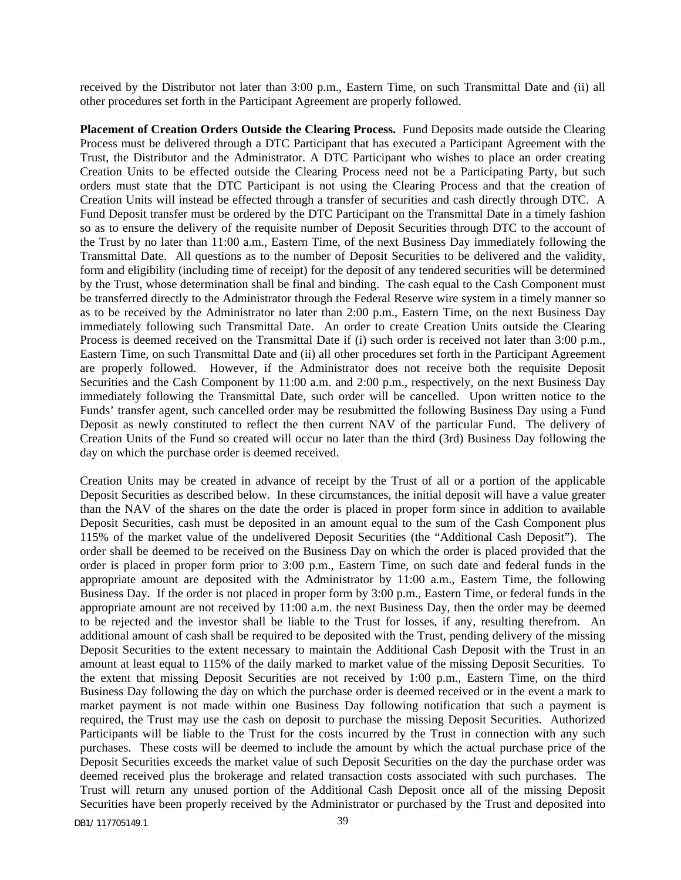received by the Distributor not later than 3:00 p.m., Eastern Time, on such Transmittal Date and (ii) all other procedures set forth in the Participant Agreement are properly followed.

**Placement of Creation Orders Outside the Clearing Process.** Fund Deposits made outside the Clearing Process must be delivered through a DTC Participant that has executed a Participant Agreement with the Trust, the Distributor and the Administrator. A DTC Participant who wishes to place an order creating Creation Units to be effected outside the Clearing Process need not be a Participating Party, but such orders must state that the DTC Participant is not using the Clearing Process and that the creation of Creation Units will instead be effected through a transfer of securities and cash directly through DTC. A Fund Deposit transfer must be ordered by the DTC Participant on the Transmittal Date in a timely fashion so as to ensure the delivery of the requisite number of Deposit Securities through DTC to the account of the Trust by no later than 11:00 a.m., Eastern Time, of the next Business Day immediately following the Transmittal Date. All questions as to the number of Deposit Securities to be delivered and the validity, form and eligibility (including time of receipt) for the deposit of any tendered securities will be determined by the Trust, whose determination shall be final and binding. The cash equal to the Cash Component must be transferred directly to the Administrator through the Federal Reserve wire system in a timely manner so as to be received by the Administrator no later than 2:00 p.m., Eastern Time, on the next Business Day immediately following such Transmittal Date. An order to create Creation Units outside the Clearing Process is deemed received on the Transmittal Date if (i) such order is received not later than 3:00 p.m., Eastern Time, on such Transmittal Date and (ii) all other procedures set forth in the Participant Agreement are properly followed. However, if the Administrator does not receive both the requisite Deposit Securities and the Cash Component by 11:00 a.m. and 2:00 p.m., respectively, on the next Business Day immediately following the Transmittal Date, such order will be cancelled. Upon written notice to the Funds' transfer agent, such cancelled order may be resubmitted the following Business Day using a Fund Deposit as newly constituted to reflect the then current NAV of the particular Fund. The delivery of Creation Units of the Fund so created will occur no later than the third (3rd) Business Day following the day on which the purchase order is deemed received.

Creation Units may be created in advance of receipt by the Trust of all or a portion of the applicable Deposit Securities as described below. In these circumstances, the initial deposit will have a value greater than the NAV of the shares on the date the order is placed in proper form since in addition to available Deposit Securities, cash must be deposited in an amount equal to the sum of the Cash Component plus 115% of the market value of the undelivered Deposit Securities (the "Additional Cash Deposit"). The order shall be deemed to be received on the Business Day on which the order is placed provided that the order is placed in proper form prior to 3:00 p.m., Eastern Time, on such date and federal funds in the appropriate amount are deposited with the Administrator by 11:00 a.m., Eastern Time, the following Business Day. If the order is not placed in proper form by 3:00 p.m., Eastern Time, or federal funds in the appropriate amount are not received by 11:00 a.m. the next Business Day, then the order may be deemed to be rejected and the investor shall be liable to the Trust for losses, if any, resulting therefrom. An additional amount of cash shall be required to be deposited with the Trust, pending delivery of the missing Deposit Securities to the extent necessary to maintain the Additional Cash Deposit with the Trust in an amount at least equal to 115% of the daily marked to market value of the missing Deposit Securities. To the extent that missing Deposit Securities are not received by 1:00 p.m., Eastern Time, on the third Business Day following the day on which the purchase order is deemed received or in the event a mark to market payment is not made within one Business Day following notification that such a payment is required, the Trust may use the cash on deposit to purchase the missing Deposit Securities. Authorized Participants will be liable to the Trust for the costs incurred by the Trust in connection with any such purchases. These costs will be deemed to include the amount by which the actual purchase price of the Deposit Securities exceeds the market value of such Deposit Securities on the day the purchase order was deemed received plus the brokerage and related transaction costs associated with such purchases. The Trust will return any unused portion of the Additional Cash Deposit once all of the missing Deposit Securities have been properly received by the Administrator or purchased by the Trust and deposited into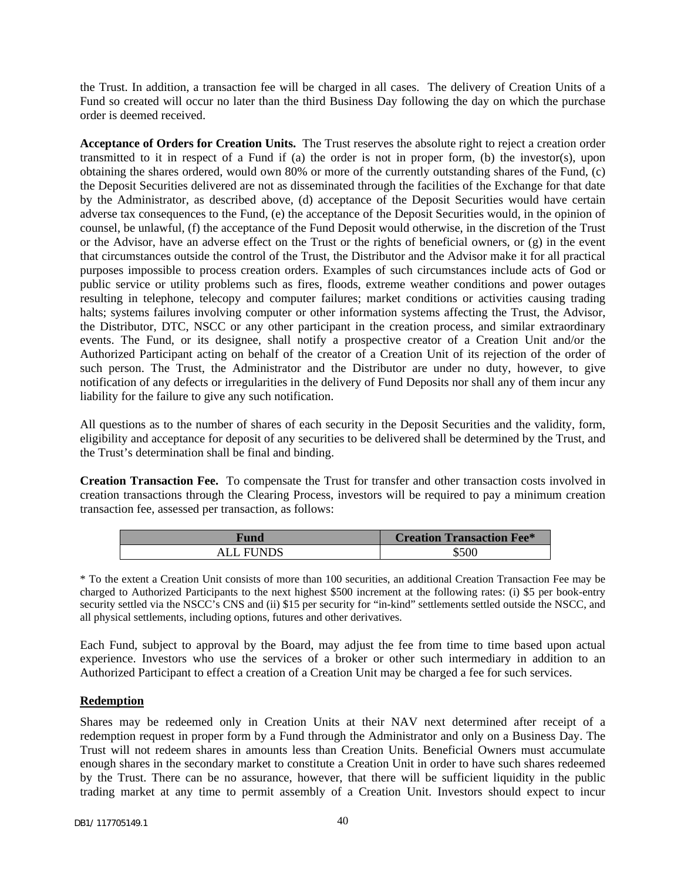the Trust. In addition, a transaction fee will be charged in all cases. The delivery of Creation Units of a Fund so created will occur no later than the third Business Day following the day on which the purchase order is deemed received.

**Acceptance of Orders for Creation Units.** The Trust reserves the absolute right to reject a creation order transmitted to it in respect of a Fund if (a) the order is not in proper form, (b) the investor(s), upon obtaining the shares ordered, would own 80% or more of the currently outstanding shares of the Fund, (c) the Deposit Securities delivered are not as disseminated through the facilities of the Exchange for that date by the Administrator, as described above, (d) acceptance of the Deposit Securities would have certain adverse tax consequences to the Fund, (e) the acceptance of the Deposit Securities would, in the opinion of counsel, be unlawful, (f) the acceptance of the Fund Deposit would otherwise, in the discretion of the Trust or the Advisor, have an adverse effect on the Trust or the rights of beneficial owners, or (g) in the event that circumstances outside the control of the Trust, the Distributor and the Advisor make it for all practical purposes impossible to process creation orders. Examples of such circumstances include acts of God or public service or utility problems such as fires, floods, extreme weather conditions and power outages resulting in telephone, telecopy and computer failures; market conditions or activities causing trading halts; systems failures involving computer or other information systems affecting the Trust, the Advisor, the Distributor, DTC, NSCC or any other participant in the creation process, and similar extraordinary events. The Fund, or its designee, shall notify a prospective creator of a Creation Unit and/or the Authorized Participant acting on behalf of the creator of a Creation Unit of its rejection of the order of such person. The Trust, the Administrator and the Distributor are under no duty, however, to give notification of any defects or irregularities in the delivery of Fund Deposits nor shall any of them incur any liability for the failure to give any such notification.

All questions as to the number of shares of each security in the Deposit Securities and the validity, form, eligibility and acceptance for deposit of any securities to be delivered shall be determined by the Trust, and the Trust's determination shall be final and binding.

**Creation Transaction Fee.** To compensate the Trust for transfer and other transaction costs involved in creation transactions through the Clearing Process, investors will be required to pay a minimum creation transaction fee, assessed per transaction, as follows:

| Fund      | <b>Creation Transaction Fee*</b> |
|-----------|----------------------------------|
| ALL FUNDS | \$500                            |

\* To the extent a Creation Unit consists of more than 100 securities, an additional Creation Transaction Fee may be charged to Authorized Participants to the next highest \$500 increment at the following rates: (i) \$5 per book-entry security settled via the NSCC's CNS and (ii) \$15 per security for "in-kind" settlements settled outside the NSCC, and all physical settlements, including options, futures and other derivatives.

Each Fund, subject to approval by the Board, may adjust the fee from time to time based upon actual experience. Investors who use the services of a broker or other such intermediary in addition to an Authorized Participant to effect a creation of a Creation Unit may be charged a fee for such services.

### **Redemption**

Shares may be redeemed only in Creation Units at their NAV next determined after receipt of a redemption request in proper form by a Fund through the Administrator and only on a Business Day. The Trust will not redeem shares in amounts less than Creation Units. Beneficial Owners must accumulate enough shares in the secondary market to constitute a Creation Unit in order to have such shares redeemed by the Trust. There can be no assurance, however, that there will be sufficient liquidity in the public trading market at any time to permit assembly of a Creation Unit. Investors should expect to incur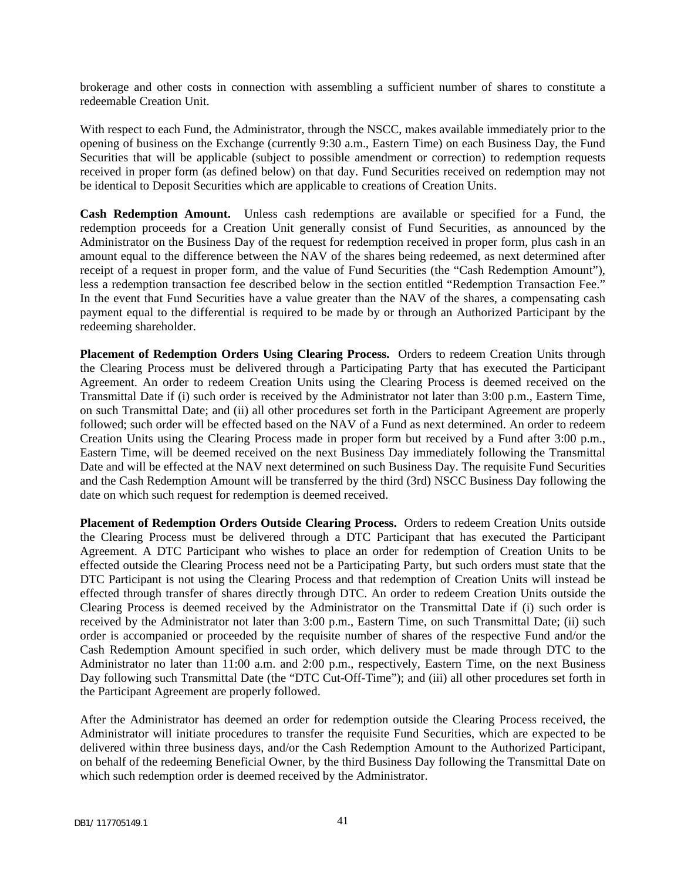brokerage and other costs in connection with assembling a sufficient number of shares to constitute a redeemable Creation Unit.

With respect to each Fund, the Administrator, through the NSCC, makes available immediately prior to the opening of business on the Exchange (currently 9:30 a.m., Eastern Time) on each Business Day, the Fund Securities that will be applicable (subject to possible amendment or correction) to redemption requests received in proper form (as defined below) on that day. Fund Securities received on redemption may not be identical to Deposit Securities which are applicable to creations of Creation Units.

**Cash Redemption Amount.** Unless cash redemptions are available or specified for a Fund, the redemption proceeds for a Creation Unit generally consist of Fund Securities, as announced by the Administrator on the Business Day of the request for redemption received in proper form, plus cash in an amount equal to the difference between the NAV of the shares being redeemed, as next determined after receipt of a request in proper form, and the value of Fund Securities (the "Cash Redemption Amount"), less a redemption transaction fee described below in the section entitled "Redemption Transaction Fee." In the event that Fund Securities have a value greater than the NAV of the shares, a compensating cash payment equal to the differential is required to be made by or through an Authorized Participant by the redeeming shareholder.

**Placement of Redemption Orders Using Clearing Process.** Orders to redeem Creation Units through the Clearing Process must be delivered through a Participating Party that has executed the Participant Agreement. An order to redeem Creation Units using the Clearing Process is deemed received on the Transmittal Date if (i) such order is received by the Administrator not later than 3:00 p.m., Eastern Time, on such Transmittal Date; and (ii) all other procedures set forth in the Participant Agreement are properly followed; such order will be effected based on the NAV of a Fund as next determined. An order to redeem Creation Units using the Clearing Process made in proper form but received by a Fund after 3:00 p.m., Eastern Time, will be deemed received on the next Business Day immediately following the Transmittal Date and will be effected at the NAV next determined on such Business Day. The requisite Fund Securities and the Cash Redemption Amount will be transferred by the third (3rd) NSCC Business Day following the date on which such request for redemption is deemed received.

**Placement of Redemption Orders Outside Clearing Process.** Orders to redeem Creation Units outside the Clearing Process must be delivered through a DTC Participant that has executed the Participant Agreement. A DTC Participant who wishes to place an order for redemption of Creation Units to be effected outside the Clearing Process need not be a Participating Party, but such orders must state that the DTC Participant is not using the Clearing Process and that redemption of Creation Units will instead be effected through transfer of shares directly through DTC. An order to redeem Creation Units outside the Clearing Process is deemed received by the Administrator on the Transmittal Date if (i) such order is received by the Administrator not later than 3:00 p.m., Eastern Time, on such Transmittal Date; (ii) such order is accompanied or proceeded by the requisite number of shares of the respective Fund and/or the Cash Redemption Amount specified in such order, which delivery must be made through DTC to the Administrator no later than 11:00 a.m. and 2:00 p.m., respectively, Eastern Time, on the next Business Day following such Transmittal Date (the "DTC Cut-Off-Time"); and (iii) all other procedures set forth in the Participant Agreement are properly followed.

After the Administrator has deemed an order for redemption outside the Clearing Process received, the Administrator will initiate procedures to transfer the requisite Fund Securities, which are expected to be delivered within three business days, and/or the Cash Redemption Amount to the Authorized Participant, on behalf of the redeeming Beneficial Owner, by the third Business Day following the Transmittal Date on which such redemption order is deemed received by the Administrator.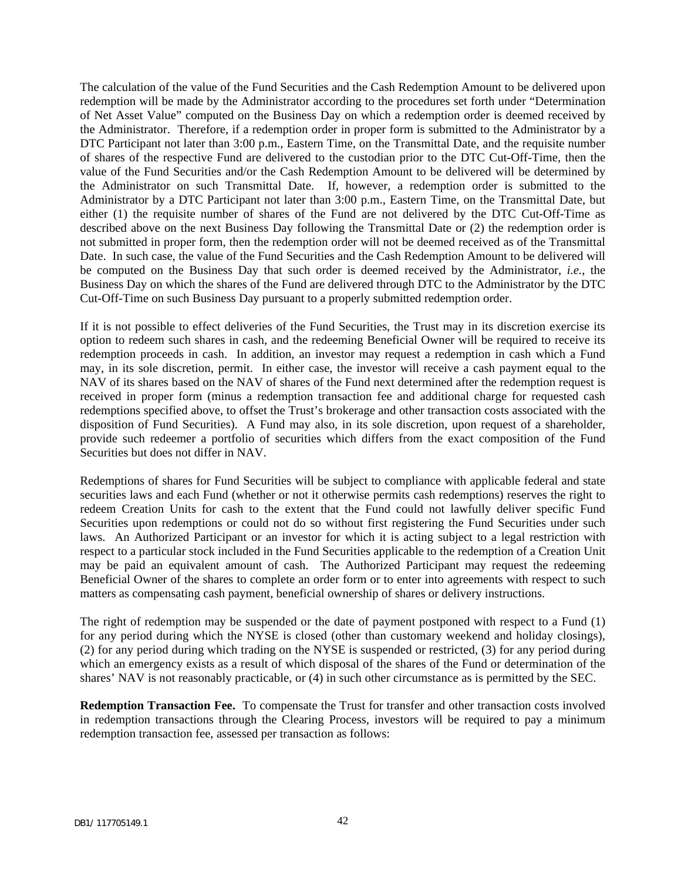The calculation of the value of the Fund Securities and the Cash Redemption Amount to be delivered upon redemption will be made by the Administrator according to the procedures set forth under "Determination of Net Asset Value" computed on the Business Day on which a redemption order is deemed received by the Administrator. Therefore, if a redemption order in proper form is submitted to the Administrator by a DTC Participant not later than 3:00 p.m., Eastern Time, on the Transmittal Date, and the requisite number of shares of the respective Fund are delivered to the custodian prior to the DTC Cut-Off-Time, then the value of the Fund Securities and/or the Cash Redemption Amount to be delivered will be determined by the Administrator on such Transmittal Date. If, however, a redemption order is submitted to the Administrator by a DTC Participant not later than 3:00 p.m., Eastern Time, on the Transmittal Date, but either (1) the requisite number of shares of the Fund are not delivered by the DTC Cut-Off-Time as described above on the next Business Day following the Transmittal Date or (2) the redemption order is not submitted in proper form, then the redemption order will not be deemed received as of the Transmittal Date. In such case, the value of the Fund Securities and the Cash Redemption Amount to be delivered will be computed on the Business Day that such order is deemed received by the Administrator, *i.e.*, the Business Day on which the shares of the Fund are delivered through DTC to the Administrator by the DTC Cut-Off-Time on such Business Day pursuant to a properly submitted redemption order.

If it is not possible to effect deliveries of the Fund Securities, the Trust may in its discretion exercise its option to redeem such shares in cash, and the redeeming Beneficial Owner will be required to receive its redemption proceeds in cash. In addition, an investor may request a redemption in cash which a Fund may, in its sole discretion, permit. In either case, the investor will receive a cash payment equal to the NAV of its shares based on the NAV of shares of the Fund next determined after the redemption request is received in proper form (minus a redemption transaction fee and additional charge for requested cash redemptions specified above, to offset the Trust's brokerage and other transaction costs associated with the disposition of Fund Securities). A Fund may also, in its sole discretion, upon request of a shareholder, provide such redeemer a portfolio of securities which differs from the exact composition of the Fund Securities but does not differ in NAV.

Redemptions of shares for Fund Securities will be subject to compliance with applicable federal and state securities laws and each Fund (whether or not it otherwise permits cash redemptions) reserves the right to redeem Creation Units for cash to the extent that the Fund could not lawfully deliver specific Fund Securities upon redemptions or could not do so without first registering the Fund Securities under such laws. An Authorized Participant or an investor for which it is acting subject to a legal restriction with respect to a particular stock included in the Fund Securities applicable to the redemption of a Creation Unit may be paid an equivalent amount of cash. The Authorized Participant may request the redeeming Beneficial Owner of the shares to complete an order form or to enter into agreements with respect to such matters as compensating cash payment, beneficial ownership of shares or delivery instructions.

The right of redemption may be suspended or the date of payment postponed with respect to a Fund (1) for any period during which the NYSE is closed (other than customary weekend and holiday closings), (2) for any period during which trading on the NYSE is suspended or restricted, (3) for any period during which an emergency exists as a result of which disposal of the shares of the Fund or determination of the shares' NAV is not reasonably practicable, or (4) in such other circumstance as is permitted by the SEC.

**Redemption Transaction Fee.** To compensate the Trust for transfer and other transaction costs involved in redemption transactions through the Clearing Process, investors will be required to pay a minimum redemption transaction fee, assessed per transaction as follows: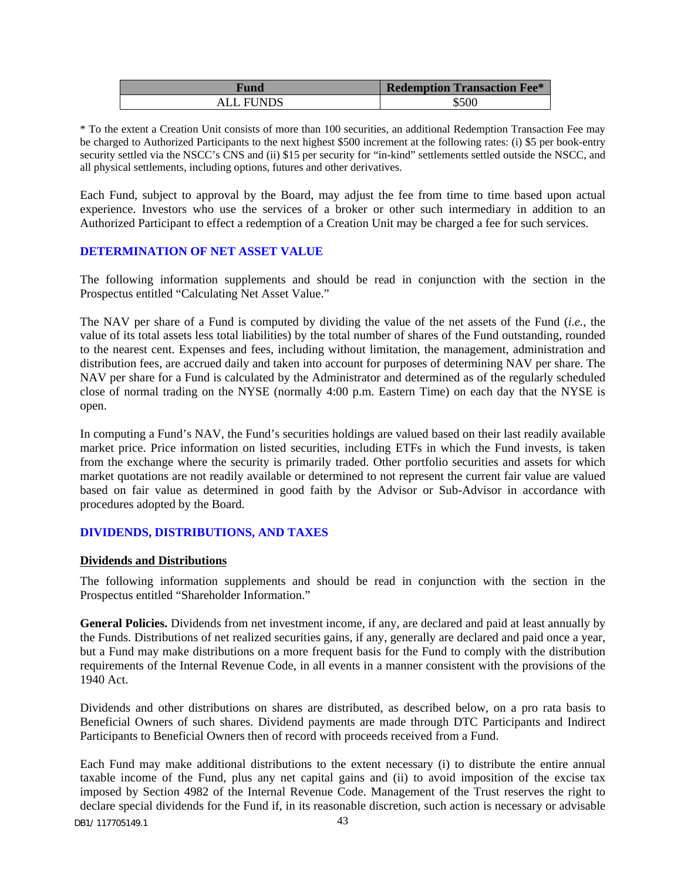| Fund             | <b>Redemption Transaction Fee*</b> |
|------------------|------------------------------------|
| <b>ALL FUNDS</b> | \$500                              |

\* To the extent a Creation Unit consists of more than 100 securities, an additional Redemption Transaction Fee may be charged to Authorized Participants to the next highest \$500 increment at the following rates: (i) \$5 per book-entry security settled via the NSCC's CNS and (ii) \$15 per security for "in-kind" settlements settled outside the NSCC, and all physical settlements, including options, futures and other derivatives.

Each Fund, subject to approval by the Board, may adjust the fee from time to time based upon actual experience. Investors who use the services of a broker or other such intermediary in addition to an Authorized Participant to effect a redemption of a Creation Unit may be charged a fee for such services.

### <span id="page-44-0"></span>**DETERMINATION OF NET ASSET VALUE**

The following information supplements and should be read in conjunction with the section in the Prospectus entitled "Calculating Net Asset Value."

The NAV per share of a Fund is computed by dividing the value of the net assets of the Fund (*i.e.*, the value of its total assets less total liabilities) by the total number of shares of the Fund outstanding, rounded to the nearest cent. Expenses and fees, including without limitation, the management, administration and distribution fees, are accrued daily and taken into account for purposes of determining NAV per share. The NAV per share for a Fund is calculated by the Administrator and determined as of the regularly scheduled close of normal trading on the NYSE (normally 4:00 p.m. Eastern Time) on each day that the NYSE is open.

In computing a Fund's NAV, the Fund's securities holdings are valued based on their last readily available market price. Price information on listed securities, including ETFs in which the Fund invests, is taken from the exchange where the security is primarily traded. Other portfolio securities and assets for which market quotations are not readily available or determined to not represent the current fair value are valued based on fair value as determined in good faith by the Advisor or Sub-Advisor in accordance with procedures adopted by the Board.

### <span id="page-44-1"></span>**DIVIDENDS, DISTRIBUTIONS, AND TAXES**

### **Dividends and Distributions**

The following information supplements and should be read in conjunction with the section in the Prospectus entitled "Shareholder Information."

**General Policies.** Dividends from net investment income, if any, are declared and paid at least annually by the Funds. Distributions of net realized securities gains, if any, generally are declared and paid once a year, but a Fund may make distributions on a more frequent basis for the Fund to comply with the distribution requirements of the Internal Revenue Code, in all events in a manner consistent with the provisions of the 1940 Act.

Dividends and other distributions on shares are distributed, as described below, on a pro rata basis to Beneficial Owners of such shares. Dividend payments are made through DTC Participants and Indirect Participants to Beneficial Owners then of record with proceeds received from a Fund.

Each Fund may make additional distributions to the extent necessary (i) to distribute the entire annual taxable income of the Fund, plus any net capital gains and (ii) to avoid imposition of the excise tax imposed by Section 4982 of the Internal Revenue Code. Management of the Trust reserves the right to declare special dividends for the Fund if, in its reasonable discretion, such action is necessary or advisable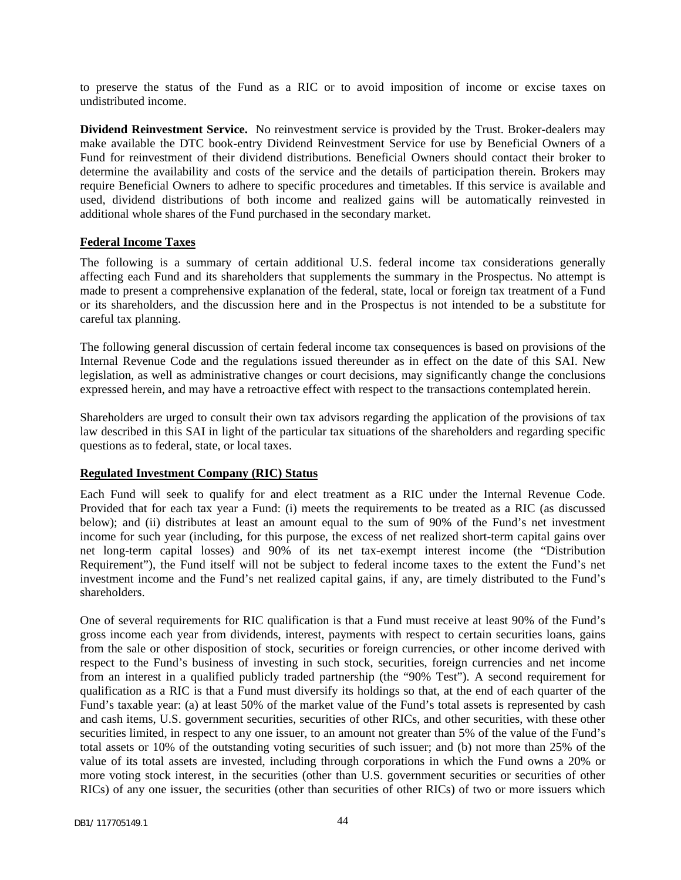to preserve the status of the Fund as a RIC or to avoid imposition of income or excise taxes on undistributed income.

**Dividend Reinvestment Service.** No reinvestment service is provided by the Trust. Broker-dealers may make available the DTC book-entry Dividend Reinvestment Service for use by Beneficial Owners of a Fund for reinvestment of their dividend distributions. Beneficial Owners should contact their broker to determine the availability and costs of the service and the details of participation therein. Brokers may require Beneficial Owners to adhere to specific procedures and timetables. If this service is available and used, dividend distributions of both income and realized gains will be automatically reinvested in additional whole shares of the Fund purchased in the secondary market.

#### **Federal Income Taxes**

The following is a summary of certain additional U.S. federal income tax considerations generally affecting each Fund and its shareholders that supplements the summary in the Prospectus. No attempt is made to present a comprehensive explanation of the federal, state, local or foreign tax treatment of a Fund or its shareholders, and the discussion here and in the Prospectus is not intended to be a substitute for careful tax planning.

The following general discussion of certain federal income tax consequences is based on provisions of the Internal Revenue Code and the regulations issued thereunder as in effect on the date of this SAI. New legislation, as well as administrative changes or court decisions, may significantly change the conclusions expressed herein, and may have a retroactive effect with respect to the transactions contemplated herein.

Shareholders are urged to consult their own tax advisors regarding the application of the provisions of tax law described in this SAI in light of the particular tax situations of the shareholders and regarding specific questions as to federal, state, or local taxes.

#### **Regulated Investment Company (RIC) Status**

Each Fund will seek to qualify for and elect treatment as a RIC under the Internal Revenue Code. Provided that for each tax year a Fund: (i) meets the requirements to be treated as a RIC (as discussed below); and (ii) distributes at least an amount equal to the sum of 90% of the Fund's net investment income for such year (including, for this purpose, the excess of net realized short-term capital gains over net long-term capital losses) and 90% of its net tax-exempt interest income (the "Distribution Requirement"), the Fund itself will not be subject to federal income taxes to the extent the Fund's net investment income and the Fund's net realized capital gains, if any, are timely distributed to the Fund's shareholders.

One of several requirements for RIC qualification is that a Fund must receive at least 90% of the Fund's gross income each year from dividends, interest, payments with respect to certain securities loans, gains from the sale or other disposition of stock, securities or foreign currencies, or other income derived with respect to the Fund's business of investing in such stock, securities, foreign currencies and net income from an interest in a qualified publicly traded partnership (the "90% Test"). A second requirement for qualification as a RIC is that a Fund must diversify its holdings so that, at the end of each quarter of the Fund's taxable year: (a) at least 50% of the market value of the Fund's total assets is represented by cash and cash items, U.S. government securities, securities of other RICs, and other securities, with these other securities limited, in respect to any one issuer, to an amount not greater than 5% of the value of the Fund's total assets or 10% of the outstanding voting securities of such issuer; and (b) not more than 25% of the value of its total assets are invested, including through corporations in which the Fund owns a 20% or more voting stock interest, in the securities (other than U.S. government securities or securities of other RICs) of any one issuer, the securities (other than securities of other RICs) of two or more issuers which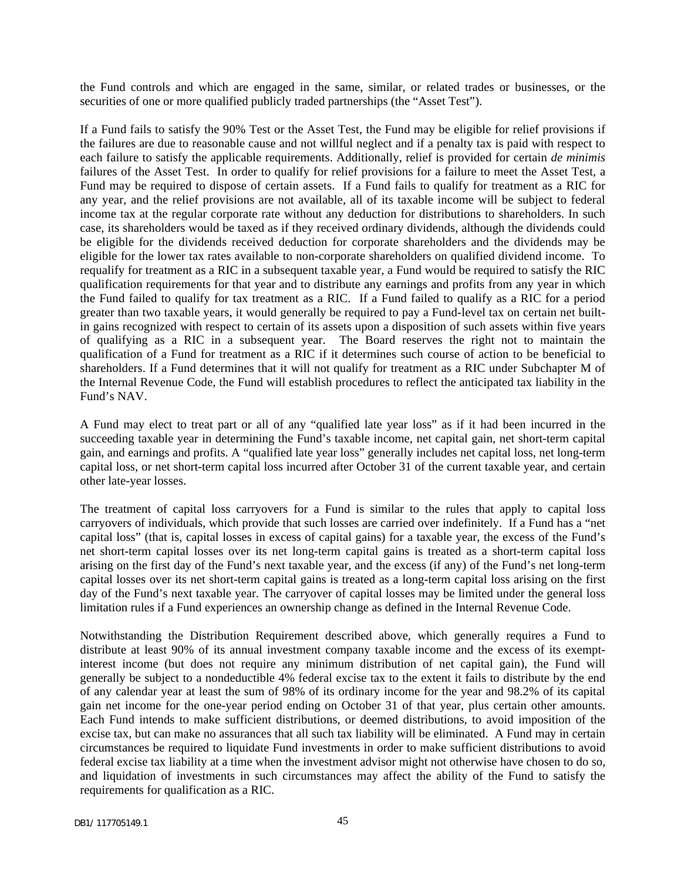the Fund controls and which are engaged in the same, similar, or related trades or businesses, or the securities of one or more qualified publicly traded partnerships (the "Asset Test").

If a Fund fails to satisfy the 90% Test or the Asset Test, the Fund may be eligible for relief provisions if the failures are due to reasonable cause and not willful neglect and if a penalty tax is paid with respect to each failure to satisfy the applicable requirements. Additionally, relief is provided for certain *de minimis*  failures of the Asset Test. In order to qualify for relief provisions for a failure to meet the Asset Test, a Fund may be required to dispose of certain assets. If a Fund fails to qualify for treatment as a RIC for any year, and the relief provisions are not available, all of its taxable income will be subject to federal income tax at the regular corporate rate without any deduction for distributions to shareholders. In such case, its shareholders would be taxed as if they received ordinary dividends, although the dividends could be eligible for the dividends received deduction for corporate shareholders and the dividends may be eligible for the lower tax rates available to non-corporate shareholders on qualified dividend income. To requalify for treatment as a RIC in a subsequent taxable year, a Fund would be required to satisfy the RIC qualification requirements for that year and to distribute any earnings and profits from any year in which the Fund failed to qualify for tax treatment as a RIC. If a Fund failed to qualify as a RIC for a period greater than two taxable years, it would generally be required to pay a Fund-level tax on certain net builtin gains recognized with respect to certain of its assets upon a disposition of such assets within five years of qualifying as a RIC in a subsequent year. The Board reserves the right not to maintain the qualification of a Fund for treatment as a RIC if it determines such course of action to be beneficial to shareholders. If a Fund determines that it will not qualify for treatment as a RIC under Subchapter M of the Internal Revenue Code, the Fund will establish procedures to reflect the anticipated tax liability in the Fund's NAV.

A Fund may elect to treat part or all of any "qualified late year loss" as if it had been incurred in the succeeding taxable year in determining the Fund's taxable income, net capital gain, net short-term capital gain, and earnings and profits. A "qualified late year loss" generally includes net capital loss, net long-term capital loss, or net short-term capital loss incurred after October 31 of the current taxable year, and certain other late-year losses.

The treatment of capital loss carryovers for a Fund is similar to the rules that apply to capital loss carryovers of individuals, which provide that such losses are carried over indefinitely. If a Fund has a "net capital loss" (that is, capital losses in excess of capital gains) for a taxable year, the excess of the Fund's net short-term capital losses over its net long-term capital gains is treated as a short-term capital loss arising on the first day of the Fund's next taxable year, and the excess (if any) of the Fund's net long-term capital losses over its net short-term capital gains is treated as a long-term capital loss arising on the first day of the Fund's next taxable year. The carryover of capital losses may be limited under the general loss limitation rules if a Fund experiences an ownership change as defined in the Internal Revenue Code.

Notwithstanding the Distribution Requirement described above, which generally requires a Fund to distribute at least 90% of its annual investment company taxable income and the excess of its exemptinterest income (but does not require any minimum distribution of net capital gain), the Fund will generally be subject to a nondeductible 4% federal excise tax to the extent it fails to distribute by the end of any calendar year at least the sum of 98% of its ordinary income for the year and 98.2% of its capital gain net income for the one-year period ending on October 31 of that year, plus certain other amounts. Each Fund intends to make sufficient distributions, or deemed distributions, to avoid imposition of the excise tax, but can make no assurances that all such tax liability will be eliminated. A Fund may in certain circumstances be required to liquidate Fund investments in order to make sufficient distributions to avoid federal excise tax liability at a time when the investment advisor might not otherwise have chosen to do so, and liquidation of investments in such circumstances may affect the ability of the Fund to satisfy the requirements for qualification as a RIC.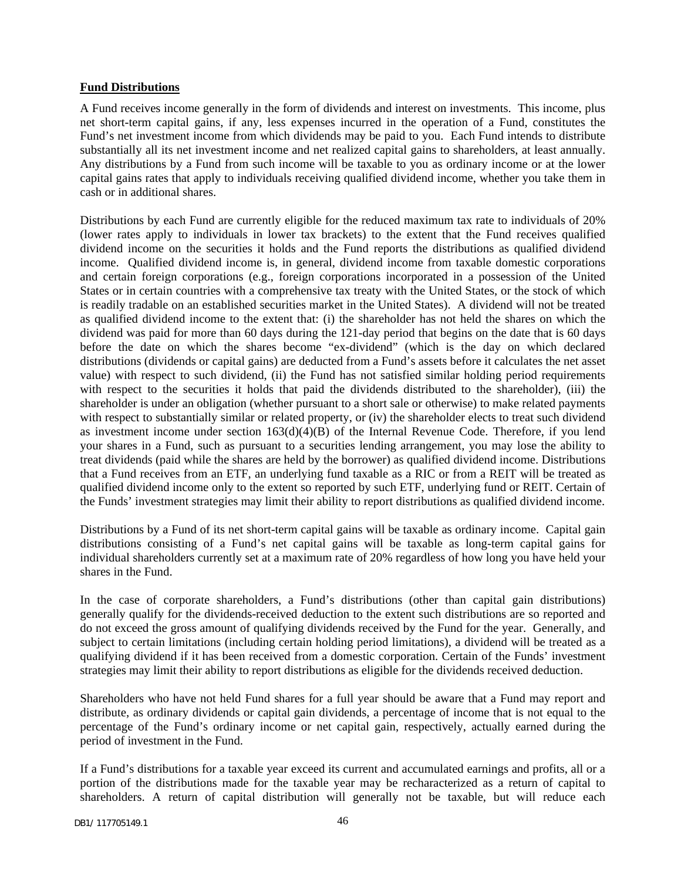#### **Fund Distributions**

A Fund receives income generally in the form of dividends and interest on investments. This income, plus net short-term capital gains, if any, less expenses incurred in the operation of a Fund, constitutes the Fund's net investment income from which dividends may be paid to you. Each Fund intends to distribute substantially all its net investment income and net realized capital gains to shareholders, at least annually. Any distributions by a Fund from such income will be taxable to you as ordinary income or at the lower capital gains rates that apply to individuals receiving qualified dividend income, whether you take them in cash or in additional shares.

Distributions by each Fund are currently eligible for the reduced maximum tax rate to individuals of 20% (lower rates apply to individuals in lower tax brackets) to the extent that the Fund receives qualified dividend income on the securities it holds and the Fund reports the distributions as qualified dividend income. Qualified dividend income is, in general, dividend income from taxable domestic corporations and certain foreign corporations (e.g., foreign corporations incorporated in a possession of the United States or in certain countries with a comprehensive tax treaty with the United States, or the stock of which is readily tradable on an established securities market in the United States). A dividend will not be treated as qualified dividend income to the extent that: (i) the shareholder has not held the shares on which the dividend was paid for more than 60 days during the 121-day period that begins on the date that is 60 days before the date on which the shares become "ex-dividend" (which is the day on which declared distributions (dividends or capital gains) are deducted from a Fund's assets before it calculates the net asset value) with respect to such dividend, (ii) the Fund has not satisfied similar holding period requirements with respect to the securities it holds that paid the dividends distributed to the shareholder), (iii) the shareholder is under an obligation (whether pursuant to a short sale or otherwise) to make related payments with respect to substantially similar or related property, or (iv) the shareholder elects to treat such dividend as investment income under section  $163(d)(4)(B)$  of the Internal Revenue Code. Therefore, if you lend your shares in a Fund, such as pursuant to a securities lending arrangement, you may lose the ability to treat dividends (paid while the shares are held by the borrower) as qualified dividend income. Distributions that a Fund receives from an ETF, an underlying fund taxable as a RIC or from a REIT will be treated as qualified dividend income only to the extent so reported by such ETF, underlying fund or REIT. Certain of the Funds' investment strategies may limit their ability to report distributions as qualified dividend income.

Distributions by a Fund of its net short-term capital gains will be taxable as ordinary income. Capital gain distributions consisting of a Fund's net capital gains will be taxable as long-term capital gains for individual shareholders currently set at a maximum rate of 20% regardless of how long you have held your shares in the Fund.

In the case of corporate shareholders, a Fund's distributions (other than capital gain distributions) generally qualify for the dividends-received deduction to the extent such distributions are so reported and do not exceed the gross amount of qualifying dividends received by the Fund for the year. Generally, and subject to certain limitations (including certain holding period limitations), a dividend will be treated as a qualifying dividend if it has been received from a domestic corporation. Certain of the Funds' investment strategies may limit their ability to report distributions as eligible for the dividends received deduction.

Shareholders who have not held Fund shares for a full year should be aware that a Fund may report and distribute, as ordinary dividends or capital gain dividends, a percentage of income that is not equal to the percentage of the Fund's ordinary income or net capital gain, respectively, actually earned during the period of investment in the Fund.

If a Fund's distributions for a taxable year exceed its current and accumulated earnings and profits, all or a portion of the distributions made for the taxable year may be recharacterized as a return of capital to shareholders. A return of capital distribution will generally not be taxable, but will reduce each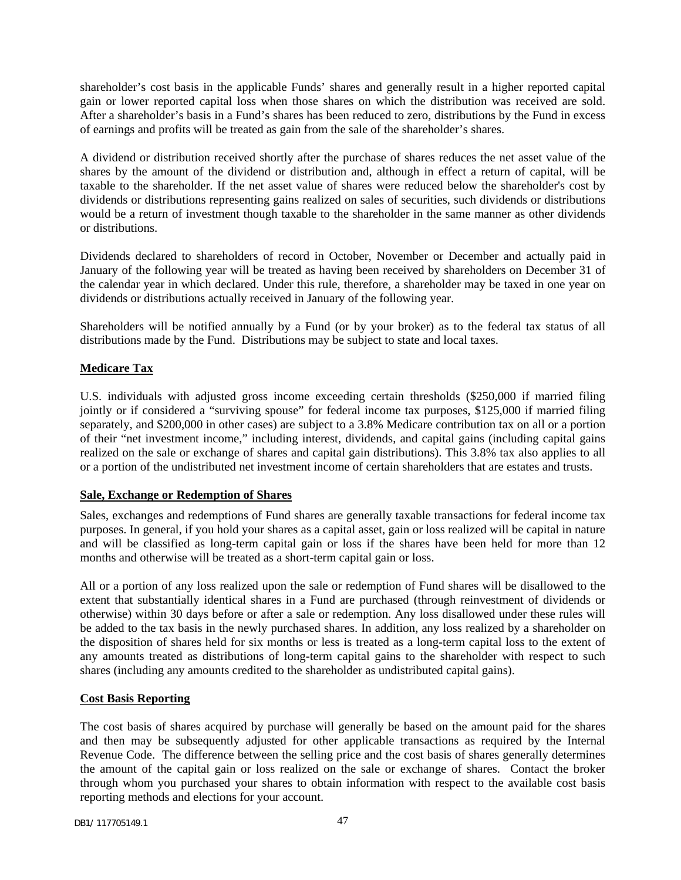shareholder's cost basis in the applicable Funds' shares and generally result in a higher reported capital gain or lower reported capital loss when those shares on which the distribution was received are sold. After a shareholder's basis in a Fund's shares has been reduced to zero, distributions by the Fund in excess of earnings and profits will be treated as gain from the sale of the shareholder's shares.

A dividend or distribution received shortly after the purchase of shares reduces the net asset value of the shares by the amount of the dividend or distribution and, although in effect a return of capital, will be taxable to the shareholder. If the net asset value of shares were reduced below the shareholder's cost by dividends or distributions representing gains realized on sales of securities, such dividends or distributions would be a return of investment though taxable to the shareholder in the same manner as other dividends or distributions.

Dividends declared to shareholders of record in October, November or December and actually paid in January of the following year will be treated as having been received by shareholders on December 31 of the calendar year in which declared. Under this rule, therefore, a shareholder may be taxed in one year on dividends or distributions actually received in January of the following year.

Shareholders will be notified annually by a Fund (or by your broker) as to the federal tax status of all distributions made by the Fund. Distributions may be subject to state and local taxes.

### **Medicare Tax**

U.S. individuals with adjusted gross income exceeding certain thresholds (\$250,000 if married filing jointly or if considered a "surviving spouse" for federal income tax purposes, \$125,000 if married filing separately, and \$200,000 in other cases) are subject to a 3.8% Medicare contribution tax on all or a portion of their "net investment income," including interest, dividends, and capital gains (including capital gains realized on the sale or exchange of shares and capital gain distributions). This 3.8% tax also applies to all or a portion of the undistributed net investment income of certain shareholders that are estates and trusts.

### **Sale, Exchange or Redemption of Shares**

Sales, exchanges and redemptions of Fund shares are generally taxable transactions for federal income tax purposes. In general, if you hold your shares as a capital asset, gain or loss realized will be capital in nature and will be classified as long-term capital gain or loss if the shares have been held for more than 12 months and otherwise will be treated as a short-term capital gain or loss.

All or a portion of any loss realized upon the sale or redemption of Fund shares will be disallowed to the extent that substantially identical shares in a Fund are purchased (through reinvestment of dividends or otherwise) within 30 days before or after a sale or redemption. Any loss disallowed under these rules will be added to the tax basis in the newly purchased shares. In addition, any loss realized by a shareholder on the disposition of shares held for six months or less is treated as a long-term capital loss to the extent of any amounts treated as distributions of long-term capital gains to the shareholder with respect to such shares (including any amounts credited to the shareholder as undistributed capital gains).

### **Cost Basis Reporting**

The cost basis of shares acquired by purchase will generally be based on the amount paid for the shares and then may be subsequently adjusted for other applicable transactions as required by the Internal Revenue Code. The difference between the selling price and the cost basis of shares generally determines the amount of the capital gain or loss realized on the sale or exchange of shares. Contact the broker through whom you purchased your shares to obtain information with respect to the available cost basis reporting methods and elections for your account.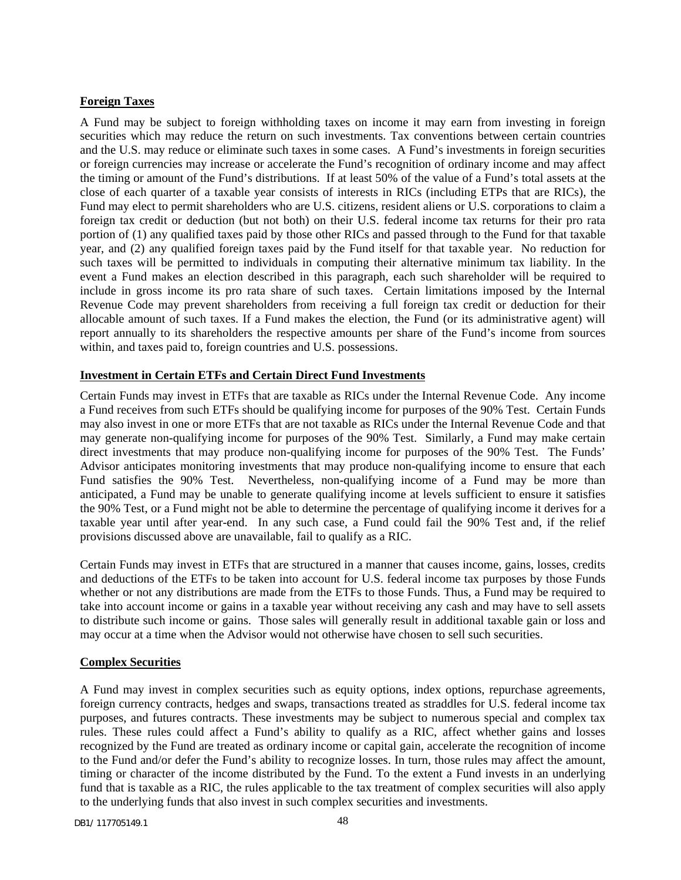### **Foreign Taxes**

A Fund may be subject to foreign withholding taxes on income it may earn from investing in foreign securities which may reduce the return on such investments. Tax conventions between certain countries and the U.S. may reduce or eliminate such taxes in some cases. A Fund's investments in foreign securities or foreign currencies may increase or accelerate the Fund's recognition of ordinary income and may affect the timing or amount of the Fund's distributions. If at least 50% of the value of a Fund's total assets at the close of each quarter of a taxable year consists of interests in RICs (including ETPs that are RICs), the Fund may elect to permit shareholders who are U.S. citizens, resident aliens or U.S. corporations to claim a foreign tax credit or deduction (but not both) on their U.S. federal income tax returns for their pro rata portion of (1) any qualified taxes paid by those other RICs and passed through to the Fund for that taxable year, and (2) any qualified foreign taxes paid by the Fund itself for that taxable year. No reduction for such taxes will be permitted to individuals in computing their alternative minimum tax liability. In the event a Fund makes an election described in this paragraph, each such shareholder will be required to include in gross income its pro rata share of such taxes. Certain limitations imposed by the Internal Revenue Code may prevent shareholders from receiving a full foreign tax credit or deduction for their allocable amount of such taxes. If a Fund makes the election, the Fund (or its administrative agent) will report annually to its shareholders the respective amounts per share of the Fund's income from sources within, and taxes paid to, foreign countries and U.S. possessions.

### **Investment in Certain ETFs and Certain Direct Fund Investments**

Certain Funds may invest in ETFs that are taxable as RICs under the Internal Revenue Code. Any income a Fund receives from such ETFs should be qualifying income for purposes of the 90% Test. Certain Funds may also invest in one or more ETFs that are not taxable as RICs under the Internal Revenue Code and that may generate non-qualifying income for purposes of the 90% Test. Similarly, a Fund may make certain direct investments that may produce non-qualifying income for purposes of the 90% Test. The Funds' Advisor anticipates monitoring investments that may produce non-qualifying income to ensure that each Fund satisfies the 90% Test. Nevertheless, non-qualifying income of a Fund may be more than anticipated, a Fund may be unable to generate qualifying income at levels sufficient to ensure it satisfies the 90% Test, or a Fund might not be able to determine the percentage of qualifying income it derives for a taxable year until after year-end. In any such case, a Fund could fail the 90% Test and, if the relief provisions discussed above are unavailable, fail to qualify as a RIC.

Certain Funds may invest in ETFs that are structured in a manner that causes income, gains, losses, credits and deductions of the ETFs to be taken into account for U.S. federal income tax purposes by those Funds whether or not any distributions are made from the ETFs to those Funds. Thus, a Fund may be required to take into account income or gains in a taxable year without receiving any cash and may have to sell assets to distribute such income or gains. Those sales will generally result in additional taxable gain or loss and may occur at a time when the Advisor would not otherwise have chosen to sell such securities.

### **Complex Securities**

A Fund may invest in complex securities such as equity options, index options, repurchase agreements, foreign currency contracts, hedges and swaps, transactions treated as straddles for U.S. federal income tax purposes, and futures contracts. These investments may be subject to numerous special and complex tax rules. These rules could affect a Fund's ability to qualify as a RIC, affect whether gains and losses recognized by the Fund are treated as ordinary income or capital gain, accelerate the recognition of income to the Fund and/or defer the Fund's ability to recognize losses. In turn, those rules may affect the amount, timing or character of the income distributed by the Fund. To the extent a Fund invests in an underlying fund that is taxable as a RIC, the rules applicable to the tax treatment of complex securities will also apply to the underlying funds that also invest in such complex securities and investments.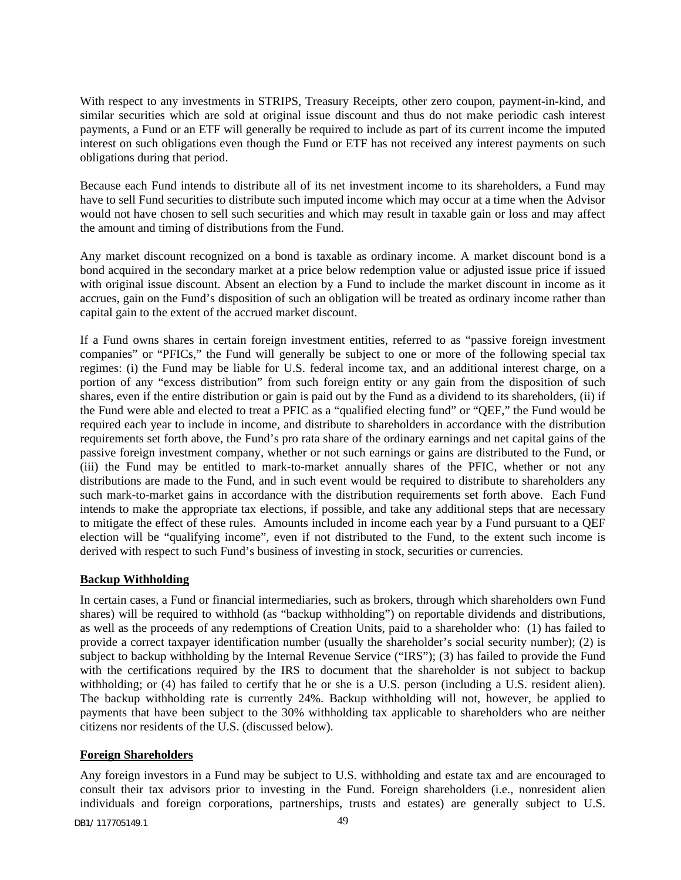With respect to any investments in STRIPS, Treasury Receipts, other zero coupon, payment-in-kind, and similar securities which are sold at original issue discount and thus do not make periodic cash interest payments, a Fund or an ETF will generally be required to include as part of its current income the imputed interest on such obligations even though the Fund or ETF has not received any interest payments on such obligations during that period.

Because each Fund intends to distribute all of its net investment income to its shareholders, a Fund may have to sell Fund securities to distribute such imputed income which may occur at a time when the Advisor would not have chosen to sell such securities and which may result in taxable gain or loss and may affect the amount and timing of distributions from the Fund.

Any market discount recognized on a bond is taxable as ordinary income. A market discount bond is a bond acquired in the secondary market at a price below redemption value or adjusted issue price if issued with original issue discount. Absent an election by a Fund to include the market discount in income as it accrues, gain on the Fund's disposition of such an obligation will be treated as ordinary income rather than capital gain to the extent of the accrued market discount.

If a Fund owns shares in certain foreign investment entities, referred to as "passive foreign investment companies" or "PFICs," the Fund will generally be subject to one or more of the following special tax regimes: (i) the Fund may be liable for U.S. federal income tax, and an additional interest charge, on a portion of any "excess distribution" from such foreign entity or any gain from the disposition of such shares, even if the entire distribution or gain is paid out by the Fund as a dividend to its shareholders, (ii) if the Fund were able and elected to treat a PFIC as a "qualified electing fund" or "QEF," the Fund would be required each year to include in income, and distribute to shareholders in accordance with the distribution requirements set forth above, the Fund's pro rata share of the ordinary earnings and net capital gains of the passive foreign investment company, whether or not such earnings or gains are distributed to the Fund, or (iii) the Fund may be entitled to mark-to-market annually shares of the PFIC, whether or not any distributions are made to the Fund, and in such event would be required to distribute to shareholders any such mark-to-market gains in accordance with the distribution requirements set forth above. Each Fund intends to make the appropriate tax elections, if possible, and take any additional steps that are necessary to mitigate the effect of these rules. Amounts included in income each year by a Fund pursuant to a QEF election will be "qualifying income", even if not distributed to the Fund, to the extent such income is derived with respect to such Fund's business of investing in stock, securities or currencies.

### **Backup Withholding**

In certain cases, a Fund or financial intermediaries, such as brokers, through which shareholders own Fund shares) will be required to withhold (as "backup withholding") on reportable dividends and distributions, as well as the proceeds of any redemptions of Creation Units, paid to a shareholder who: (1) has failed to provide a correct taxpayer identification number (usually the shareholder's social security number); (2) is subject to backup withholding by the Internal Revenue Service ("IRS"); (3) has failed to provide the Fund with the certifications required by the IRS to document that the shareholder is not subject to backup withholding; or (4) has failed to certify that he or she is a U.S. person (including a U.S. resident alien). The backup withholding rate is currently 24%. Backup withholding will not, however, be applied to payments that have been subject to the 30% withholding tax applicable to shareholders who are neither citizens nor residents of the U.S. (discussed below).

### **Foreign Shareholders**

Any foreign investors in a Fund may be subject to U.S. withholding and estate tax and are encouraged to consult their tax advisors prior to investing in the Fund. Foreign shareholders (i.e., nonresident alien individuals and foreign corporations, partnerships, trusts and estates) are generally subject to U.S.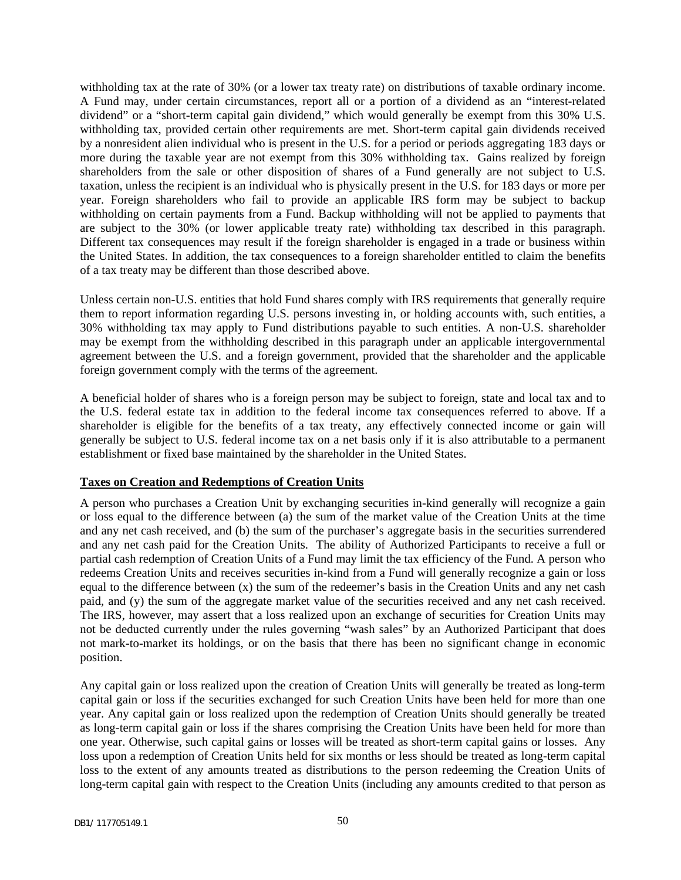withholding tax at the rate of 30% (or a lower tax treaty rate) on distributions of taxable ordinary income. A Fund may, under certain circumstances, report all or a portion of a dividend as an "interest-related dividend" or a "short-term capital gain dividend," which would generally be exempt from this 30% U.S. withholding tax, provided certain other requirements are met. Short-term capital gain dividends received by a nonresident alien individual who is present in the U.S. for a period or periods aggregating 183 days or more during the taxable year are not exempt from this 30% withholding tax. Gains realized by foreign shareholders from the sale or other disposition of shares of a Fund generally are not subject to U.S. taxation, unless the recipient is an individual who is physically present in the U.S. for 183 days or more per year. Foreign shareholders who fail to provide an applicable IRS form may be subject to backup withholding on certain payments from a Fund. Backup withholding will not be applied to payments that are subject to the 30% (or lower applicable treaty rate) withholding tax described in this paragraph. Different tax consequences may result if the foreign shareholder is engaged in a trade or business within the United States. In addition, the tax consequences to a foreign shareholder entitled to claim the benefits of a tax treaty may be different than those described above.

Unless certain non-U.S. entities that hold Fund shares comply with IRS requirements that generally require them to report information regarding U.S. persons investing in, or holding accounts with, such entities, a 30% withholding tax may apply to Fund distributions payable to such entities. A non-U.S. shareholder may be exempt from the withholding described in this paragraph under an applicable intergovernmental agreement between the U.S. and a foreign government, provided that the shareholder and the applicable foreign government comply with the terms of the agreement.

A beneficial holder of shares who is a foreign person may be subject to foreign, state and local tax and to the U.S. federal estate tax in addition to the federal income tax consequences referred to above. If a shareholder is eligible for the benefits of a tax treaty, any effectively connected income or gain will generally be subject to U.S. federal income tax on a net basis only if it is also attributable to a permanent establishment or fixed base maintained by the shareholder in the United States.

#### **Taxes on Creation and Redemptions of Creation Units**

A person who purchases a Creation Unit by exchanging securities in-kind generally will recognize a gain or loss equal to the difference between (a) the sum of the market value of the Creation Units at the time and any net cash received, and (b) the sum of the purchaser's aggregate basis in the securities surrendered and any net cash paid for the Creation Units. The ability of Authorized Participants to receive a full or partial cash redemption of Creation Units of a Fund may limit the tax efficiency of the Fund. A person who redeems Creation Units and receives securities in-kind from a Fund will generally recognize a gain or loss equal to the difference between (x) the sum of the redeemer's basis in the Creation Units and any net cash paid, and (y) the sum of the aggregate market value of the securities received and any net cash received. The IRS, however, may assert that a loss realized upon an exchange of securities for Creation Units may not be deducted currently under the rules governing "wash sales" by an Authorized Participant that does not mark-to-market its holdings, or on the basis that there has been no significant change in economic position.

Any capital gain or loss realized upon the creation of Creation Units will generally be treated as long-term capital gain or loss if the securities exchanged for such Creation Units have been held for more than one year. Any capital gain or loss realized upon the redemption of Creation Units should generally be treated as long-term capital gain or loss if the shares comprising the Creation Units have been held for more than one year. Otherwise, such capital gains or losses will be treated as short-term capital gains or losses. Any loss upon a redemption of Creation Units held for six months or less should be treated as long-term capital loss to the extent of any amounts treated as distributions to the person redeeming the Creation Units of long-term capital gain with respect to the Creation Units (including any amounts credited to that person as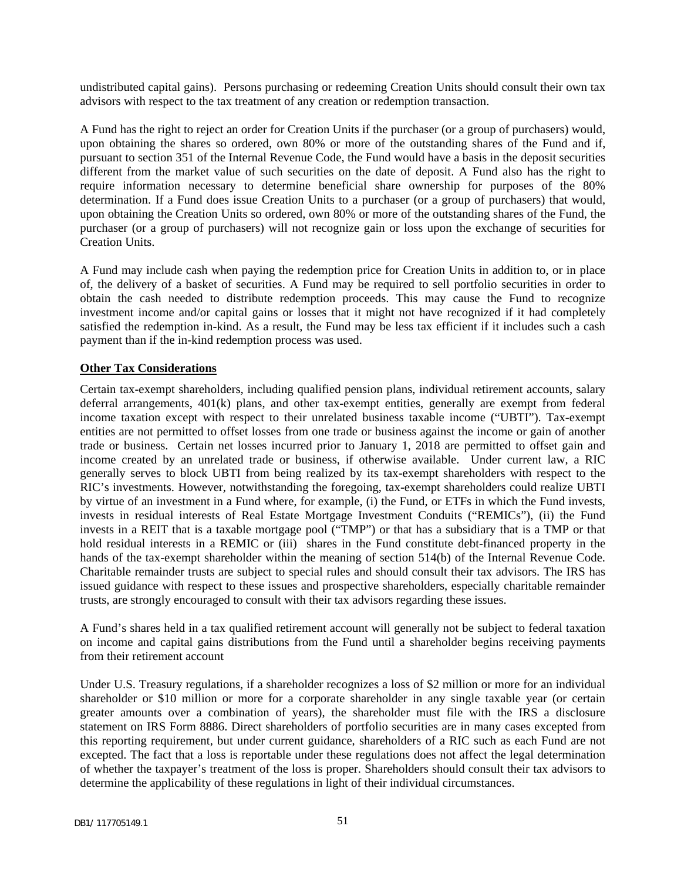undistributed capital gains). Persons purchasing or redeeming Creation Units should consult their own tax advisors with respect to the tax treatment of any creation or redemption transaction.

A Fund has the right to reject an order for Creation Units if the purchaser (or a group of purchasers) would, upon obtaining the shares so ordered, own 80% or more of the outstanding shares of the Fund and if, pursuant to section 351 of the Internal Revenue Code, the Fund would have a basis in the deposit securities different from the market value of such securities on the date of deposit. A Fund also has the right to require information necessary to determine beneficial share ownership for purposes of the 80% determination. If a Fund does issue Creation Units to a purchaser (or a group of purchasers) that would, upon obtaining the Creation Units so ordered, own 80% or more of the outstanding shares of the Fund, the purchaser (or a group of purchasers) will not recognize gain or loss upon the exchange of securities for Creation Units.

A Fund may include cash when paying the redemption price for Creation Units in addition to, or in place of, the delivery of a basket of securities. A Fund may be required to sell portfolio securities in order to obtain the cash needed to distribute redemption proceeds. This may cause the Fund to recognize investment income and/or capital gains or losses that it might not have recognized if it had completely satisfied the redemption in-kind. As a result, the Fund may be less tax efficient if it includes such a cash payment than if the in-kind redemption process was used.

### **Other Tax Considerations**

Certain tax-exempt shareholders, including qualified pension plans, individual retirement accounts, salary deferral arrangements, 401(k) plans, and other tax-exempt entities, generally are exempt from federal income taxation except with respect to their unrelated business taxable income ("UBTI"). Tax-exempt entities are not permitted to offset losses from one trade or business against the income or gain of another trade or business. Certain net losses incurred prior to January 1, 2018 are permitted to offset gain and income created by an unrelated trade or business, if otherwise available. Under current law, a RIC generally serves to block UBTI from being realized by its tax-exempt shareholders with respect to the RIC's investments. However, notwithstanding the foregoing, tax-exempt shareholders could realize UBTI by virtue of an investment in a Fund where, for example, (i) the Fund, or ETFs in which the Fund invests, invests in residual interests of Real Estate Mortgage Investment Conduits ("REMICs"), (ii) the Fund invests in a REIT that is a taxable mortgage pool ("TMP") or that has a subsidiary that is a TMP or that hold residual interests in a REMIC or (iii) shares in the Fund constitute debt-financed property in the hands of the tax-exempt shareholder within the meaning of section 514(b) of the Internal Revenue Code. Charitable remainder trusts are subject to special rules and should consult their tax advisors. The IRS has issued guidance with respect to these issues and prospective shareholders, especially charitable remainder trusts, are strongly encouraged to consult with their tax advisors regarding these issues.

A Fund's shares held in a tax qualified retirement account will generally not be subject to federal taxation on income and capital gains distributions from the Fund until a shareholder begins receiving payments from their retirement account

Under U.S. Treasury regulations, if a shareholder recognizes a loss of \$2 million or more for an individual shareholder or \$10 million or more for a corporate shareholder in any single taxable year (or certain greater amounts over a combination of years), the shareholder must file with the IRS a disclosure statement on IRS Form 8886. Direct shareholders of portfolio securities are in many cases excepted from this reporting requirement, but under current guidance, shareholders of a RIC such as each Fund are not excepted. The fact that a loss is reportable under these regulations does not affect the legal determination of whether the taxpayer's treatment of the loss is proper. Shareholders should consult their tax advisors to determine the applicability of these regulations in light of their individual circumstances.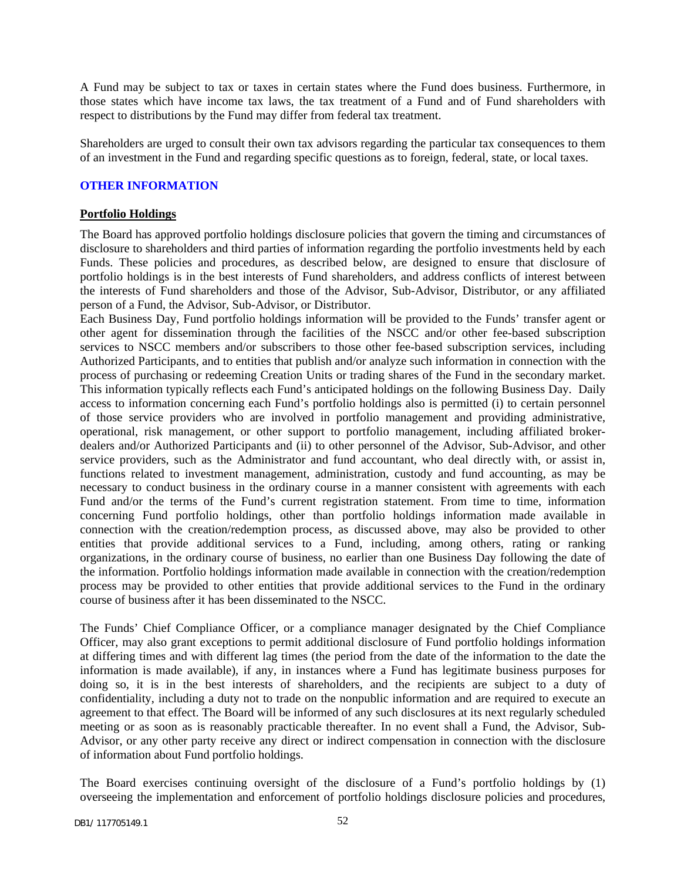A Fund may be subject to tax or taxes in certain states where the Fund does business. Furthermore, in those states which have income tax laws, the tax treatment of a Fund and of Fund shareholders with respect to distributions by the Fund may differ from federal tax treatment.

Shareholders are urged to consult their own tax advisors regarding the particular tax consequences to them of an investment in the Fund and regarding specific questions as to foreign, federal, state, or local taxes.

### <span id="page-53-0"></span>**OTHER INFORMATION**

### **Portfolio Holdings**

The Board has approved portfolio holdings disclosure policies that govern the timing and circumstances of disclosure to shareholders and third parties of information regarding the portfolio investments held by each Funds. These policies and procedures, as described below, are designed to ensure that disclosure of portfolio holdings is in the best interests of Fund shareholders, and address conflicts of interest between the interests of Fund shareholders and those of the Advisor, Sub-Advisor, Distributor, or any affiliated person of a Fund, the Advisor, Sub-Advisor, or Distributor.

Each Business Day, Fund portfolio holdings information will be provided to the Funds' transfer agent or other agent for dissemination through the facilities of the NSCC and/or other fee-based subscription services to NSCC members and/or subscribers to those other fee-based subscription services, including Authorized Participants, and to entities that publish and/or analyze such information in connection with the process of purchasing or redeeming Creation Units or trading shares of the Fund in the secondary market. This information typically reflects each Fund's anticipated holdings on the following Business Day. Daily access to information concerning each Fund's portfolio holdings also is permitted (i) to certain personnel of those service providers who are involved in portfolio management and providing administrative, operational, risk management, or other support to portfolio management, including affiliated brokerdealers and/or Authorized Participants and (ii) to other personnel of the Advisor, Sub-Advisor, and other service providers, such as the Administrator and fund accountant, who deal directly with, or assist in, functions related to investment management, administration, custody and fund accounting, as may be necessary to conduct business in the ordinary course in a manner consistent with agreements with each Fund and/or the terms of the Fund's current registration statement. From time to time, information concerning Fund portfolio holdings, other than portfolio holdings information made available in connection with the creation/redemption process, as discussed above, may also be provided to other entities that provide additional services to a Fund, including, among others, rating or ranking organizations, in the ordinary course of business, no earlier than one Business Day following the date of the information. Portfolio holdings information made available in connection with the creation/redemption process may be provided to other entities that provide additional services to the Fund in the ordinary course of business after it has been disseminated to the NSCC.

The Funds' Chief Compliance Officer, or a compliance manager designated by the Chief Compliance Officer, may also grant exceptions to permit additional disclosure of Fund portfolio holdings information at differing times and with different lag times (the period from the date of the information to the date the information is made available), if any, in instances where a Fund has legitimate business purposes for doing so, it is in the best interests of shareholders, and the recipients are subject to a duty of confidentiality, including a duty not to trade on the nonpublic information and are required to execute an agreement to that effect. The Board will be informed of any such disclosures at its next regularly scheduled meeting or as soon as is reasonably practicable thereafter. In no event shall a Fund, the Advisor, Sub-Advisor, or any other party receive any direct or indirect compensation in connection with the disclosure of information about Fund portfolio holdings.

The Board exercises continuing oversight of the disclosure of a Fund's portfolio holdings by (1) overseeing the implementation and enforcement of portfolio holdings disclosure policies and procedures,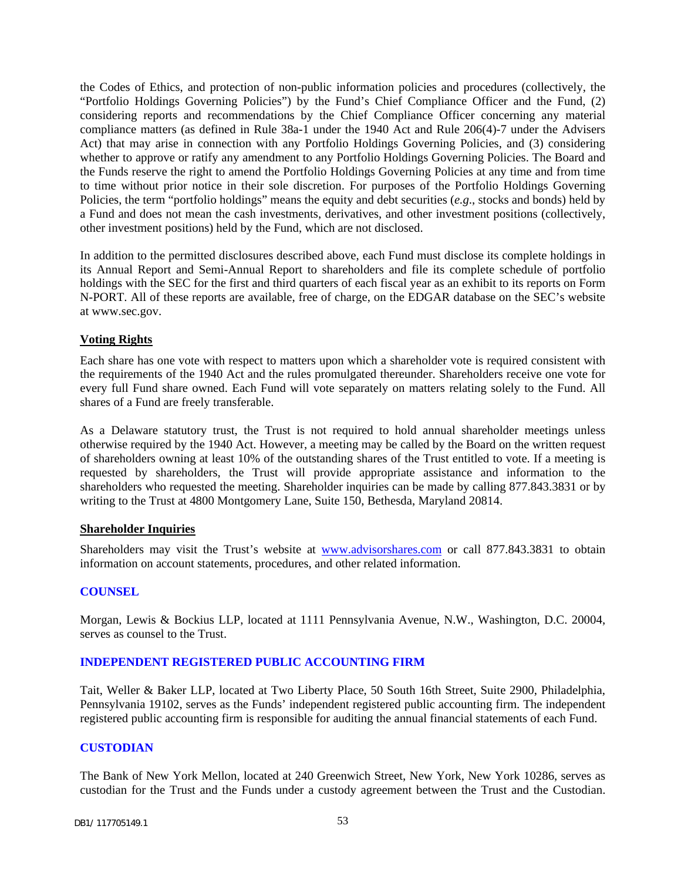the Codes of Ethics, and protection of non-public information policies and procedures (collectively, the "Portfolio Holdings Governing Policies") by the Fund's Chief Compliance Officer and the Fund, (2) considering reports and recommendations by the Chief Compliance Officer concerning any material compliance matters (as defined in Rule 38a-1 under the 1940 Act and Rule 206(4)-7 under the Advisers Act) that may arise in connection with any Portfolio Holdings Governing Policies, and (3) considering whether to approve or ratify any amendment to any Portfolio Holdings Governing Policies. The Board and the Funds reserve the right to amend the Portfolio Holdings Governing Policies at any time and from time to time without prior notice in their sole discretion. For purposes of the Portfolio Holdings Governing Policies, the term "portfolio holdings" means the equity and debt securities (*e.g*., stocks and bonds) held by a Fund and does not mean the cash investments, derivatives, and other investment positions (collectively, other investment positions) held by the Fund, which are not disclosed.

In addition to the permitted disclosures described above, each Fund must disclose its complete holdings in its Annual Report and Semi-Annual Report to shareholders and file its complete schedule of portfolio holdings with the SEC for the first and third quarters of each fiscal year as an exhibit to its reports on Form N-PORT. All of these reports are available, free of charge, on the EDGAR database on the SEC's website at www.sec.gov.

### **Voting Rights**

Each share has one vote with respect to matters upon which a shareholder vote is required consistent with the requirements of the 1940 Act and the rules promulgated thereunder. Shareholders receive one vote for every full Fund share owned. Each Fund will vote separately on matters relating solely to the Fund. All shares of a Fund are freely transferable.

As a Delaware statutory trust, the Trust is not required to hold annual shareholder meetings unless otherwise required by the 1940 Act. However, a meeting may be called by the Board on the written request of shareholders owning at least 10% of the outstanding shares of the Trust entitled to vote. If a meeting is requested by shareholders, the Trust will provide appropriate assistance and information to the shareholders who requested the meeting. Shareholder inquiries can be made by calling 877.843.3831 or by writing to the Trust at 4800 Montgomery Lane, Suite 150, Bethesda, Maryland 20814.

### **Shareholder Inquiries**

Shareholders may visit the Trust's website at www.advisorshares.com or call 877.843.3831 to obtain information on account statements, procedures, and other related information.

### <span id="page-54-0"></span>**COUNSEL**

Morgan, Lewis & Bockius LLP, located at 1111 Pennsylvania Avenue, N.W., Washington, D.C. 20004, serves as counsel to the Trust.

### <span id="page-54-1"></span>**INDEPENDENT REGISTERED PUBLIC ACCOUNTING FIRM**

Tait, Weller & Baker LLP, located at Two Liberty Place, 50 South 16th Street, Suite 2900, Philadelphia, Pennsylvania 19102, serves as the Funds' independent registered public accounting firm. The independent registered public accounting firm is responsible for auditing the annual financial statements of each Fund.

#### <span id="page-54-2"></span>**CUSTODIAN**

The Bank of New York Mellon, located at 240 Greenwich Street, New York, New York 10286, serves as custodian for the Trust and the Funds under a custody agreement between the Trust and the Custodian.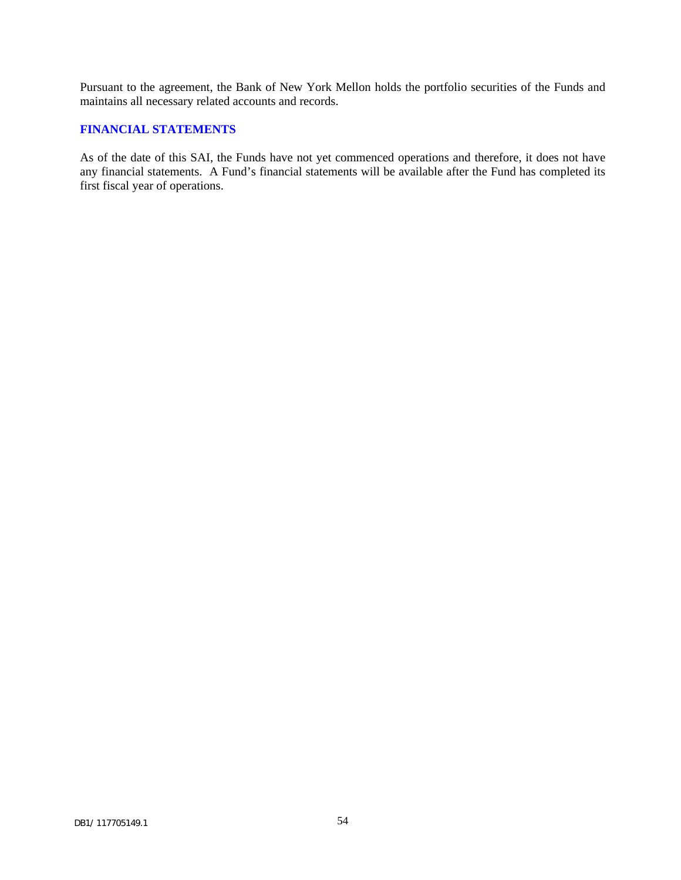Pursuant to the agreement, the Bank of New York Mellon holds the portfolio securities of the Funds and maintains all necessary related accounts and records.

### <span id="page-55-0"></span>**FINANCIAL STATEMENTS**

As of the date of this SAI, the Funds have not yet commenced operations and therefore, it does not have any financial statements. A Fund's financial statements will be available after the Fund has completed its first fiscal year of operations.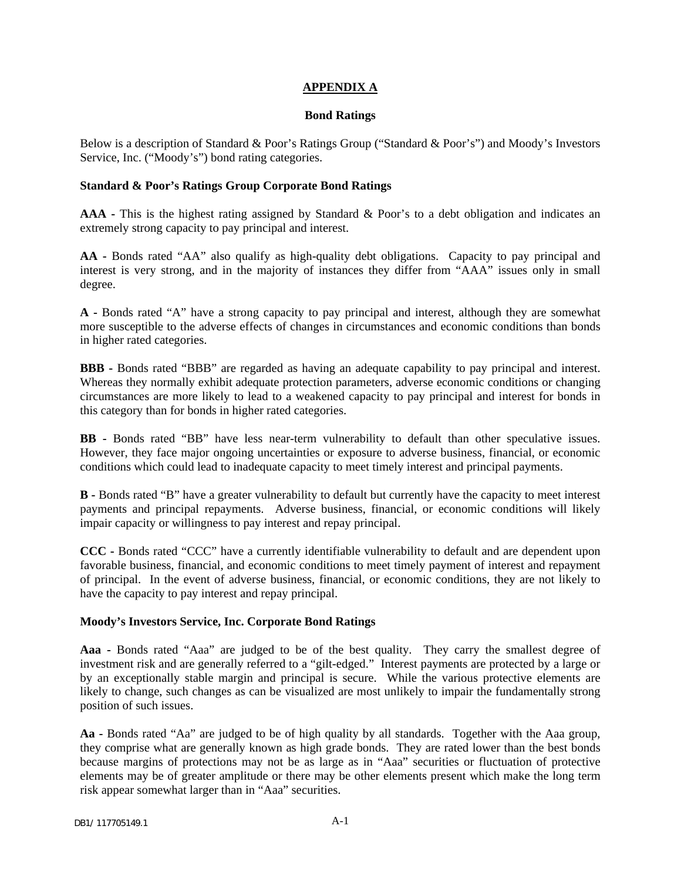### **APPENDIX A**

#### **Bond Ratings**

<span id="page-56-0"></span>Below is a description of Standard & Poor's Ratings Group ("Standard & Poor's") and Moody's Investors Service, Inc. ("Moody's") bond rating categories.

### **Standard & Poor's Ratings Group Corporate Bond Ratings**

**AAA -** This is the highest rating assigned by Standard & Poor's to a debt obligation and indicates an extremely strong capacity to pay principal and interest.

**AA -** Bonds rated "AA" also qualify as high-quality debt obligations. Capacity to pay principal and interest is very strong, and in the majority of instances they differ from "AAA" issues only in small degree.

**A -** Bonds rated "A" have a strong capacity to pay principal and interest, although they are somewhat more susceptible to the adverse effects of changes in circumstances and economic conditions than bonds in higher rated categories.

**BBB -** Bonds rated "BBB" are regarded as having an adequate capability to pay principal and interest. Whereas they normally exhibit adequate protection parameters, adverse economic conditions or changing circumstances are more likely to lead to a weakened capacity to pay principal and interest for bonds in this category than for bonds in higher rated categories.

**BB -** Bonds rated "BB" have less near-term vulnerability to default than other speculative issues. However, they face major ongoing uncertainties or exposure to adverse business, financial, or economic conditions which could lead to inadequate capacity to meet timely interest and principal payments.

**B -** Bonds rated "B" have a greater vulnerability to default but currently have the capacity to meet interest payments and principal repayments. Adverse business, financial, or economic conditions will likely impair capacity or willingness to pay interest and repay principal.

**CCC -** Bonds rated "CCC" have a currently identifiable vulnerability to default and are dependent upon favorable business, financial, and economic conditions to meet timely payment of interest and repayment of principal. In the event of adverse business, financial, or economic conditions, they are not likely to have the capacity to pay interest and repay principal.

### **Moody's Investors Service, Inc. Corporate Bond Ratings**

**Aaa -** Bonds rated "Aaa" are judged to be of the best quality. They carry the smallest degree of investment risk and are generally referred to a "gilt-edged." Interest payments are protected by a large or by an exceptionally stable margin and principal is secure. While the various protective elements are likely to change, such changes as can be visualized are most unlikely to impair the fundamentally strong position of such issues.

**Aa -** Bonds rated "Aa" are judged to be of high quality by all standards. Together with the Aaa group, they comprise what are generally known as high grade bonds. They are rated lower than the best bonds because margins of protections may not be as large as in "Aaa" securities or fluctuation of protective elements may be of greater amplitude or there may be other elements present which make the long term risk appear somewhat larger than in "Aaa" securities.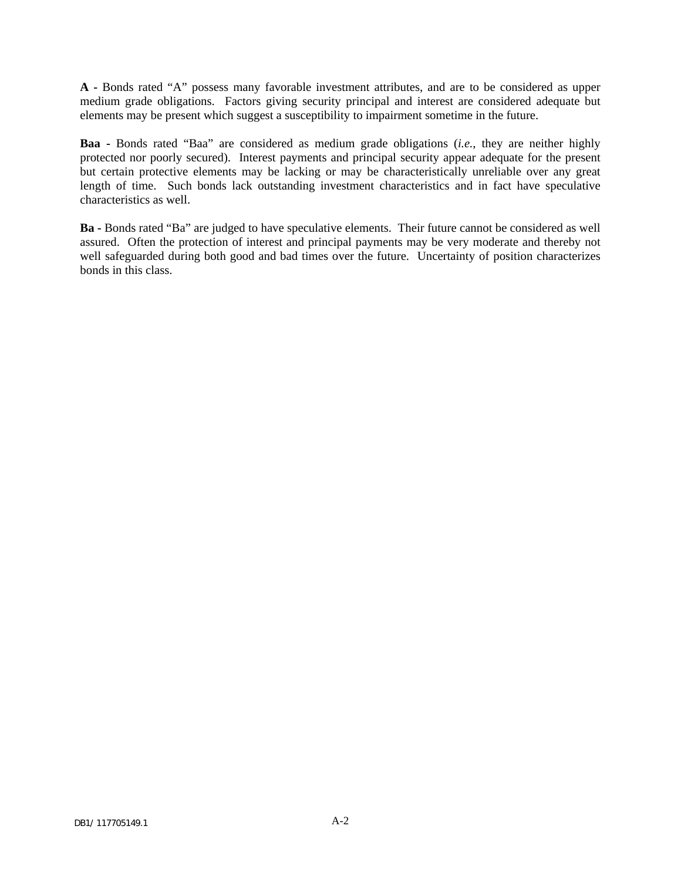**A -** Bonds rated "A" possess many favorable investment attributes, and are to be considered as upper medium grade obligations. Factors giving security principal and interest are considered adequate but elements may be present which suggest a susceptibility to impairment sometime in the future.

**Baa -** Bonds rated "Baa" are considered as medium grade obligations (*i.e.*, they are neither highly protected nor poorly secured). Interest payments and principal security appear adequate for the present but certain protective elements may be lacking or may be characteristically unreliable over any great length of time. Such bonds lack outstanding investment characteristics and in fact have speculative characteristics as well.

**Ba -** Bonds rated "Ba" are judged to have speculative elements. Their future cannot be considered as well assured. Often the protection of interest and principal payments may be very moderate and thereby not well safeguarded during both good and bad times over the future. Uncertainty of position characterizes bonds in this class.